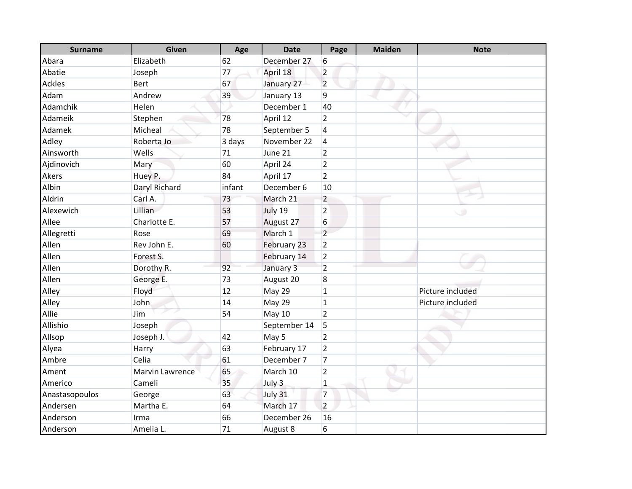| <b>Surname</b> | Given           | Age    | <b>Date</b>  | Page                    | <b>Maiden</b> | <b>Note</b>      |
|----------------|-----------------|--------|--------------|-------------------------|---------------|------------------|
| Abara          | Elizabeth       | 62     | December 27  | 6                       |               |                  |
| Abatie         | Joseph          | 77     | April 18     | $\overline{2}$          |               |                  |
| <b>Ackles</b>  | <b>Bert</b>     | 67     | January 27   | $\overline{2}$          |               |                  |
| Adam           | Andrew          | 39     | January 13   | $\boldsymbol{9}$        |               |                  |
| Adamchik       | Helen           |        | December 1   | 40                      |               |                  |
| Adameik        | Stephen         | 78     | April 12     | $\overline{2}$          |               |                  |
| Adamek         | Micheal         | 78     | September 5  | $\overline{\mathbf{4}}$ |               |                  |
| Adley          | Roberta Jo      | 3 days | November 22  | $\sqrt{4}$              |               |                  |
| Ainsworth      | Wells           | 71     | June 21      | $\overline{2}$          |               |                  |
| Ajdinovich     | Mary            | 60     | April 24     | $\overline{2}$          |               |                  |
| Akers          | Huey P.         | 84     | April 17     | $\overline{2}$          |               |                  |
| Albin          | Daryl Richard   | infant | December 6   | 10                      |               |                  |
| Aldrin         | Carl A.         | 73     | March 21     | $\overline{2}$          |               |                  |
| Alexewich      | Lillian         | 53     | July 19      | $\overline{2}$          |               |                  |
| Allee          | Charlotte E.    | 57     | August 27    | 6                       |               |                  |
| Allegretti     | Rose            | 69     | March 1      | $\overline{2}$          |               |                  |
| Allen          | Rev John E.     | 60     | February 23  | $\overline{2}$          |               |                  |
| Allen          | Forest S.       |        | February 14  | $\overline{2}$          |               |                  |
| Allen          | Dorothy R.      | 92     | January 3    | $\overline{2}$          |               |                  |
| Allen          | George E.       | 73     | August 20    | 8                       |               |                  |
| Alley          | Floyd           | 12     | May 29       | $\mathbf 1$             |               | Picture included |
| Alley          | John            | 14     | May 29       | $\mathbf{1}$            |               | Picture included |
| Allie          | Jim             | 54     | May 10       | $\overline{2}$          |               |                  |
| Allishio       | Joseph          |        | September 14 | 5                       |               |                  |
| Allsop         | Joseph J.       | 42     | May 5        | $\overline{2}$          |               |                  |
| Alyea          | <b>Harry</b>    | 63     | February 17  | $\overline{2}$          |               |                  |
| Ambre          | Celia           | 61     | December 7   | $\overline{7}$          |               |                  |
| Ament          | Marvin Lawrence | 65     | March 10     | $\overline{2}$          |               |                  |
| Americo        | Cameli          | 35     | July 3       | $\mathbf 1$             |               |                  |
| Anastasopoulos | George          | 63     | July 31      | $\overline{7}$          |               |                  |
| Andersen       | Martha E.       | 64     | March 17     | $\overline{2}$          |               |                  |
| Anderson       | Irma            | 66     | December 26  | 16                      |               |                  |
| Anderson       | Amelia L.       | 71     | August 8     | 6                       |               |                  |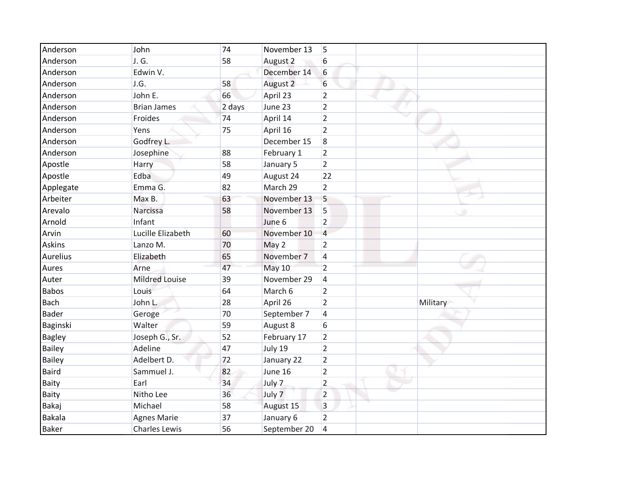| Anderson      | John                  | 74     | November 13   | 5              |          |
|---------------|-----------------------|--------|---------------|----------------|----------|
| Anderson      | J. G.                 | 58     | August 2      | 6              |          |
| Anderson      | Edwin V.              |        | December 14   | 6              |          |
| Anderson      | J.G.                  | 58     | August 2      | 6              |          |
| Anderson      | John E.               | 66     | April 23      | $\overline{2}$ |          |
| Anderson      | <b>Brian James</b>    | 2 days | June 23       | $\overline{2}$ |          |
| Anderson      | Froides               | 74     | April 14      | $\overline{2}$ |          |
| Anderson      | Yens                  | 75     | April 16      | $\overline{2}$ |          |
| Anderson      | Godfrey L.            |        | December 15   | 8              |          |
| Anderson      | Josephine             | 88     | February 1    | $\overline{2}$ |          |
| Apostle       | Harry                 | 58     | January 5     | $\overline{2}$ |          |
| Apostle       | Edba                  | 49     | August 24     | 22             |          |
| Applegate     | Emma G.               | 82     | March 29      | $\overline{2}$ |          |
| Arbeiter      | Max B.                | 63     | November 13   | 5              |          |
| Arevalo       | Narcissa              | 58     | November 13   | 5              |          |
| Arnold        | Infant                |        | June 6        | $\overline{2}$ |          |
| Arvin         | Lucille Elizabeth     | 60     | November 10   | $\overline{4}$ |          |
| <b>Askins</b> | Lanzo M.              | 70     | May 2         | $\overline{2}$ |          |
| Aurelius      | Elizabeth             | 65     | November 7    | 4              |          |
| Aures         | Arne                  | 47     | <b>May 10</b> | $\overline{2}$ |          |
| Auter         | <b>Mildred Louise</b> | 39     | November 29   | 4              |          |
| <b>Babos</b>  | Louis                 | 64     | March 6       | 2              |          |
| <b>Bach</b>   | John L.               | 28     | April 26      | $\overline{2}$ | Military |
| <b>Bader</b>  | Geroge                | 70     | September 7   | 4              |          |
| Baginski      | Walter                | 59     | August 8      | 6              |          |
| <b>Bagley</b> | Joseph G., Sr.        | 52     | February 17   | $\overline{2}$ |          |
| Bailey        | Adeline               | 47     | July 19       | $\overline{2}$ |          |
| Bailey        | Adelbert D.           | 72     | January 22    | $\overline{2}$ |          |
| <b>Baird</b>  | Sammuel J.            | 82     | June 16       | $\overline{2}$ |          |
| <b>Baity</b>  | Earl                  | 34     | July 7        | $\overline{2}$ |          |
| <b>Baity</b>  | Nitho Lee             | 36     | July 7        | $\overline{2}$ |          |
| Bakaj         | Michael               | 58     | August 15     | 3              |          |
| <b>Bakala</b> | <b>Agnes Marie</b>    | 37     | January 6     | $\overline{2}$ |          |
| <b>Baker</b>  | <b>Charles Lewis</b>  | 56     | September 20  | 4              |          |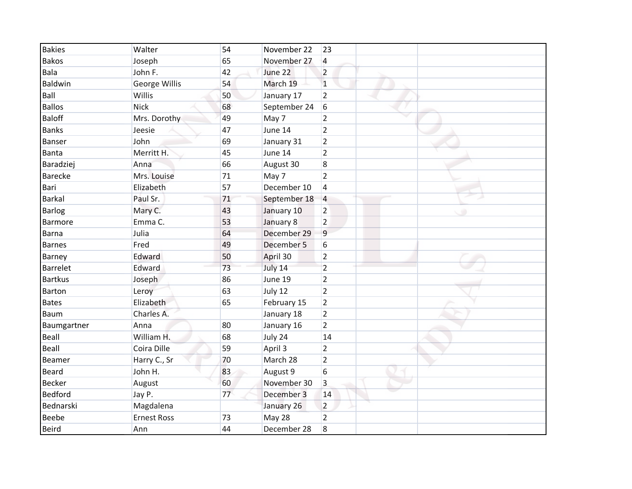| <b>Bakies</b>   | Walter             | 54 | November 22  | 23              |
|-----------------|--------------------|----|--------------|-----------------|
| <b>Bakos</b>    | Joseph             | 65 | November 27  | 4               |
| Bala            | John F.            | 42 | June 22      | $\overline{2}$  |
| Baldwin         | George Willis      | 54 | March 19     | $\mathbf{1}$    |
| Ball            | Willis             | 50 | January 17   | $\overline{2}$  |
| <b>Ballos</b>   | <b>Nick</b>        | 68 | September 24 | 6               |
| <b>Baloff</b>   | Mrs. Dorothy       | 49 | May 7        | $\overline{2}$  |
| <b>Banks</b>    | Jeesie             | 47 | June 14      | $\overline{2}$  |
| Banser          | John               | 69 | January 31   | $\overline{2}$  |
| <b>Banta</b>    | Merritt H.         | 45 | June 14      | $\overline{2}$  |
| Baradziej       | Anna               | 66 | August 30    | 8               |
| <b>Barecke</b>  | Mrs. Louise        | 71 | May 7        | $\overline{2}$  |
| Bari            | Elizabeth          | 57 | December 10  | $\overline{4}$  |
| Barkal          | Paul Sr.           | 71 | September 18 | $\vert 4 \vert$ |
| <b>Barlog</b>   | Mary C.            | 43 | January 10   | $\overline{2}$  |
| Barmore         | Emma C.            | 53 | January 8    | $\overline{2}$  |
| <b>Barna</b>    | Julia              | 64 | December 29  | 9               |
| <b>Barnes</b>   | Fred               | 49 | December 5   | 6               |
| Barney          | Edward             | 50 | April 30     | $\overline{2}$  |
| <b>Barrelet</b> | Edward             | 73 | July 14      | $\overline{2}$  |
| <b>Bartkus</b>  | Joseph             | 86 | June 19      | $\overline{2}$  |
| Barton          | Leroy              | 63 | July 12      | $\overline{2}$  |
| <b>Bates</b>    | Elizabeth          | 65 | February 15  | $\overline{2}$  |
| Baum            | Charles A.         |    | January 18   | $\overline{2}$  |
| Baumgartner     | Anna               | 80 | January 16   | $\overline{2}$  |
| Beall           | William H.         | 68 | July 24      | 14              |
| Beall           | Coira Dille        | 59 | April 3      | $\overline{2}$  |
| Beamer          | Harry C., Sr       | 70 | March 28     | $\overline{2}$  |
| <b>Beard</b>    | John H.            | 83 | August 9     | 6               |
| <b>Becker</b>   | August             | 60 | November 30  | 3               |
| <b>Bedford</b>  | Jay P.             | 77 | December 3   | 14              |
| Bednarski       | Magdalena          |    | January 26   | $\overline{2}$  |
| <b>Beebe</b>    | <b>Ernest Ross</b> | 73 | May 28       | $\overline{2}$  |
| <b>Beird</b>    | Ann                | 44 | December 28  | 8               |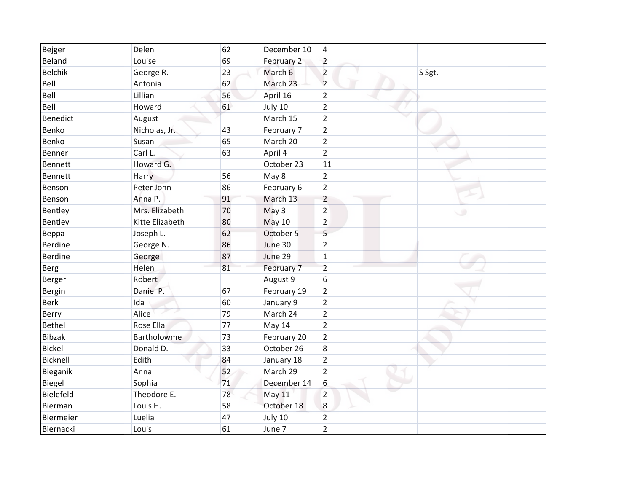| Bejger          | Delen           | 62 | December 10   | $\overline{\mathbf{4}}$ |        |
|-----------------|-----------------|----|---------------|-------------------------|--------|
| Beland          | Louise          | 69 | February 2    | $\overline{2}$          |        |
| <b>Belchik</b>  | George R.       | 23 | March 6       | $\overline{2}$          | S Sgt. |
| Bell            | Antonia         | 62 | March 23      | $\overline{2}$          |        |
| Bell            | Lillian         | 56 | April 16      | $\overline{2}$          |        |
| Bell            | Howard          | 61 | July 10       | $\overline{2}$          |        |
| <b>Benedict</b> | August          |    | March 15      | $\overline{2}$          |        |
| Benko           | Nicholas, Jr.   | 43 | February 7    | $\overline{2}$          |        |
| Benko           | Susan           | 65 | March 20      | $\overline{2}$          |        |
| Benner          | Carl L.         | 63 | April 4       | $\overline{2}$          |        |
| Bennett         | Howard G.       |    | October 23    | 11                      |        |
| Bennett         | Harry           | 56 | May 8         | $\overline{2}$          |        |
| Benson          | Peter John      | 86 | February 6    | $\overline{2}$          |        |
| Benson          | Anna P.         | 91 | March 13      | $\overline{2}$          |        |
| Bentley         | Mrs. Elizabeth  | 70 | May 3         | $\overline{2}$          |        |
| Bentley         | Kitte Elizabeth | 80 | <b>May 10</b> | $\overline{2}$          |        |
| Beppa           | Joseph L.       | 62 | October 5     | 5                       |        |
| Berdine         | George N.       | 86 | June 30       | $\overline{2}$          |        |
| <b>Berdine</b>  | George          | 87 | June 29       | $\mathbf 1$             |        |
| <b>Berg</b>     | Helen           | 81 | February 7    | $\overline{2}$          |        |
| Berger          | Robert          |    | August 9      | 6                       |        |
| Bergin          | Daniel P.       | 67 | February 19   | $\overline{2}$          |        |
| <b>Berk</b>     | Ida             | 60 | January 9     | $\overline{2}$          |        |
| Berry           | Alice           | 79 | March 24      | $\overline{2}$          |        |
| <b>Bethel</b>   | Rose Ella       | 77 | May 14        | $\overline{2}$          |        |
| Bibzak          | Bartholowme     | 73 | February 20   | $\overline{2}$          |        |
| <b>Bickell</b>  | Donald D.       | 33 | October 26    | 8                       |        |
| Bicknell        | Edith           | 84 | January 18    | $\overline{2}$          |        |
| Bieganik        | Anna            | 52 | March 29      | $\overline{2}$          |        |
| Biegel          | Sophia          | 71 | December 14   | 6                       |        |
| Bielefeld       | Theodore E.     | 78 | May 11        | $\overline{2}$          |        |
| Bierman         | Louis H.        | 58 | October 18    | 8                       |        |
| Biermeier       | Luelia          | 47 | July 10       | $\overline{2}$          |        |
| Biernacki       | Louis           | 61 | June 7        | $\overline{2}$          |        |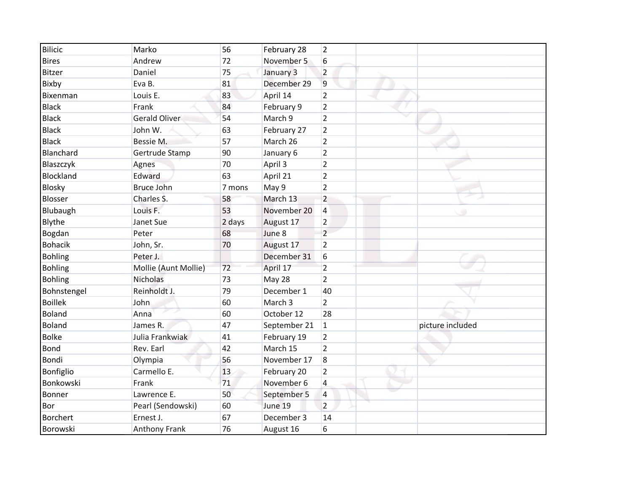| <b>Bilicic</b>  | Marko                | 56     | February 28  | $\overline{2}$ |                  |
|-----------------|----------------------|--------|--------------|----------------|------------------|
| <b>Bires</b>    | Andrew               | 72     | November 5   | 6              |                  |
| <b>Bitzer</b>   | Daniel               | 75     | January 3    | $\overline{2}$ |                  |
| Bixby           | Eva B.               | 81     | December 29  | 9              |                  |
| Bixenman        | Louis E.             | 83     | April 14     | $\overline{2}$ |                  |
| <b>Black</b>    | Frank                | 84     | February 9   | $\overline{2}$ |                  |
| <b>Black</b>    | <b>Gerald Oliver</b> | 54     | March 9      | $\overline{2}$ |                  |
| <b>Black</b>    | John W.              | 63     | February 27  | $\overline{2}$ |                  |
| <b>Black</b>    | Bessie M.            | 57     | March 26     | $\overline{2}$ |                  |
| Blanchard       | Gertrude Stamp       | 90     | January 6    | $\overline{2}$ |                  |
| Blaszczyk       | Agnes                | 70     | April 3      | $\overline{2}$ |                  |
| Blockland       | Edward               | 63     | April 21     | $\overline{2}$ |                  |
| Blosky          | <b>Bruce John</b>    | 7 mons | May 9        | $\overline{2}$ |                  |
| Blosser         | Charles S.           | 58     | March 13     | $\overline{2}$ |                  |
| Blubaugh        | Louis F.             | 53     | November 20  | 4              |                  |
| Blythe          | Janet Sue            | 2 days | August 17    | $\overline{2}$ |                  |
| Bogdan          | Peter                | 68     | June 8       | $\overline{c}$ |                  |
| <b>Bohacik</b>  | John, Sr.            | 70     | August 17    | $\overline{2}$ |                  |
| <b>Bohling</b>  | Peter J.             |        | December 31  | 6              |                  |
| <b>Bohling</b>  | Mollie (Aunt Mollie) | 72     | April 17     | $\overline{2}$ |                  |
| <b>Bohling</b>  | <b>Nicholas</b>      | 73     | May 28       | $\overline{2}$ |                  |
| Bohnstengel     | Reinholdt J.         | 79     | December 1   | 40             |                  |
| <b>Boillek</b>  | John                 | 60     | March 3      | $\overline{2}$ |                  |
| <b>Boland</b>   | Anna                 | 60     | October 12   | 28             |                  |
| <b>Boland</b>   | James R.             | 47     | September 21 | $\mathbf{1}$   | picture included |
| <b>Bolke</b>    | Julia Frankwiak      | 41     | February 19  | $\overline{2}$ |                  |
| <b>Bond</b>     | Rev. Earl            | 42     | March 15     | $\overline{2}$ |                  |
| <b>Bondi</b>    | Olympia              | 56     | November 17  | 8              |                  |
| Bonfiglio       | Carmello E.          | 13     | February 20  | $\overline{2}$ |                  |
| Bonkowski       | Frank                | 71     | November 6   | 4              |                  |
| Bonner          | Lawrence E.          | 50     | September 5  | 4              |                  |
| Bor             | Pearl (Sendowski)    | 60     | June 19      | $\overline{2}$ |                  |
| <b>Borchert</b> | Ernest J.            | 67     | December 3   | 14             |                  |
| Borowski        | Anthony Frank        | 76     | August 16    | 6              |                  |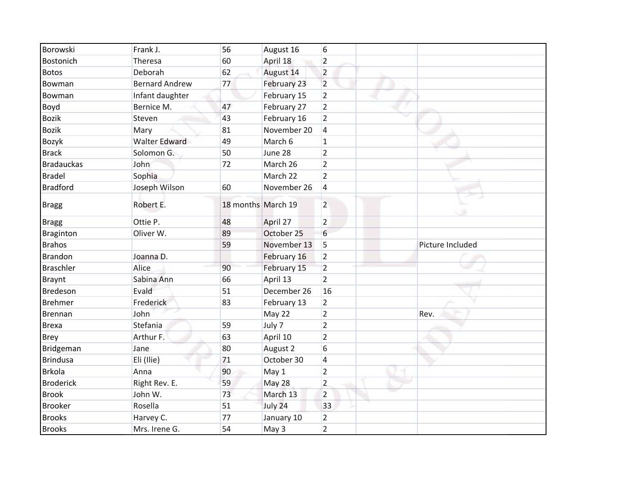| Borowski          | Frank J.<br>56              |                    | August 16   | 6                        |                  |
|-------------------|-----------------------------|--------------------|-------------|--------------------------|------------------|
| Bostonich         | 60<br>Theresa               |                    | April 18    | $\overline{2}$           |                  |
| <b>Botos</b>      | 62<br>Deborah               |                    | August 14   | $\overline{2}$           |                  |
| Bowman            | 77<br><b>Bernard Andrew</b> |                    | February 23 | $\overline{2}$           |                  |
| Bowman            | Infant daughter             |                    | February 15 | $\overline{2}$           |                  |
| Boyd              | 47<br>Bernice M.            |                    | February 27 | $\overline{2}$           |                  |
| <b>Bozik</b>      | 43<br>Steven                |                    | February 16 | $\overline{2}$           |                  |
| <b>Bozik</b>      | 81<br>Mary                  |                    | November 20 | $\overline{4}$           |                  |
| Bozyk             | <b>Walter Edward</b><br>49  |                    | March 6     | $\mathbf{1}$             |                  |
| <b>Brack</b>      | Solomon G.<br>50            |                    | June 28     | $\overline{2}$           |                  |
| <b>Bradauckas</b> | 72<br>John                  |                    | March 26    | $\overline{2}$           |                  |
| <b>Bradel</b>     | Sophia                      |                    | March 22    | $\overline{2}$           |                  |
| <b>Bradford</b>   | Joseph Wilson<br>60         |                    | November 26 | 4                        |                  |
| <b>Bragg</b>      | Robert E.                   | 18 months March 19 |             | $\overline{2}$           |                  |
| <b>Bragg</b>      | 48<br>Ottie P.              |                    | April 27    | $\overline{2}$           |                  |
| <b>Braginton</b>  | Oliver W.<br>89             |                    | October 25  | 6                        |                  |
| <b>Brahos</b>     | 59                          |                    | November 13 | 5                        | Picture Included |
| <b>Brandon</b>    | Joanna D.                   |                    | February 16 | $\overline{2}$           |                  |
| <b>Braschler</b>  | 90<br>Alice                 |                    | February 15 | $\overline{2}$           |                  |
| <b>Braynt</b>     | 66<br>Sabina Ann            |                    | April 13    | $\overline{2}$           |                  |
| Bredeson          | Evald<br>51                 |                    | December 26 | 16                       |                  |
| <b>Brehmer</b>    | 83<br>Frederick             |                    | February 13 | $\overline{2}$           |                  |
| Brennan           | John                        |                    | May 22      | $\overline{2}$           | Rev.             |
| <b>Brexa</b>      | Stefania<br>59              |                    | July 7      | $\overline{2}$           |                  |
| <b>Brey</b>       | 63<br>Arthur F.             |                    | April 10    | $\overline{2}$           |                  |
| Bridgeman         | 80<br>Jane                  |                    | August 2    | 6                        |                  |
| <b>Brindusa</b>   | Eli (Ilie)<br>71            |                    | October 30  | $\overline{\mathcal{L}}$ |                  |
| <b>Brkola</b>     | 90<br>Anna                  |                    | May 1       | $\overline{2}$           |                  |
| <b>Broderick</b>  | Right Rev. E.<br>59         |                    | May 28      | $\overline{2}$           |                  |
| <b>Brook</b>      | 73<br>John W.               |                    | March 13    | $\overline{2}$           |                  |
| <b>Brooker</b>    | 51<br>Rosella               |                    | July 24     | 33                       |                  |
| <b>Brooks</b>     | 77<br>Harvey C.             |                    | January 10  | $\overline{2}$           |                  |
| <b>Brooks</b>     | 54<br>Mrs. Irene G.         |                    | May 3       | $\overline{2}$           |                  |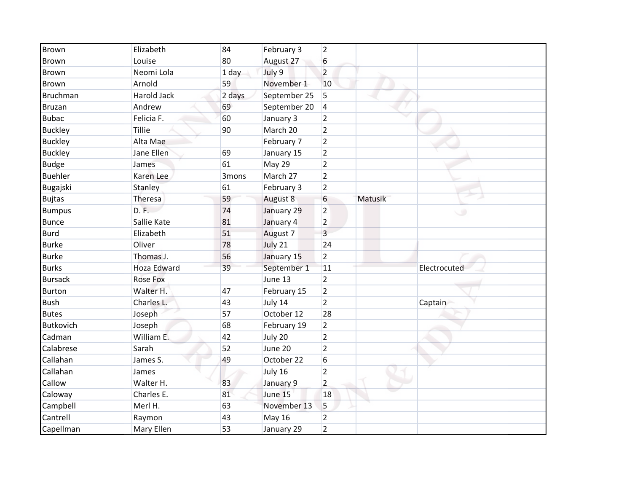| Brown            | Elizabeth          | 84     | February 3    | $\overline{2}$ |         |              |
|------------------|--------------------|--------|---------------|----------------|---------|--------------|
| Brown            | Louise             | 80     | August 27     | 6              |         |              |
| Brown            | Neomi Lola         | 1 day  | July 9        | $\overline{2}$ |         |              |
| <b>Brown</b>     | Arnold             | 59     | November 1    | 10             |         |              |
| Bruchman         | Harold Jack        | 2 days | September 25  | 5              |         |              |
| <b>Bruzan</b>    | Andrew             | 69     | September 20  | 4              |         |              |
| <b>Bubac</b>     | Felicia F.         | 60     | January 3     | $\overline{2}$ |         |              |
| <b>Buckley</b>   | Tillie             | 90     | March 20      | $\overline{2}$ |         |              |
| <b>Buckley</b>   | Alta Mae           |        | February 7    | $\overline{2}$ |         |              |
| <b>Buckley</b>   | Jane Ellen         | 69     | January 15    | $\overline{2}$ |         |              |
| <b>Budge</b>     | James              | 61     | May 29        | $\overline{2}$ |         |              |
| <b>Buehler</b>   | Karen Lee          | 3mons  | March 27      | $\overline{2}$ |         |              |
| Bugajski         | Stanley            | 61     | February 3    | $\overline{2}$ |         |              |
| <b>Bujtas</b>    | Theresa            | 59     | August 8      | 6              | Matusik |              |
| <b>Bumpus</b>    | D.F.               | 74     | January 29    | $\overline{2}$ |         |              |
| <b>Bunce</b>     | Sallie Kate        | 81     | January 4     | $\overline{2}$ |         |              |
| <b>Burd</b>      | Elizabeth          | 51     | August 7      | 3              |         |              |
| <b>Burke</b>     | Oliver             | 78     | July 21       | 24             |         |              |
| <b>Burke</b>     | Thomas J.          | 56     | January 15    | $\overline{2}$ |         |              |
| <b>Burks</b>     | <b>Hoza Edward</b> | 39     | September 1   | 11             |         | Electrocuted |
| <b>Bursack</b>   | <b>Rose Fox</b>    |        | June 13       | $\overline{2}$ |         |              |
| <b>Burton</b>    | Walter H.          | 47     | February 15   | $\overline{2}$ |         |              |
| <b>Bush</b>      | Charles L.         | 43     | July 14       | $\overline{2}$ |         | Captain      |
| <b>Butes</b>     | Joseph             | 57     | October 12    | 28             |         |              |
| <b>Butkovich</b> | Joseph             | 68     | February 19   | $\overline{2}$ |         |              |
| Cadman           | William E.         | 42     | July 20       | $\overline{2}$ |         |              |
| Calabrese        | Sarah              | 52     | June 20       | $\overline{2}$ |         |              |
| Callahan         | James S.           | 49     | October 22    | 6              |         |              |
| Callahan         | James              |        | July 16       | $\overline{2}$ |         |              |
| Callow           | Walter H.          | 83     | January 9     | $\overline{2}$ |         |              |
| Caloway          | Charles E.         | 81     | June 15       | 18             |         |              |
| Campbell         | Merl H.            | 63     | November 13   | 5              |         |              |
| Cantrell         | Raymon             | 43     | <b>May 16</b> | $\overline{2}$ |         |              |
| Capellman        | Mary Ellen         | 53     | January 29    | $\overline{2}$ |         |              |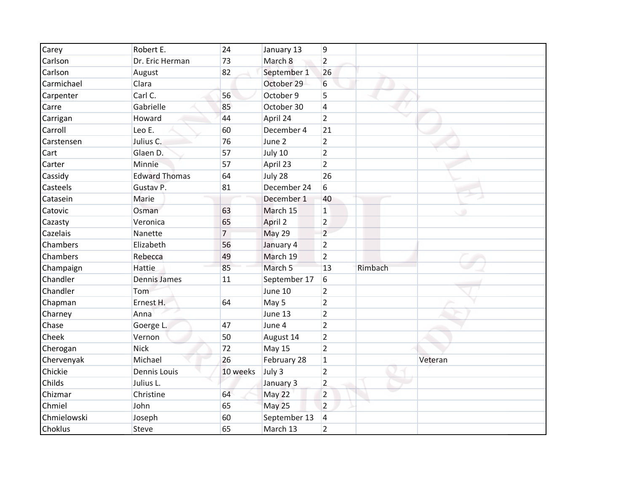| Carey       | Robert E.            | 24             | January 13   | 9              |         |         |
|-------------|----------------------|----------------|--------------|----------------|---------|---------|
| Carlson     | Dr. Eric Herman      | 73             | March 8      | $\overline{2}$ |         |         |
| Carlson     | August               | 82             | September 1  | 26             |         |         |
| Carmichael  | Clara                |                | October 29   | 6              |         |         |
| Carpenter   | Carl C.              | 56             | October 9    | 5              |         |         |
| Carre       | Gabrielle            | 85             | October 30   | 4              |         |         |
| Carrigan    | Howard               | 44             | April 24     | $\overline{2}$ |         |         |
| Carroll     | Leo E.               | 60             | December 4   | 21             |         |         |
| Carstensen  | Julius C.            | 76             | June 2       | $\overline{2}$ |         |         |
| Cart        | Glaen D.             | 57             | July 10      | $\overline{2}$ |         |         |
| Carter      | Minnie               | 57             | April 23     | $\overline{2}$ |         |         |
| Cassidy     | <b>Edward Thomas</b> | 64             | July 28      | 26             |         |         |
| Casteels    | Gustav P.            | 81             | December 24  | 6              |         |         |
| Catasein    | Marie                |                | December 1   | 40             |         |         |
| Catovic     | Osman                | 63             | March 15     | $\mathbf{1}$   |         |         |
| Cazasty     | Veronica             | 65             | April 2      | $\overline{2}$ |         |         |
| Cazelais    | Nanette              | $\overline{7}$ | May 29       | $\overline{2}$ |         |         |
| Chambers    | Elizabeth            | 56             | January 4    | $\overline{2}$ |         |         |
| Chambers    | Rebecca              | 49             | March 19     | $\overline{2}$ |         |         |
| Champaign   | Hattie               | 85             | March 5      | 13             | Rimbach |         |
| Chandler    | <b>Dennis James</b>  | 11             | September 17 | 6              |         |         |
| Chandler    | Tom                  |                | June 10      | $\overline{2}$ |         |         |
| Chapman     | Ernest H.            | 64             | May 5        | $\overline{2}$ |         |         |
| Charney     | Anna                 |                | June 13      | $\overline{2}$ |         |         |
| Chase       | Goerge L.            | 47             | June 4       | $\overline{2}$ |         |         |
| Cheek       | Vernon               | 50             | August 14    | $\overline{2}$ |         |         |
| Cherogan    | <b>Nick</b>          | 72             | May 15       | $\overline{2}$ |         |         |
| Chervenyak  | Michael              | 26             | February 28  | $\mathbf{1}$   |         | Veteran |
| Chickie     | <b>Dennis Louis</b>  | 10 weeks       | July 3       | $\overline{2}$ |         |         |
| Childs      | Julius L.            |                | January 3    | $\overline{2}$ |         |         |
| Chizmar     | Christine            | 64             | May 22       | $\overline{2}$ |         |         |
| Chmiel      | John                 | 65             | May 25       | $\overline{2}$ |         |         |
| Chmielowski | Joseph               | 60             | September 13 | 4              |         |         |
| Choklus     | <b>Steve</b>         | 65             | March 13     | $\overline{2}$ |         |         |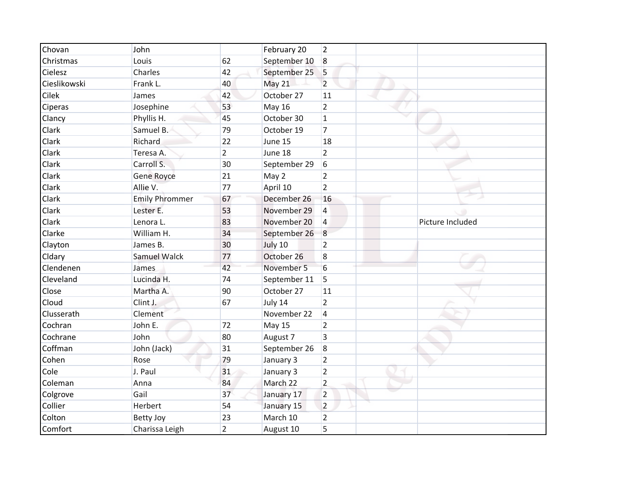| Chovan       | John                  |                | February 20   | 2              |                  |
|--------------|-----------------------|----------------|---------------|----------------|------------------|
| Christmas    | Louis                 | 62             | September 10  | $\overline{8}$ |                  |
| Cielesz      | Charles               | 42             | September 25  | 5              |                  |
| Cieslikowski | Frank L.              | 40             | May 21        | $\overline{2}$ |                  |
| <b>Cilek</b> | James                 | 42             | October 27    | 11             |                  |
| Ciperas      | Josephine             | 53             | <b>May 16</b> | $\overline{2}$ |                  |
| Clancy       | Phyllis H.            | 45             | October 30    | $\mathbf{1}$   |                  |
| Clark        | Samuel B.             | 79             | October 19    | $\overline{7}$ |                  |
| Clark        | Richard               | 22             | June 15       | 18             |                  |
| Clark        | Teresa A.             | $\overline{2}$ | June 18       | $\overline{2}$ |                  |
| Clark        | Carroll S.            | 30             | September 29  | 6              |                  |
| Clark        | Gene Royce            | 21             | May 2         | 2              |                  |
| Clark        | Allie V.              | 77             | April 10      | $\overline{2}$ |                  |
| Clark        | <b>Emily Phrommer</b> | 67             | December 26   | 16             |                  |
| Clark        | Lester E.             | 53             | November 29   | 4              |                  |
| Clark        | Lenora L.             | 83             | November 20   | $\overline{4}$ | Picture Included |
| Clarke       | William H.            | 34             | September 26  | $\overline{8}$ |                  |
| Clayton      | James B.              | 30             | July 10       | $\overline{2}$ |                  |
| Cldary       | <b>Samuel Walck</b>   | 77             | October 26    | 8              |                  |
| Clendenen    | James                 | 42             | November 5    | 6              |                  |
| Cleveland    | Lucinda H.            | 74             | September 11  | 5              |                  |
| Close        | Martha A.             | 90             | October 27    | 11             |                  |
| Cloud        | Clint J.              | 67             | July 14       | $\overline{2}$ |                  |
| Clusserath   | Clement               |                | November 22   | 4              |                  |
| Cochran      | John E.               | 72             | <b>May 15</b> | $\overline{2}$ |                  |
| Cochrane     | John                  | 80             | August 7      | 3              |                  |
| Coffman      | John (Jack)           | 31             | September 26  | 8              |                  |
| Cohen        | Rose                  | 79             | January 3     | $\overline{2}$ |                  |
| Cole         | J. Paul               | 31             | January 3     | $\overline{2}$ |                  |
| Coleman      | Anna                  | 84             | March 22      | $\overline{2}$ |                  |
| Colgrove     | Gail                  | 37             | January 17    | $\overline{2}$ |                  |
| Collier      | Herbert               | 54             | January 15    | $\overline{2}$ |                  |
| Colton       | <b>Betty Joy</b>      | 23             | March 10      | $\overline{2}$ |                  |
| Comfort      | Charissa Leigh        | $\overline{2}$ | August 10     | 5              |                  |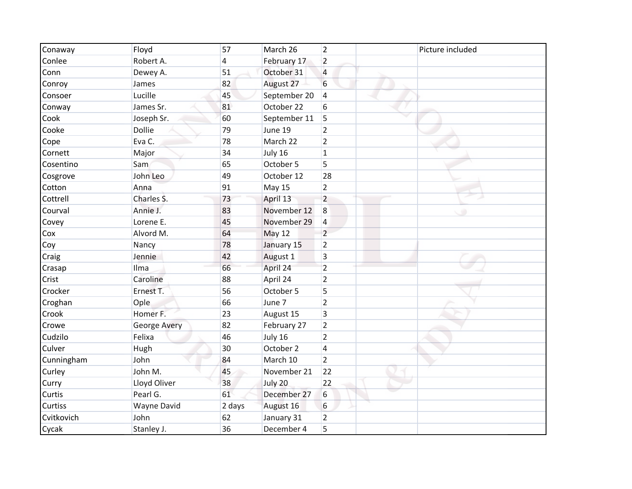| Conaway        | Floyd              | 57     | March 26      | $\overline{2}$ | Picture included |
|----------------|--------------------|--------|---------------|----------------|------------------|
| Conlee         | Robert A.          | 4      | February 17   | $\overline{2}$ |                  |
| Conn           | Dewey A.           | 51     | October 31    | $\overline{4}$ |                  |
| Conroy         | James              | 82     | August 27     | 6              |                  |
| Consoer        | Lucille            | 45     | September 20  | $\overline{4}$ |                  |
| Conway         | James Sr.          | 81     | October 22    | 6              |                  |
| Cook           | Joseph Sr.         | 60     | September 11  | 5              |                  |
| Cooke          | <b>Dollie</b>      | 79     | June 19       | $\overline{2}$ |                  |
| Cope           | Eva C.             | 78     | March 22      | $\overline{2}$ |                  |
| Cornett        | Major              | 34     | July 16       | $\mathbf{1}$   |                  |
| Cosentino      | Sam                | 65     | October 5     | 5              |                  |
| Cosgrove       | John Leo           | 49     | October 12    | 28             |                  |
| Cotton         | Anna               | 91     | <b>May 15</b> | $\overline{2}$ |                  |
| Cottrell       | Charles S.         | 73     | April 13      | $\overline{2}$ |                  |
| Courval        | Annie J.           | 83     | November 12   | 8              |                  |
| Covey          | Lorene E.          | 45     | November 29   | 4              |                  |
| Cox            | Alvord M.          | 64     | <b>May 12</b> | $\overline{2}$ |                  |
| Coy            | Nancy              | 78     | January 15    | $\overline{2}$ |                  |
| Craig          | Jennie             | 42     | August 1      | 3              |                  |
| Crasap         | Ilma               | 66     | April 24      | $\overline{2}$ |                  |
| Crist          | Caroline           | 88     | April 24      | $\overline{2}$ |                  |
| Crocker        | Ernest T.          | 56     | October 5     | 5              |                  |
| Croghan        | Ople               | 66     | June 7        | $\overline{2}$ |                  |
| Crook          | Homer F.           | 23     | August 15     | 3              |                  |
| Crowe          | George Avery       | 82     | February 27   | $\overline{2}$ |                  |
| Cudzilo        | Felixa             | 46     | July 16       | $\overline{2}$ |                  |
| Culver         | Hugh               | 30     | October 2     | 4              |                  |
| Cunningham     | John               | 84     | March 10      | $\overline{2}$ |                  |
| Curley         | John M.            | 45     | November 21   | 22             |                  |
| Curry          | Lloyd Oliver       | 38     | July 20       | 22             |                  |
| Curtis         | Pearl G.           | 61     | December 27   | 6              |                  |
| <b>Curtiss</b> | <b>Wayne David</b> | 2 days | August 16     | 6              |                  |
| Cvitkovich     | John               | 62     | January 31    | $\overline{2}$ |                  |
| Cycak          | Stanley J.         | 36     | December 4    | 5              |                  |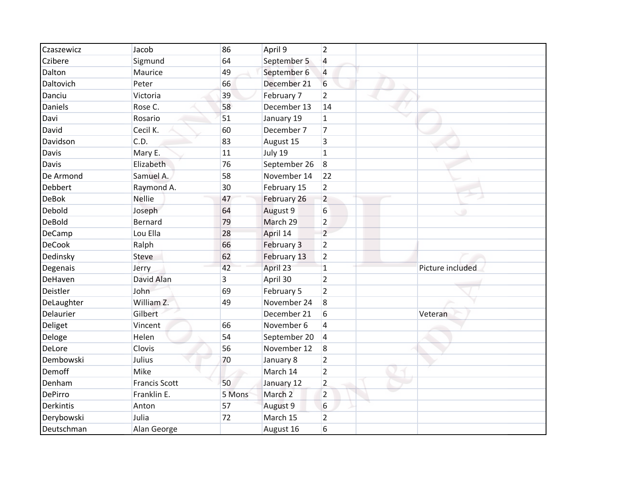| Czaszewicz    | Jacob                | 86     | April 9            | $\overline{2}$ |                  |
|---------------|----------------------|--------|--------------------|----------------|------------------|
| Czibere       | Sigmund              | 64     | September 5        | 4              |                  |
| Dalton        | Maurice              | 49     | September 6        | $\overline{4}$ |                  |
| Daltovich     | Peter                | 66     | December 21        | 6              |                  |
| Danciu        | Victoria             | 39     | February 7         | $\overline{2}$ |                  |
| Daniels       | Rose C.              | 58     | December 13        | 14             |                  |
| Davi          | Rosario              | 51     | January 19         | $\mathbf{1}$   |                  |
| David         | Cecil K.             | 60     | December 7         | 7              |                  |
| Davidson      | C.D.                 | 83     | August 15          | 3              |                  |
| Davis         | Mary E.              | 11     | July 19            | $\mathbf{1}$   |                  |
| Davis         | Elizabeth            | 76     | September 26       | 8              |                  |
| De Armond     | Samuel A.            | 58     | November 14        | 22             |                  |
| Debbert       | Raymond A.           | 30     | February 15        | $\overline{2}$ |                  |
| <b>DeBok</b>  | <b>Nellie</b>        | 47     | February 26        | $\overline{2}$ |                  |
| Debold        | Joseph               | 64     | August 9           | 6              |                  |
| DeBold        | Bernard              | 79     | March 29           | $\overline{2}$ |                  |
| DeCamp        | Lou Ella             | 28     | April 14           | $\overline{2}$ |                  |
| <b>DeCook</b> | Ralph                | 66     | February 3         | $\overline{2}$ |                  |
| Dedinsky      | Steve                | 62     | February 13        | $\overline{2}$ |                  |
| Degenais      | Jerry                | 42     | April 23           | $\mathbf{1}$   | Picture included |
| DeHaven       | David Alan           | 3      | April 30           | $\overline{2}$ |                  |
| Deistler      | John                 | 69     | February 5         | $\overline{2}$ |                  |
| DeLaughter    | William Z.           | 49     | November 24        | 8              |                  |
| Delaurier     | Gilbert              |        | December 21        | 6              | Veteran          |
| Deliget       | Vincent              | 66     | November 6         | $\overline{4}$ |                  |
| Deloge        | Helen                | 54     | September 20       | $\overline{4}$ |                  |
| DeLore        | Clovis               | 56     | November 12        | 8              |                  |
| Dembowski     | Julius               | 70     | January 8          | $\overline{2}$ |                  |
| Demoff        | Mike                 |        | March 14           | $\overline{2}$ |                  |
| Denham        | <b>Francis Scott</b> | 50     | January 12         | $\overline{2}$ |                  |
| DePirro       | Franklin E.          | 5 Mons | March <sub>2</sub> | $\overline{2}$ |                  |
| Derkintis     | Anton                | 57     | August 9           | 6              |                  |
| Derybowski    | Julia                | 72     | March 15           | $\overline{2}$ |                  |
| Deutschman    | Alan George          |        | August 16          | 6              |                  |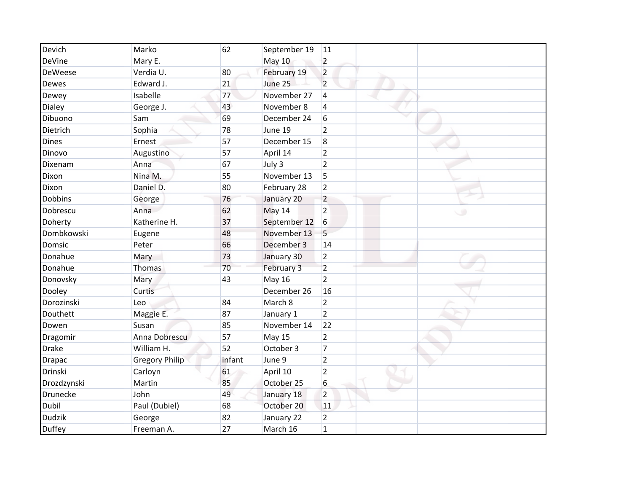| Devich         | Marko                 | 62     | September 19  | 11                  |
|----------------|-----------------------|--------|---------------|---------------------|
| DeVine         | Mary E.               |        | <b>May 10</b> | $\overline{2}$      |
| <b>DeWeese</b> | Verdia U.             | 80     | February 19   | $\overline{2}$      |
| <b>Dewes</b>   | Edward J.             | 21     | June 25       | $\overline{2}$      |
| Dewey          | Isabelle              | 77     | November 27   | $\overline{4}$      |
| Dialey         | George J.             | 43     | November 8    | 4                   |
| Dibuono        | Sam                   | 69     | December 24   | 6                   |
| Dietrich       | Sophia                | 78     | June 19       | $\overline{2}$      |
| <b>Dines</b>   | Ernest                | 57     | December 15   | 8                   |
| Dinovo         | Augustino             | 57     | April 14      | $\overline{2}$      |
| Dixenam        | Anna                  | 67     | July 3        | $\overline{2}$      |
| Dixon          | Nina M.               | 55     | November 13   | 5                   |
| Dixon          | Daniel D.             | 80     | February 28   | $\overline{2}$      |
| Dobbins        | George                | 76     | January 20    | $\overline{2}$      |
| Dobrescu       | Anna                  | 62     | May 14        | $\overline{2}$<br>٠ |
| Doherty        | Katherine H.          | 37     | September 12  | 6                   |
| Dombkowski     | Eugene                | 48     | November 13   | 5                   |
| Domsic         | Peter                 | 66     | December 3    | 14                  |
| Donahue        | Mary                  | 73     | January 30    | $\overline{2}$      |
| Donahue        | Thomas                | 70     | February 3    | $\overline{2}$      |
| Donovsky       | Mary                  | 43     | <b>May 16</b> | $\overline{2}$      |
| Dooley         | Curtis                |        | December 26   | 16                  |
| Dorozinski     | Leo                   | 84     | March 8       | $\overline{2}$      |
| Douthett       | Maggie E.             | 87     | January 1     | $\overline{2}$      |
| Dowen          | Susan                 | 85     | November 14   | 22                  |
| Dragomir       | Anna Dobrescu         | 57     | May 15        | $\overline{2}$      |
| <b>Drake</b>   | William H.            | 52     | October 3     | $\overline{7}$      |
| <b>Drapac</b>  | <b>Gregory Philip</b> | infant | June 9        | $\overline{2}$      |
| Drinski        | Carloyn               | 61     | April 10      | $\overline{2}$      |
| Drozdzynski    | Martin                | 85     | October 25    | 6                   |
| Drunecke       | John                  | 49     | January 18    | $\overline{2}$      |
| Dubil          | Paul (Dubiel)         | 68     | October 20    | 11                  |
| <b>Dudzik</b>  | George                | 82     | January 22    | $\overline{2}$      |
| <b>Duffey</b>  | Freeman A.            | 27     | March 16      | $\mathbf{1}$        |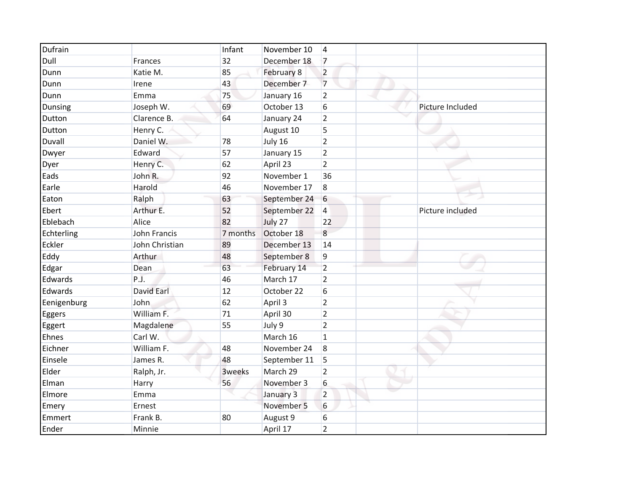| Dufrain     |                     | Infant   | November 10  | 4                |                  |
|-------------|---------------------|----------|--------------|------------------|------------------|
| Dull        | Frances             | 32       | December 18  | $\overline{7}$   |                  |
| Dunn        | Katie M.            | 85       | February 8   | $\overline{2}$   |                  |
| Dunn        | Irene               | 43       | December 7   | $\overline{7}$   |                  |
| Dunn        | Emma                | 75       | January 16   | $\overline{2}$   |                  |
| Dunsing     | Joseph W.           | 69       | October 13   | 6                | Picture Included |
| Dutton      | Clarence B.         | 64       | January 24   | $\overline{2}$   |                  |
| Dutton      | Henry C.            |          | August 10    | 5                |                  |
| Duvall      | Daniel W.           | 78       | July 16      | $\overline{2}$   |                  |
| Dwyer       | Edward              | 57       | January 15   | $\overline{2}$   |                  |
| Dyer        | Henry C.            | 62       | April 23     | $\overline{2}$   |                  |
| Eads        | John R.             | 92       | November 1   | 36               |                  |
| Earle       | Harold              | 46       | November 17  | 8                |                  |
| Eaton       | Ralph               | 63       | September 24 | $6\,$            |                  |
| Ebert       | Arthur E.           | 52       | September 22 | $\overline{4}$   | Picture included |
| Eblebach    | Alice               | 82       | July 27      | 22               |                  |
| Echterling  | <b>John Francis</b> | 7 months | October 18   | 8                |                  |
| Eckler      | John Christian      | 89       | December 13  | 14               |                  |
| Eddy        | Arthur              | 48       | September 8  | 9                |                  |
| Edgar       | Dean                | 63       | February 14  | $\overline{2}$   |                  |
| Edwards     | P.J.                | 46       | March 17     | $\overline{2}$   |                  |
| Edwards     | <b>David Earl</b>   | 12       | October 22   | 6                |                  |
| Eenigenburg | John                | 62       | April 3      | $\overline{2}$   |                  |
| Eggers      | William F.          | 71       | April 30     | $\overline{2}$   |                  |
| Eggert      | Magdalene           | 55       | July 9       | $\overline{2}$   |                  |
| Ehnes       | Carl W.             |          | March 16     | $\mathbf{1}$     |                  |
| Eichner     | William F.          | 48       | November 24  | $\boldsymbol{8}$ |                  |
| Einsele     | James R.            | 48       | September 11 | 5                |                  |
| Elder       | Ralph, Jr.          | 3weeks   | March 29     | $\overline{2}$   |                  |
| Elman       | Harry               | 56       | November 3   | 6                |                  |
| Elmore      | Emma                |          | January 3    | $\overline{2}$   |                  |
| Emery       | Ernest              |          | November 5   | 6                |                  |
| Emmert      | Frank B.            | 80       | August 9     | 6                |                  |
| Ender       | Minnie              |          | April 17     | $\overline{2}$   |                  |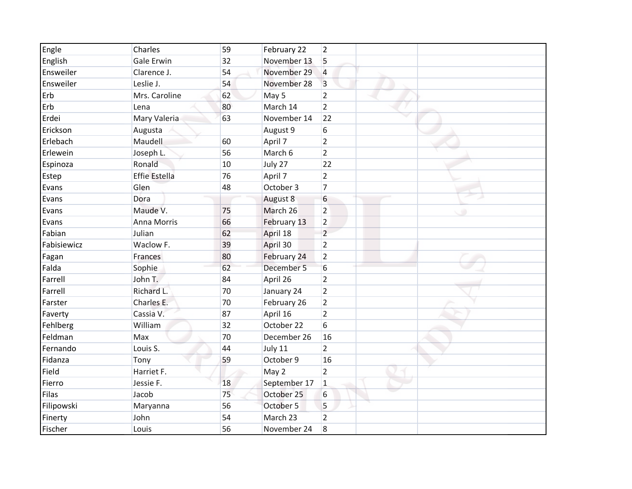| Engle       | Charles              | 59 | February 22  | 2              |  |
|-------------|----------------------|----|--------------|----------------|--|
| English     | <b>Gale Erwin</b>    | 32 | November 13  | 5              |  |
| Ensweiler   | Clarence J.          | 54 | November 29  | $\overline{4}$ |  |
| Ensweiler   | Leslie J.            | 54 | November 28  | $\overline{3}$ |  |
| Erb         | Mrs. Caroline        | 62 | May 5        | $\overline{2}$ |  |
| Erb         | Lena                 | 80 | March 14     | $\overline{2}$ |  |
| Erdei       | Mary Valeria         | 63 | November 14  | 22             |  |
| Erickson    | Augusta              |    | August 9     | 6              |  |
| Erlebach    | Maudell              | 60 | April 7      | $\overline{2}$ |  |
| Erlewein    | Joseph L.            | 56 | March 6      | $\overline{2}$ |  |
| Espinoza    | Ronald               | 10 | July 27      | 22             |  |
| Estep       | <b>Effie Estella</b> | 76 | April 7      | $\overline{2}$ |  |
| Evans       | Glen                 | 48 | October 3    | $\overline{7}$ |  |
| Evans       | Dora                 |    | August 8     | 6              |  |
| Evans       | Maude V.             | 75 | March 26     | $\overline{2}$ |  |
| Evans       | Anna Morris          | 66 | February 13  | $\overline{2}$ |  |
| Fabian      | Julian               | 62 | April 18     | $\overline{2}$ |  |
| Fabisiewicz | Waclow F.            | 39 | April 30     | $\overline{2}$ |  |
| Fagan       | Frances              | 80 | February 24  | $\overline{2}$ |  |
| Falda       | Sophie               | 62 | December 5   | 6              |  |
| Farrell     | John T.              | 84 | April 26     | $\overline{2}$ |  |
| Farrell     | Richard L.           | 70 | January 24   | $\overline{2}$ |  |
| Farster     | Charles E.           | 70 | February 26  | $\overline{2}$ |  |
| Faverty     | Cassia V.            | 87 | April 16     | $\overline{2}$ |  |
| Fehlberg    | William              | 32 | October 22   | 6              |  |
| Feldman     | Max                  | 70 | December 26  | 16             |  |
| Fernando    | Louis S.             | 44 | July 11      | $\overline{2}$ |  |
| Fidanza     | Tony                 | 59 | October 9    | 16             |  |
| Field       | Harriet F.           |    | May 2        | $\overline{2}$ |  |
| Fierro      | Jessie F.            | 18 | September 17 | $\mathbf{1}$   |  |
| Filas       | Jacob                | 75 | October 25   | 6              |  |
| Filipowski  | Maryanna             | 56 | October 5    | 5              |  |
| Finerty     | John                 | 54 | March 23     | $\overline{2}$ |  |
| Fischer     | Louis                | 56 | November 24  | 8              |  |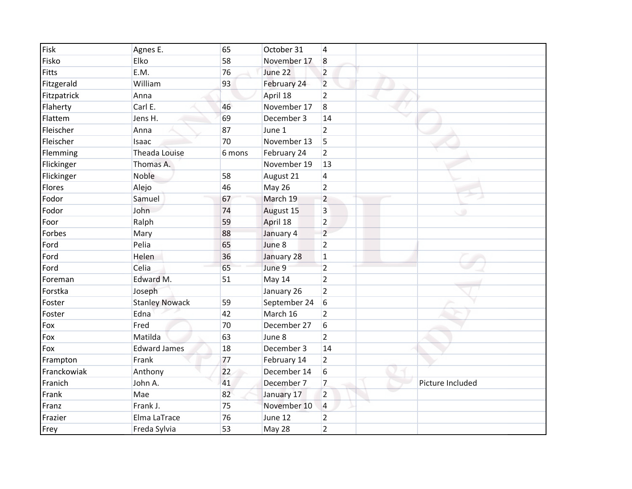| Fisk        | Agnes E.              | 65     | October 31   | $\overline{4}$          |                  |
|-------------|-----------------------|--------|--------------|-------------------------|------------------|
| Fisko       | Elko                  | 58     | November 17  | 8                       |                  |
| Fitts       | E.M.                  | 76     | June 22      | $\overline{2}$          |                  |
| Fitzgerald  | William               | 93     | February 24  | $\overline{2}$          |                  |
| Fitzpatrick | Anna                  |        | April 18     | $\overline{2}$          |                  |
| Flaherty    | Carl E.               | 46     | November 17  | 8                       |                  |
| Flattem     | Jens H.               | 69     | December 3   | 14                      |                  |
| Fleischer   | Anna                  | 87     | June 1       | $\overline{2}$          |                  |
| Fleischer   | Isaac                 | 70     | November 13  | 5                       |                  |
| Flemming    | <b>Theada Louise</b>  | 6 mons | February 24  | $\overline{2}$          |                  |
| Flickinger  | Thomas A.             |        | November 19  | 13                      |                  |
| Flickinger  | Noble                 | 58     | August 21    | 4                       |                  |
| Flores      | Alejo                 | 46     | May 26       | $\overline{2}$          |                  |
| Fodor       | Samuel                | 67     | March 19     | $\overline{2}$          |                  |
| Fodor       | John                  | 74     | August 15    | $\overline{\mathbf{3}}$ |                  |
| Foor        | Ralph                 | 59     | April 18     | $\overline{2}$          |                  |
| Forbes      | Mary                  | 88     | January 4    | $\overline{2}$          |                  |
| Ford        | Pelia                 | 65     | June 8       | $\overline{2}$          |                  |
| Ford        | Helen                 | 36     | January 28   | $\mathbf 1$             |                  |
| Ford        | Celia                 | 65     | June 9       | $\overline{2}$          |                  |
| Foreman     | Edward M.             | 51     | May 14       | $\overline{2}$          |                  |
| Forstka     | Joseph                |        | January 26   | $\overline{2}$          |                  |
| Foster      | <b>Stanley Nowack</b> | 59     | September 24 | 6                       |                  |
| Foster      | Edna                  | 42     | March 16     | $\overline{2}$          |                  |
| Fox         | Fred                  | 70     | December 27  | 6                       |                  |
| Fox         | Matilda               | 63     | June 8       | $\overline{2}$          |                  |
| Fox         | <b>Edward James</b>   | 18     | December 3   | 14                      |                  |
| Frampton    | Frank                 | 77     | February 14  | $\overline{2}$          |                  |
| Franckowiak | Anthony               | 22     | December 14  | 6                       |                  |
| Franich     | John A.               | 41     | December 7   | $\overline{7}$          | Picture Included |
| Frank       | Mae                   | 82     | January 17   | $\overline{2}$          |                  |
| Franz       | Frank J.              | 75     | November 10  | 4                       |                  |
| Frazier     | Elma LaTrace          | 76     | June 12      | $\overline{2}$          |                  |
| Frey        | Freda Sylvia          | 53     | May 28       | $\overline{2}$          |                  |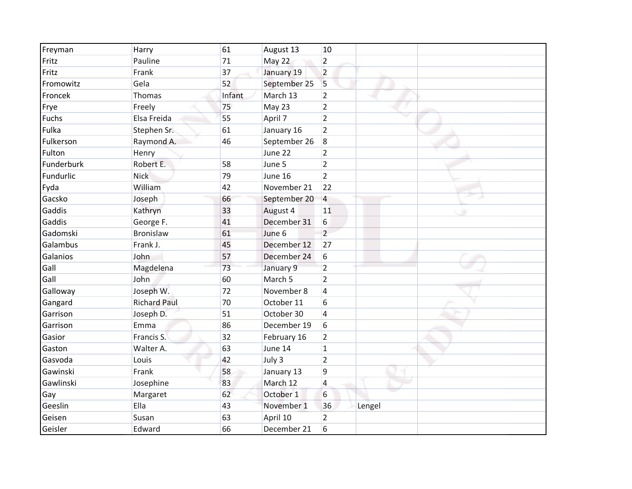| Freyman    | Harry               | 61     | August 13          | 10             |        |  |
|------------|---------------------|--------|--------------------|----------------|--------|--|
| Fritz      | Pauline             | 71     | May 22             | $\overline{2}$ |        |  |
| Fritz      | Frank               | 37     | January 19         | $\overline{2}$ |        |  |
| Fromowitz  | Gela                | 52     | September 25       | 5              |        |  |
| Froncek    | Thomas              | Infant | March 13           | $\overline{2}$ |        |  |
| Frye       | Freely              | 75     | May 23             | $\overline{2}$ |        |  |
| Fuchs      | Elsa Freida         | 55     | April 7            | $\overline{2}$ |        |  |
| Fulka      | Stephen Sr.         | 61     | January 16         | $\overline{2}$ |        |  |
| Fulkerson  | Raymond A.          | 46     | September 26       | 8              |        |  |
| Fulton     | Henry               |        | June 22            | $\overline{2}$ |        |  |
| Funderburk | Robert E.           | 58     | June 5             | $\overline{2}$ |        |  |
| Fundurlic  | <b>Nick</b>         | 79     | June 16            | $\overline{2}$ |        |  |
| Fyda       | William             | 42     | November 21        | 22             |        |  |
| Gacsko     | Joseph              | 66     | September 20       | 4              |        |  |
| Gaddis     | Kathryn             | 33     | August 4           | 11             |        |  |
| Gaddis     | George F.           | 41     | December 31        | 6              |        |  |
| Gadomski   | Bronislaw           | 61     | June 6             | $\overline{2}$ |        |  |
| Galambus   | Frank J.            | 45     | December 12        | 27             |        |  |
| Galanios   | John                | 57     | December 24        | 6              |        |  |
| Gall       | Magdelena           | 73     | January 9          | $\overline{2}$ |        |  |
| Gall       | John                | 60     | March <sub>5</sub> | $\overline{2}$ |        |  |
| Galloway   | Joseph W.           | 72     | November 8         | 4              |        |  |
| Gangard    | <b>Richard Paul</b> | 70     | October 11         | 6              |        |  |
| Garrison   | Joseph D.           | 51     | October 30         | 4              |        |  |
| Garrison   | Emma                | 86     | December 19        | 6              |        |  |
| Gasior     | Francis S.          | 32     | February 16        | $\overline{2}$ |        |  |
| Gaston     | Walter A.           | 63     | June 14            | $\mathbf{1}$   |        |  |
| Gasvoda    | Louis               | 42     | July 3             | $\overline{2}$ |        |  |
| Gawinski   | Frank               | 58     | January 13         | 9              |        |  |
| Gawlinski  | Josephine           | 83     | March 12           | 4              |        |  |
| Gay        | Margaret            | 62     | October 1          | 6              |        |  |
| Geeslin    | Ella                | 43     | November 1         | 36             | Lengel |  |
| Geisen     | Susan               | 63     | April 10           | $\overline{2}$ |        |  |
| Geisler    | Edward              | 66     | December 21        | 6              |        |  |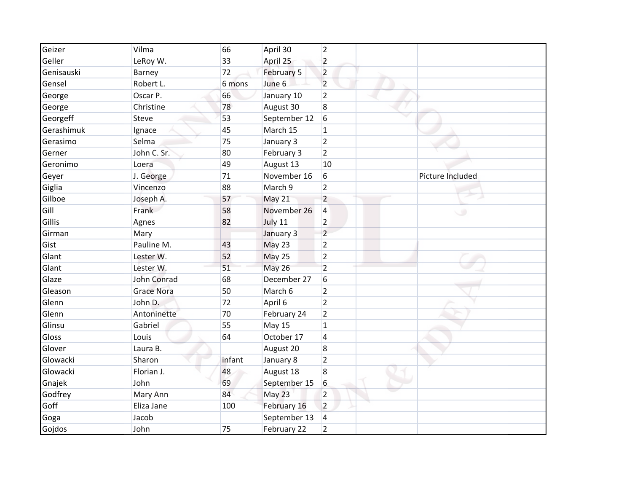| Geizer     | Vilma             | 66     | April 30      | $\overline{2}$ |                  |
|------------|-------------------|--------|---------------|----------------|------------------|
| Geller     | LeRoy W.          | 33     | April 25      | $\overline{2}$ |                  |
| Genisauski | Barney            | 72     | February 5    | $\overline{2}$ |                  |
| Gensel     | Robert L.         | 6 mons | June 6        | $\overline{2}$ |                  |
| George     | Oscar P.          | 66     | January 10    | $\overline{2}$ |                  |
| George     | Christine         | 78     | August 30     | 8              |                  |
| Georgeff   | Steve             | 53     | September 12  | 6              |                  |
| Gerashimuk | Ignace            | 45     | March 15      | 1              |                  |
| Gerasimo   | Selma             | 75     | January 3     | $\overline{2}$ |                  |
| Gerner     | John C. Sr.       | 80     | February 3    | $\overline{2}$ |                  |
| Geronimo   | Loera             | 49     | August 13     | 10             |                  |
| Geyer      | J. George         | 71     | November 16   | 6              | Picture Included |
| Giglia     | Vincenzo          | 88     | March 9       | $\overline{2}$ |                  |
| Gilboe     | Joseph A.         | 57     | May 21        | $\overline{2}$ |                  |
| Gill       | Frank             | 58     | November 26   | 4              |                  |
| Gillis     | Agnes             | 82     | July 11       | $\overline{2}$ |                  |
| Girman     | Mary              |        | January 3     | $\overline{2}$ |                  |
| Gist       | Pauline M.        | 43     | May 23        | $\overline{2}$ |                  |
| Glant      | Lester W.         | 52     | May 25        | $\overline{2}$ |                  |
| Glant      | Lester W.         | 51     | <b>May 26</b> | $\overline{2}$ |                  |
| Glaze      | John Conrad       | 68     | December 27   | 6              |                  |
| Gleason    | <b>Grace Nora</b> | 50     | March 6       | $\overline{2}$ |                  |
| Glenn      | John D.           | 72     | April 6       | $\overline{2}$ |                  |
| Glenn      | Antoninette       | 70     | February 24   | $\overline{2}$ |                  |
| Glinsu     | Gabriel           | 55     | May 15        | $\mathbf{1}$   |                  |
| Gloss      | Louis             | 64     | October 17    | 4              |                  |
| Glover     | Laura B.          |        | August 20     | 8              |                  |
| Glowacki   | Sharon            | infant | January 8     | $\overline{2}$ |                  |
| Glowacki   | Florian J.        | 48     | August 18     | 8              |                  |
| Gnajek     | John              | 69     | September 15  | 6              |                  |
| Godfrey    | Mary Ann          | 84     | May 23        | $\overline{2}$ |                  |
| Goff       | Eliza Jane        | 100    | February 16   | $\overline{2}$ |                  |
| Goga       | Jacob             |        | September 13  | $\overline{4}$ |                  |
| Gojdos     | John              | 75     | February 22   | $\overline{2}$ |                  |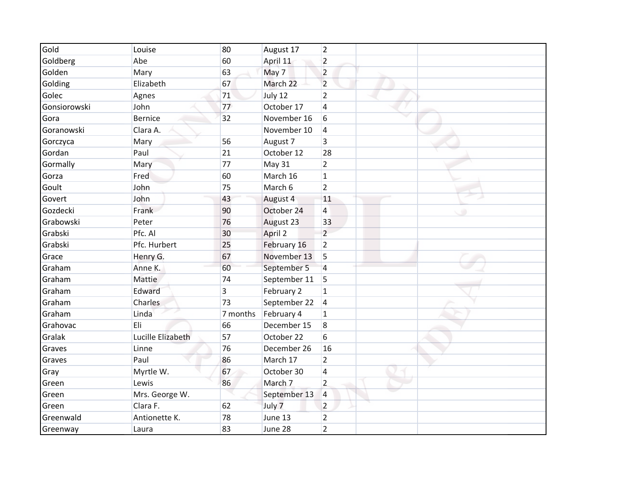| Gold         | Louise            | 80       | August 17    | $\overline{2}$ |  |  |
|--------------|-------------------|----------|--------------|----------------|--|--|
| Goldberg     | Abe               | 60       | April 11     | $\overline{2}$ |  |  |
| Golden       | Mary              | 63       | May 7        | $\overline{2}$ |  |  |
| Golding      | Elizabeth         | 67       | March 22     | $\overline{2}$ |  |  |
| Golec        | Agnes             | 71       | July 12      | $\overline{2}$ |  |  |
| Gonsiorowski | John              | 77       | October 17   | $\overline{4}$ |  |  |
| Gora         | <b>Bernice</b>    | 32       | November 16  | 6              |  |  |
| Goranowski   | Clara A.          |          | November 10  | $\overline{4}$ |  |  |
| Gorczyca     | Mary              | 56       | August 7     | 3              |  |  |
| Gordan       | Paul              | 21       | October 12   | 28             |  |  |
| Gormally     | Mary              | 77       | May 31       | $\overline{2}$ |  |  |
| Gorza        | Fred              | 60       | March 16     | $\mathbf{1}$   |  |  |
| Goult        | John              | 75       | March 6      | $\overline{2}$ |  |  |
| Govert       | John              | 43       | August 4     | 11             |  |  |
| Gozdecki     | Frank             | 90       | October 24   | $\overline{4}$ |  |  |
| Grabowski    | Peter             | 76       | August 23    | 33             |  |  |
| Grabski      | Pfc. Al           | 30       | April 2      | $\overline{2}$ |  |  |
| Grabski      | Pfc. Hurbert      | 25       | February 16  | $\overline{2}$ |  |  |
| Grace        | Henry G.          | 67       | November 13  | 5              |  |  |
| Graham       | Anne K.           | 60       | September 5  | $\overline{4}$ |  |  |
| Graham       | <b>Mattie</b>     | 74       | September 11 | 5              |  |  |
| Graham       | Edward            | 3        | February 2   | $\mathbf{1}$   |  |  |
| Graham       | Charles           | 73       | September 22 | 4              |  |  |
| Graham       | Linda             | 7 months | February 4   | $\mathbf{1}$   |  |  |
| Grahovac     | Eli               | 66       | December 15  | 8              |  |  |
| Gralak       | Lucille Elizabeth | 57       | October 22   | 6              |  |  |
| Graves       | Linne             | 76       | December 26  | 16             |  |  |
| Graves       | Paul              | 86       | March 17     | $\overline{2}$ |  |  |
| Gray         | Myrtle W.         | 67       | October 30   | 4              |  |  |
| Green        | Lewis             | 86       | March 7      | $\overline{2}$ |  |  |
| Green        | Mrs. George W.    |          | September 13 | 4              |  |  |
| Green        | Clara F.          | 62       | July 7       | $\overline{2}$ |  |  |
| Greenwald    | Antionette K.     | 78       | June 13      | $\overline{2}$ |  |  |
| Greenway     | Laura             | 83       | June 28      | $\overline{2}$ |  |  |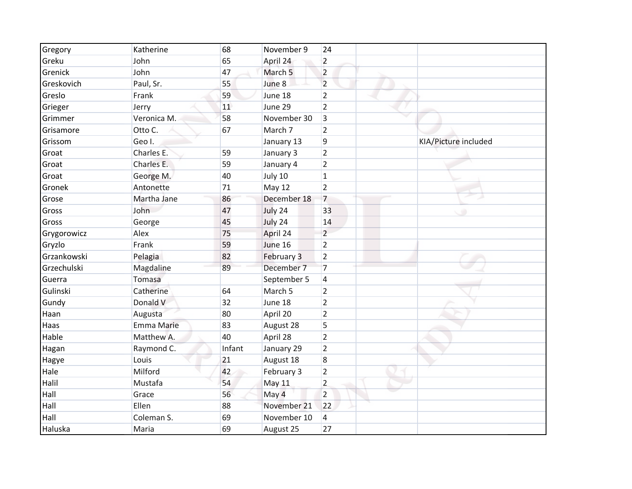| Gregory     | Katherine         | 68     | November 9         | 24             |                      |
|-------------|-------------------|--------|--------------------|----------------|----------------------|
| Greku       | John              | 65     | April 24           | $\overline{2}$ |                      |
| Grenick     | John              | 47     | March <sub>5</sub> | $\overline{2}$ |                      |
| Greskovich  | Paul, Sr.         | 55     | June 8             | $\overline{2}$ |                      |
| Greslo      | Frank             | 59     | June 18            | $\overline{2}$ |                      |
| Grieger     | Jerry             | 11     | June 29            | $\overline{2}$ |                      |
| Grimmer     | Veronica M.       | 58     | November 30        | 3              |                      |
| Grisamore   | Otto C.           | 67     | March 7            | $\overline{2}$ |                      |
| Grissom     | Geo I.            |        | January 13         | 9              | KIA/Picture included |
| Groat       | Charles E.        | 59     | January 3          | $\overline{2}$ |                      |
| Groat       | Charles E.        | 59     | January 4          | $\overline{2}$ |                      |
| Groat       | George M.         | 40     | July 10            | $\mathbf{1}$   |                      |
| Gronek      | Antonette         | 71     | May 12             | $\overline{2}$ |                      |
| Grose       | Martha Jane       | 86     | December 18        | $\overline{7}$ |                      |
| Gross       | John              | 47     | July 24            | 33             |                      |
| Gross       | George            | 45     | July 24            | 14             |                      |
| Grygorowicz | Alex              | 75     | April 24           | $\overline{2}$ |                      |
| Gryzlo      | Frank             | 59     | June 16            | $\overline{2}$ |                      |
| Grzankowski | Pelagia           | 82     | February 3         | $\overline{2}$ |                      |
| Grzechulski | Magdaline         | 89     | December 7         | $\overline{7}$ |                      |
| Guerra      | Tomasa            |        | September 5        | 4              |                      |
| Gulinski    | Catherine         | 64     | March 5            | $\overline{2}$ |                      |
| Gundy       | Donald V          | 32     | June 18            | $\overline{2}$ |                      |
| Haan        | Augusta           | 80     | April 20           | $\overline{2}$ |                      |
| Haas        | <b>Emma Marie</b> | 83     | August 28          | 5              |                      |
| Hable       | Matthew A.        | 40     | April 28           | $\overline{2}$ |                      |
| Hagan       | Raymond C.        | Infant | January 29         | $\overline{2}$ |                      |
| Hagye       | Louis             | 21     | August 18          | 8              |                      |
| Hale        | Milford           | 42     | February 3         | $\overline{2}$ |                      |
| Halil       | Mustafa           | 54     | May 11             | $\overline{2}$ |                      |
| Hall        | Grace             | 56     | May 4              | $\overline{2}$ |                      |
| Hall        | Ellen             | 88     | November 21        | 22             |                      |
| Hall        | Coleman S.        | 69     | November 10        | 4              |                      |
| Haluska     | Maria             | 69     | August 25          | 27             |                      |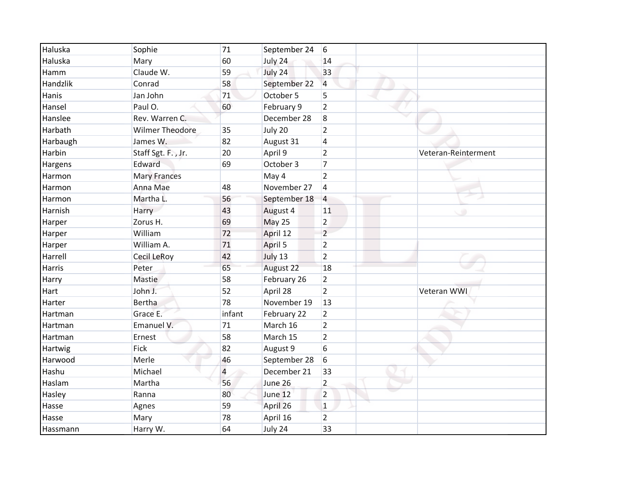| Haluska  | Sophie                 | 71     | September 24 | 6              |                     |
|----------|------------------------|--------|--------------|----------------|---------------------|
| Haluska  | Mary                   | 60     | July 24      | 14             |                     |
| Hamm     | Claude W.              | 59     | July 24      | 33             |                     |
| Handzlik | Conrad                 | 58     | September 22 | $\overline{4}$ |                     |
| Hanis    | Jan John               | 71     | October 5    | 5              |                     |
| Hansel   | Paul O.                | 60     | February 9   | $\overline{2}$ |                     |
| Hanslee  | Rev. Warren C.         |        | December 28  | 8              |                     |
| Harbath  | <b>Wilmer Theodore</b> | 35     | July 20      | $\overline{2}$ |                     |
| Harbaugh | James W.               | 82     | August 31    | 4              |                     |
| Harbin   | Staff Sgt. F., Jr.     | 20     | April 9      | $\overline{2}$ | Veteran-Reinterment |
| Hargens  | Edward                 | 69     | October 3    | $\overline{7}$ |                     |
| Harmon   | <b>Mary Frances</b>    |        | May 4        | $\overline{2}$ |                     |
| Harmon   | Anna Mae               | 48     | November 27  | $\overline{4}$ |                     |
| Harmon   | Martha L.              | 56     | September 18 | 4              |                     |
| Harnish  | Harry                  | 43     | August 4     | 11             |                     |
| Harper   | Zorus H.               | 69     | May 25       | $\overline{2}$ |                     |
| Harper   | William                | 72     | April 12     | $\overline{2}$ |                     |
| Harper   | William A.             | 71     | April 5      | $\overline{2}$ |                     |
| Harrell  | Cecil LeRoy            | 42     | July 13      | $\overline{2}$ |                     |
| Harris   | Peter                  | 65     | August 22    | 18             |                     |
| Harry    | Mastie                 | 58     | February 26  | $\overline{2}$ |                     |
| Hart     | John J.                | 52     | April 28     | $\overline{2}$ | Veteran WWI         |
| Harter   | Bertha                 | 78     | November 19  | 13             |                     |
| Hartman  | Grace E.               | infant | February 22  | $\overline{2}$ |                     |
| Hartman  | Emanuel V.             | 71     | March 16     | $\overline{2}$ |                     |
| Hartman  | Ernest                 | 58     | March 15     | $\overline{2}$ |                     |
| Hartwig  | Fick                   | 82     | August 9     | 6              |                     |
| Harwood  | Merle                  | 46     | September 28 | 6              |                     |
| Hashu    | Michael                | 4      | December 21  | 33             |                     |
| Haslam   | Martha                 | 56     | June 26      | $\overline{2}$ |                     |
| Hasley   | Ranna                  | 80     | June 12      | $\overline{2}$ |                     |
| Hasse    | Agnes                  | 59     | April 26     | $\mathbf{1}$   |                     |
| Hasse    | Mary                   | 78     | April 16     | $\overline{2}$ |                     |
| Hassmann | Harry W.               | 64     | July 24      | 33             |                     |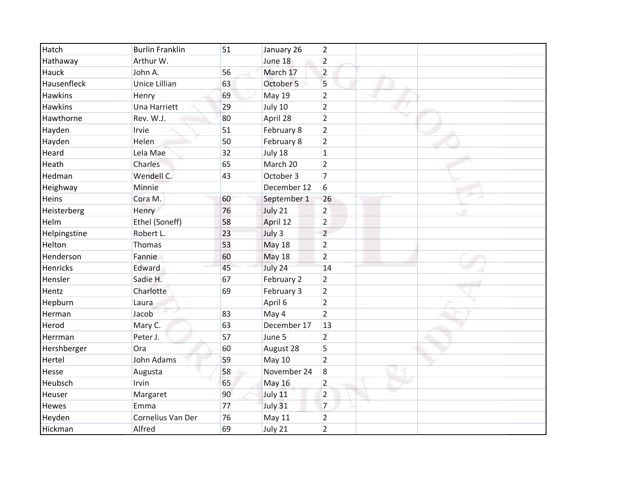| Hatch           | <b>Burlin Franklin</b> | 51 | January 26    | $\overline{2}$      |
|-----------------|------------------------|----|---------------|---------------------|
| Hathaway        | Arthur W.              |    | June 18       | $\overline{2}$      |
| Hauck           | John A.                | 56 | March 17      | $\overline{2}$      |
| Hausenfleck     | Unice Lillian          | 63 | October 5     | 5                   |
| <b>Hawkins</b>  | Henry                  | 69 | May 19        | $\overline{2}$      |
| <b>Hawkins</b>  | <b>Una Harriett</b>    | 29 | July 10       | $\overline{2}$      |
| Hawthorne       | Rev. W.J.              | 80 | April 28      | $\overline{2}$      |
| Hayden          | Irvie                  | 51 | February 8    | $\overline{2}$      |
| Hayden          | Helen                  | 50 | February 8    | $\overline{2}$      |
| Heard           | Lela Mae               | 32 | July 18       | $\mathbf{1}$        |
| Heath           | Charles                | 65 | March 20      | $\overline{2}$      |
| Hedman          | Wendell C.             | 43 | October 3     | $\overline{7}$      |
| Heighway        | Minnie                 |    | December 12   | 6                   |
| Heins           | Cora M.                | 60 | September 1   | 26                  |
| Heisterberg     | Henry                  | 76 | July 21       | $\overline{2}$<br>œ |
| Helm            | Ethel (Soneff)         | 58 | April 12      | $\overline{2}$      |
| Helpingstine    | Robert L.              | 23 | July 3        | $\overline{2}$      |
| Helton          | Thomas                 | 53 | May 18        | $\overline{2}$      |
| Henderson       | Fannie                 | 60 | <b>May 18</b> | $\overline{2}$      |
| <b>Henricks</b> | Edward                 | 45 | July 24       | 14                  |
| Hensler         | Sadie H.               | 67 | February 2    | $\overline{2}$      |
| Hentz           | Charlotte              | 69 | February 3    | $\overline{2}$      |
| Hepburn         | Laura                  |    | April 6       | $\overline{2}$      |
| Herman          | Jacob                  | 83 | May 4         | $\overline{2}$      |
| Herod           | Mary C.                | 63 | December 17   | 13                  |
| Herrman         | Peter J.               | 57 | June 5        | $\overline{2}$      |
| Hershberger     | Ora                    | 60 | August 28     | 5                   |
| Hertel          | John Adams             | 59 | <b>May 10</b> | $\overline{2}$      |
| Hesse           | Augusta                | 58 | November 24   | 8                   |
| Heubsch         | Irvin                  | 65 | <b>May 16</b> | $\overline{2}$      |
| Heuser          | Margaret               | 90 | July 11       | $\overline{2}$      |
| Hewes           | Emma                   | 77 | July 31       | $\overline{7}$      |
| Heyden          | Cornelius Van Der      | 76 | May 11        | $\overline{2}$      |
| Hickman         | Alfred                 | 69 | July 21       | $\overline{2}$      |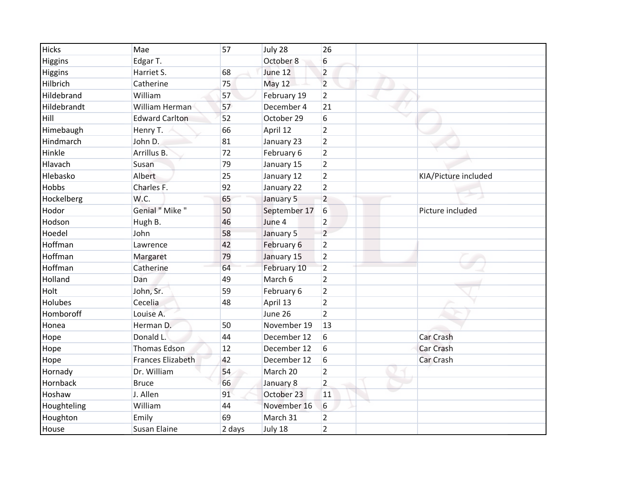| <b>Hicks</b> | Mae                      | 57     | July 28      | 26              |                      |
|--------------|--------------------------|--------|--------------|-----------------|----------------------|
| Higgins      | Edgar T.                 |        | October 8    | 6               |                      |
| Higgins      | Harriet S.               | 68     | June 12      | $\overline{2}$  |                      |
| Hilbrich     | Catherine                | 75     | May 12       | $\overline{2}$  |                      |
| Hildebrand   | William                  | 57     | February 19  | $\overline{2}$  |                      |
| Hildebrandt  | William Herman           | 57     | December 4   | 21              |                      |
| Hill         | <b>Edward Carlton</b>    | 52     | October 29   | $6\phantom{1}6$ |                      |
| Himebaugh    | Henry T.                 | 66     | April 12     | $\overline{2}$  |                      |
| Hindmarch    | John D.                  | 81     | January 23   | $\overline{2}$  |                      |
| Hinkle       | Arrillus B.              | 72     | February 6   | $\overline{2}$  |                      |
| Hlavach      | Susan                    | 79     | January 15   | $\overline{2}$  |                      |
| Hlebasko     | Albert                   | 25     | January 12   | $\overline{2}$  | KIA/Picture included |
| <b>Hobbs</b> | Charles F.               | 92     | January 22   | $\overline{2}$  |                      |
| Hockelberg   | W.C.                     | 65     | January 5    | $\overline{2}$  |                      |
| Hodor        | Genial " Mike "          | 50     | September 17 | 6               | Picture included     |
| Hodson       | Hugh B.                  | 46     | June 4       | $\overline{2}$  |                      |
| Hoedel       | John                     | 58     | January 5    | $\overline{2}$  |                      |
| Hoffman      | Lawrence                 | 42     | February 6   | $\overline{2}$  |                      |
| Hoffman      | Margaret                 | 79     | January 15   | $\overline{2}$  |                      |
| Hoffman      | Catherine                | 64     | February 10  | $\overline{2}$  |                      |
| Holland      | Dan                      | 49     | March 6      | $\overline{2}$  |                      |
| Holt         | John, Sr.                | 59     | February 6   | $\overline{2}$  |                      |
| Holubes      | Cecelia                  | 48     | April 13     | $\overline{2}$  |                      |
| Homboroff    | Louise A.                |        | June 26      | $\overline{2}$  |                      |
| Honea        | Herman D.                | 50     | November 19  | 13              |                      |
| Hope         | Donald L.                | 44     | December 12  | $6\,$           | <b>Car Crash</b>     |
| Hope         | <b>Thomas Edson</b>      | 12     | December 12  | 6               | <b>Car Crash</b>     |
| Hope         | <b>Frances Elizabeth</b> | 42     | December 12  | $6\phantom{1}6$ | Car Crash            |
| Hornady      | Dr. William              | 54     | March 20     | $\overline{2}$  |                      |
| Hornback     | <b>Bruce</b>             | 66     | January 8    | $\overline{2}$  |                      |
| Hoshaw       | J. Allen                 | 91     | October 23   | 11              |                      |
| Houghteling  | William                  | 44     | November 16  | 6               |                      |
| Houghton     | Emily                    | 69     | March 31     | $\overline{2}$  |                      |
| House        | <b>Susan Elaine</b>      | 2 days | July 18      | $\overline{2}$  |                      |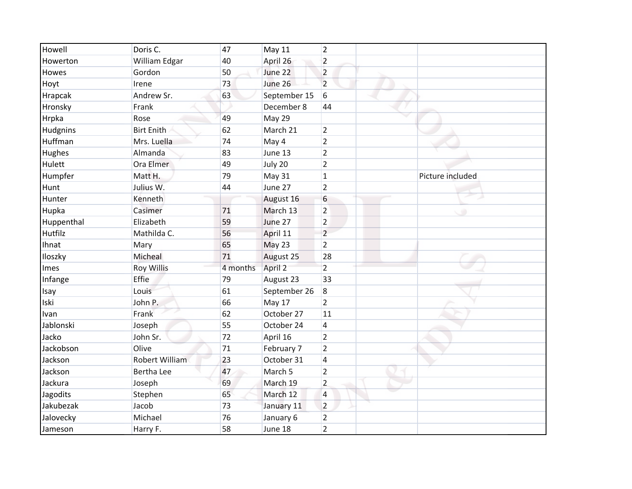| Howell        | Doris C.              | 47       | May 11       | 2              |                  |
|---------------|-----------------------|----------|--------------|----------------|------------------|
| Howerton      | William Edgar         | 40       | April 26     | $\overline{2}$ |                  |
| Howes         | Gordon                | 50       | June 22      | $\overline{2}$ |                  |
| Hoyt          | Irene                 | 73       | June 26      | $\overline{2}$ |                  |
| Hrapcak       | Andrew Sr.            | 63       | September 15 | 6              |                  |
| Hronsky       | Frank                 |          | December 8   | 44             |                  |
| Hrpka         | Rose                  | 49       | May 29       |                |                  |
| Hudgnins      | <b>Birt Enith</b>     | 62       | March 21     | $\overline{2}$ |                  |
| Huffman       | Mrs. Luella           | 74       | May 4        | $\overline{2}$ |                  |
| <b>Hughes</b> | Almanda               | 83       | June 13      | $\overline{2}$ |                  |
| Hulett        | Ora Elmer             | 49       | July 20      | $\overline{2}$ |                  |
| Humpfer       | Matt H.               | 79       | May 31       | $\mathbf 1$    | Picture included |
| Hunt          | Julius W.             | 44       | June 27      | $\overline{2}$ |                  |
| Hunter        | Kenneth               |          | August 16    | 6              |                  |
| Hupka         | Casimer               | 71       | March 13     | $\overline{2}$ | ۰                |
| Huppenthal    | Elizabeth             | 59       | June 27      | $\overline{2}$ |                  |
| Hutfilz       | Mathilda C.           | 56       | April 11     | $\overline{2}$ |                  |
| Ihnat         | Mary                  | 65       | May 23       | $\overline{2}$ |                  |
| Iloszky       | Micheal               | 71       | August 25    | 28             |                  |
| Imes          | <b>Roy Willis</b>     | 4 months | April 2      | $\overline{2}$ |                  |
| Infange       | Effie                 | 79       | August 23    | 33             |                  |
| Isay          | Louis                 | 61       | September 26 | 8              |                  |
| Iski          | John P.               | 66       | May 17       | $\overline{2}$ |                  |
| Ivan          | Frank                 | 62       | October 27   | 11             |                  |
| Jablonski     | Joseph                | 55       | October 24   | $\overline{4}$ |                  |
| Jacko         | John Sr.              | 72       | April 16     | $\overline{2}$ |                  |
| Jackobson     | Olive                 | 71       | February 7   | $\overline{2}$ |                  |
| Jackson       | <b>Robert William</b> | 23       | October 31   | 4              |                  |
| Jackson       | Bertha Lee            | 47       | March 5      | $\overline{2}$ |                  |
| Jackura       | Joseph                | 69       | March 19     | $\overline{2}$ |                  |
| Jagodits      | Stephen               | 65       | March 12     | 4              |                  |
| Jakubezak     | Jacob                 | 73       | January 11   | $\overline{2}$ |                  |
| Jalovecky     | Michael               | 76       | January 6    | $\overline{2}$ |                  |
| Jameson       | Harry F.              | 58       | June 18      | $\overline{2}$ |                  |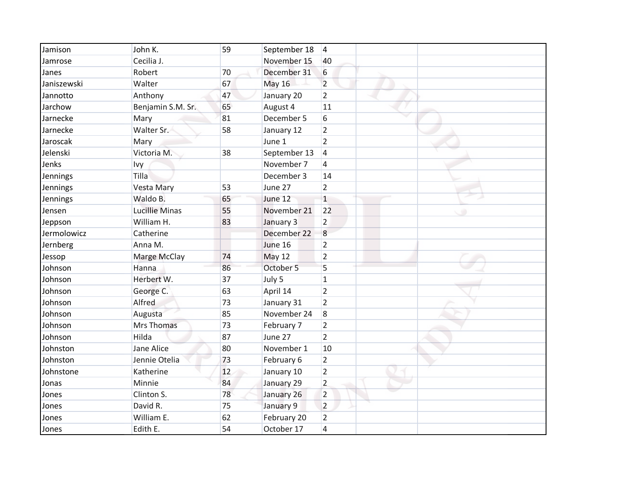| Jamison     | John K.               | 59 | September 18  | 4                |
|-------------|-----------------------|----|---------------|------------------|
| Jamrose     | Cecilia J.            |    | November 15   | 40               |
| Janes       | Robert                | 70 | December 31   | 6                |
| Janiszewski | Walter                | 67 | <b>May 16</b> | $\overline{2}$   |
| Jannotto    | Anthony               | 47 | January 20    | $\overline{2}$   |
| Jarchow     | Benjamin S.M. Sr.     | 65 | August 4      | 11               |
| Jarnecke    | Mary                  | 81 | December 5    | 6                |
| Jarnecke    | Walter Sr.            | 58 | January 12    | $\overline{2}$   |
| Jaroscak    | Mary                  |    | June 1        | $\overline{2}$   |
| Jelenski    | Victoria M.           | 38 | September 13  | 4                |
| Jenks       | Ivy                   |    | November 7    | 4                |
| Jennings    | Tilla                 |    | December 3    | 14               |
| Jennings    | Vesta Mary            | 53 | June 27       | $\overline{2}$   |
| Jennings    | Waldo B.              | 65 | June 12       | $\mathbf{1}$     |
| Jensen      | <b>Lucillie Minas</b> | 55 | November 21   | 22               |
| Jeppson     | William H.            | 83 | January 3     | $\overline{2}$   |
| Jermolowicz | Catherine             |    | December 22   | $\boldsymbol{8}$ |
| Jernberg    | Anna M.               |    | June 16       | $\overline{2}$   |
| Jessop      | Marge McClay          | 74 | <b>May 12</b> | $\overline{2}$   |
| Johnson     | Hanna                 | 86 | October 5     | 5                |
| Johnson     | Herbert W.            | 37 | July 5        | $\mathbf{1}$     |
| Johnson     | George C.             | 63 | April 14      | $\overline{2}$   |
| Johnson     | Alfred                | 73 | January 31    | $\overline{2}$   |
| Johnson     | Augusta               | 85 | November 24   | 8                |
| Johnson     | Mrs Thomas            | 73 | February 7    | $\overline{2}$   |
| Johnson     | Hilda                 | 87 | June 27       | $\overline{2}$   |
| Johnston    | Jane Alice            | 80 | November 1    | 10               |
| Johnston    | Jennie Otelia         | 73 | February 6    | $\overline{2}$   |
| Johnstone   | Katherine             | 12 | January 10    | $\overline{2}$   |
| Jonas       | Minnie                | 84 | January 29    | $\overline{2}$   |
| Jones       | Clinton S.            | 78 | January 26    | $\overline{2}$   |
| Jones       | David R.              | 75 | January 9     | $\overline{2}$   |
| Jones       | William E.            | 62 | February 20   | $\overline{2}$   |
| Jones       | Edith E.              | 54 | October 17    | 4                |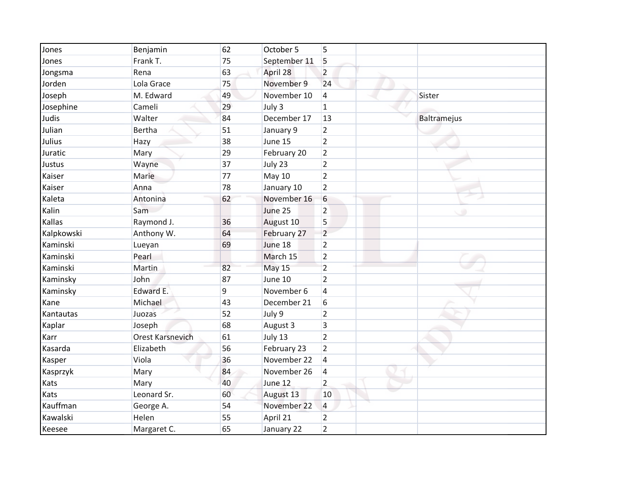| Jones      | Benjamin                | 62 | October 5     | 5              |             |
|------------|-------------------------|----|---------------|----------------|-------------|
| Jones      | Frank T.                | 75 | September 11  | 5              |             |
| Jongsma    | Rena                    | 63 | April 28      | $\overline{2}$ |             |
| Jorden     | Lola Grace              | 75 | November 9    | 24             |             |
| Joseph     | M. Edward               | 49 | November 10   | $\overline{4}$ | Sister      |
| Josephine  | Cameli                  | 29 | July 3        | $\mathbf{1}$   |             |
| Judis      | Walter                  | 84 | December 17   | 13             | Baltramejus |
| Julian     | Bertha                  | 51 | January 9     | $\overline{2}$ |             |
| Julius     | Hazy                    | 38 | June 15       | $\overline{2}$ |             |
| Juratic    | Mary                    | 29 | February 20   | $\overline{2}$ |             |
| Justus     | Wayne                   | 37 | July 23       | $\overline{2}$ |             |
| Kaiser     | Marie                   | 77 | May 10        | $\overline{2}$ |             |
| Kaiser     | Anna                    | 78 | January 10    | $\overline{2}$ |             |
| Kaleta     | Antonina                | 62 | November 16   | 6              |             |
| Kalin      | Sam                     |    | June 25       | $\overline{2}$ |             |
| Kallas     | Raymond J.              | 36 | August 10     | 5              |             |
| Kalpkowski | Anthony W.              | 64 | February 27   | $\overline{2}$ |             |
| Kaminski   | Lueyan                  | 69 | June 18       | $\overline{2}$ |             |
| Kaminski   | Pearl                   |    | March 15      | $\overline{2}$ |             |
| Kaminski   | Martin                  | 82 | <b>May 15</b> | $\overline{2}$ |             |
| Kaminsky   | John                    | 87 | June 10       | $\overline{2}$ |             |
| Kaminsky   | Edward E.               | 9  | November 6    | 4              |             |
| Kane       | Michael                 | 43 | December 21   | 6              |             |
| Kantautas  | Juozas                  | 52 | July 9        | $\overline{2}$ |             |
| Kaplar     | Joseph                  | 68 | August 3      | 3              |             |
| Karr       | <b>Orest Karsnevich</b> | 61 | July 13       | $\overline{2}$ |             |
| Kasarda    | Elizabeth               | 56 | February 23   | $\overline{2}$ |             |
| Kasper     | Viola                   | 36 | November 22   | $\overline{4}$ |             |
| Kasprzyk   | Mary                    | 84 | November 26   | 4              |             |
| Kats       | Mary                    | 40 | June 12       | $\overline{2}$ |             |
| Kats       | Leonard Sr.             | 60 | August 13     | 10             |             |
| Kauffman   | George A.               | 54 | November 22   | 4              |             |
| Kawalski   | Helen                   | 55 | April 21      | $\overline{2}$ |             |
| Keesee     | Margaret C.             | 65 | January 22    | $\overline{2}$ |             |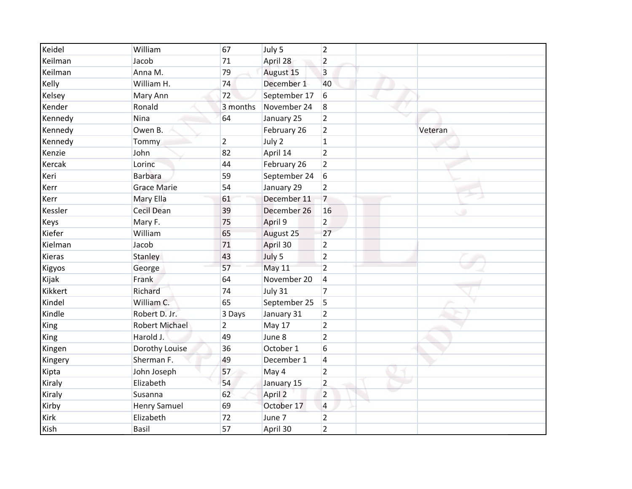| Keidel  | William               | 67             | July 5       | 2               |         |
|---------|-----------------------|----------------|--------------|-----------------|---------|
| Keilman | Jacob                 | 71             | April 28     | $\overline{2}$  |         |
| Keilman | Anna M.               | 79             | August 15    | 3               |         |
| Kelly   | William H.            | 74             | December 1   | 40              |         |
| Kelsey  | Mary Ann              | 72             | September 17 | 6               |         |
| Kender  | Ronald                | 3 months       | November 24  | 8               |         |
| Kennedy | Nina                  | 64             | January 25   | $\overline{2}$  |         |
| Kennedy | Owen B.               |                | February 26  | $\overline{2}$  | Veteran |
| Kennedy | Tommy                 | $\overline{2}$ | July 2       | $\mathbf 1$     |         |
| Kenzie  | John                  | 82             | April 14     | $\overline{2}$  |         |
| Kercak  | Lorinc                | 44             | February 26  | $\overline{2}$  |         |
| Keri    | <b>Barbara</b>        | 59             | September 24 | $6\overline{6}$ |         |
| Kerr    | <b>Grace Marie</b>    | 54             | January 29   | $\overline{2}$  |         |
| Kerr    | Mary Ella             | 61             | December 11  | $\overline{7}$  |         |
| Kessler | <b>Cecil Dean</b>     | 39             | December 26  | 16              |         |
| Keys    | Mary F.               | 75             | April 9      | $\overline{2}$  |         |
| Kiefer  | William               | 65             | August 25    | 27              |         |
| Kielman | Jacob                 | 71             | April 30     | $\overline{2}$  |         |
| Kieras  | Stanley               | 43             | July 5       | $\overline{2}$  |         |
| Kigyos  | George                | 57             | May 11       | $\overline{2}$  |         |
| Kijak   | Frank                 | 64             | November 20  | $\overline{4}$  |         |
| Kikkert | Richard               | 74             | July 31      | $\overline{7}$  |         |
| Kindel  | William C.            | 65             | September 25 | 5               |         |
| Kindle  | Robert D. Jr.         | 3 Days         | January 31   | $\overline{2}$  |         |
| King    | <b>Robert Michael</b> | $\overline{2}$ | May 17       | $\overline{2}$  |         |
| King    | Harold J.             | 49             | June 8       | $\overline{2}$  |         |
| Kingen  | Dorothy Louise        | 36             | October 1    | 6               |         |
| Kingery | Sherman F.            | 49             | December 1   | $\overline{4}$  |         |
| Kipta   | John Joseph           | 57             | May 4        | $\overline{2}$  |         |
| Kiraly  | Elizabeth             | 54             | January 15   | $\overline{2}$  |         |
| Kiraly  | Susanna               | 62             | April 2      | $\overline{2}$  |         |
| Kirby   | <b>Henry Samuel</b>   | 69             | October 17   | 4               |         |
| Kirk    | Elizabeth             | 72             | June 7       | $\overline{2}$  |         |
| Kish    | <b>Basil</b>          | 57             | April 30     | $\overline{2}$  |         |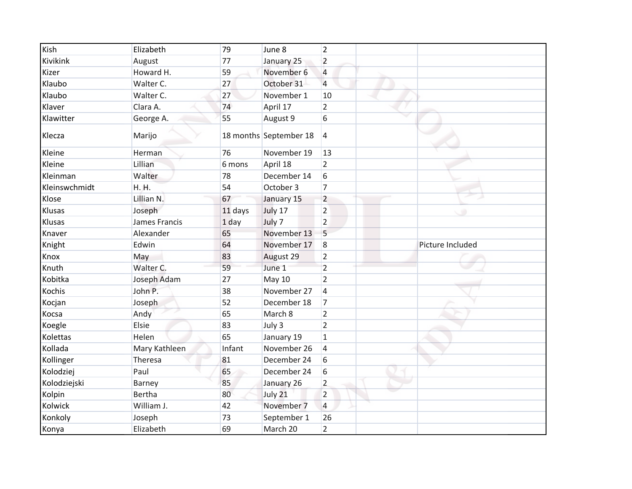| Kish          | Elizabeth     | 79      | June 8                 | 2              |                  |
|---------------|---------------|---------|------------------------|----------------|------------------|
| Kivikink      | August        | 77      | January 25             | $\overline{2}$ |                  |
| Kizer         | Howard H.     | 59      | November 6             | 4              |                  |
| Klaubo        | Walter C.     | 27      | October 31             | $\overline{4}$ |                  |
| Klaubo        | Walter C.     | 27      | November 1             | 10             |                  |
| Klaver        | Clara A.      | 74      | April 17               | $\overline{2}$ |                  |
| Klawitter     | George A.     | 55      | August 9               | 6              |                  |
| Klecza        | Marijo        |         | 18 months September 18 | $\overline{4}$ |                  |
| Kleine        | Herman        | 76      | November 19            | 13             |                  |
| Kleine        | Lillian       | 6 mons  | April 18               | $\overline{2}$ |                  |
| Kleinman      | Walter        | 78      | December 14            | 6              |                  |
| Kleinswchmidt | H.H.          | 54      | October 3              | $\overline{7}$ |                  |
| Klose         | Lillian N.    | 67      | January 15             | $\overline{2}$ |                  |
| Klusas        | Joseph        | 11 days | July 17                | $\overline{c}$ |                  |
| Klusas        | James Francis | $1$ day | July 7                 | $\overline{2}$ |                  |
| Knaver        | Alexander     | 65      | November 13            | 5              |                  |
| Knight        | Edwin         | 64      | November 17            | 8              | Picture Included |
| Knox          | May           | 83      | August 29              | $\overline{2}$ |                  |
| Knuth         | Walter C.     | 59      | June 1                 | $\overline{2}$ |                  |
| Kobitka       | Joseph Adam   | 27      | <b>May 10</b>          | $\overline{2}$ |                  |
| Kochis        | John P.       | 38      | November 27            | $\overline{4}$ |                  |
| Kocjan        | Joseph        | 52      | December 18            | $\overline{7}$ |                  |
| Kocsa         | Andy          | 65      | March 8                | $\overline{2}$ |                  |
| Koegle        | Elsie         | 83      | July 3                 | $\overline{2}$ |                  |
| Kolettas      | Helen         | 65      | January 19             | $\mathbf 1$    |                  |
| Kollada       | Mary Kathleen | Infant  | November 26            | $\overline{4}$ |                  |
| Kollinger     | Theresa       | 81      | December 24            | 6              |                  |
| Kolodziej     | Paul          | 65      | December 24            | 6              |                  |
| Kolodziejski  | Barney        | 85      | January 26             | $\overline{2}$ |                  |
| Kolpin        | <b>Bertha</b> | 80      | July 21                | $\overline{2}$ |                  |
| Kolwick       | William J.    | 42      | November 7             | 4              |                  |
| Konkoly       | Joseph        | 73      | September 1            | 26             |                  |
| Konya         | Elizabeth     | 69      | March 20               | $\overline{2}$ |                  |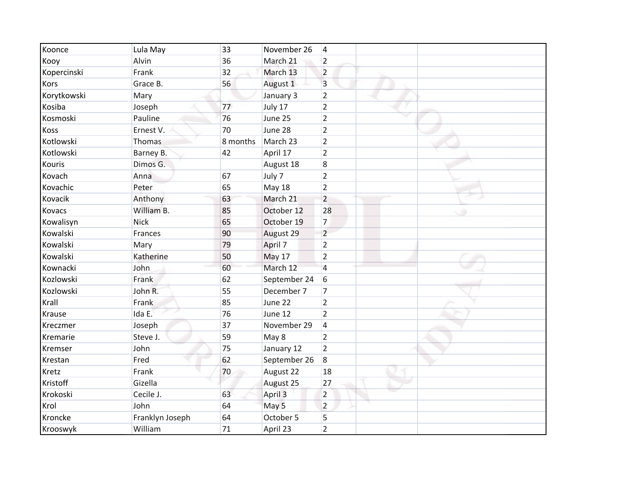| Koonce        | Lula May        | 33       | November 26   | 4              |
|---------------|-----------------|----------|---------------|----------------|
| Kooy          | Alvin           | 36       | March 21      | $\overline{2}$ |
| Kopercinski   | Frank           | 32       | March 13      | $\overline{2}$ |
| Kors          | Grace B.        | 56       | August 1      | 3              |
| Korytkowski   | Mary            |          | January 3     | $\overline{2}$ |
| Kosiba        | Joseph          | 77       | July 17       | $\overline{2}$ |
| Kosmoski      | Pauline         | 76       | June 25       | $\overline{2}$ |
| Koss          | Ernest V.       | 70       | June 28       | $\overline{2}$ |
| Kotlowski     | Thomas          | 8 months | March 23      | $\overline{2}$ |
| Kotlowski     | Barney B.       | 42       | April 17      | $\overline{2}$ |
| Kouris        | Dimos G.        |          | August 18     | 8              |
| Kovach        | Anna            | 67       | July 7        | $\overline{2}$ |
| Kovachic      | Peter           | 65       | <b>May 18</b> | $\overline{2}$ |
| Kovacik       | Anthony         | 63       | March 21      | $\overline{2}$ |
| <b>Kovacs</b> | William B.      | 85       | October 12    | 28             |
| Kowalisyn     | <b>Nick</b>     | 65       | October 19    | $\overline{7}$ |
| Kowalski      | Frances         | 90       | August 29     | $\overline{2}$ |
| Kowalski      | Mary            | 79       | April 7       | $\overline{2}$ |
| Kowalski      | Katherine       | 50       | May 17        | $\overline{2}$ |
| Kownacki      | John            | 60       | March 12      | $\overline{4}$ |
| Kozlowski     | Frank           | 62       | September 24  | 6              |
| Kozlowski     | John R.         | 55       | December 7    | 7              |
| Krall         | Frank           | 85       | June 22       | $\overline{2}$ |
| Krause        | Ida E.          | 76       | June 12       | $\overline{2}$ |
| Kreczmer      | Joseph          | 37       | November 29   | $\overline{4}$ |
| Kremarie      | Steve J.        | 59       | May 8         | $\overline{2}$ |
| Kremser       | John            | 75       | January 12    | $\overline{2}$ |
| Krestan       | Fred            | 62       | September 26  | 8              |
| Kretz         | Frank           | 70       | August 22     | 18             |
| Kristoff      | Gizella         |          | August 25     | 27             |
| Krokoski      | Cecile J.       | 63       | April 3       | $\overline{2}$ |
| Krol          | John            | 64       | May 5         | $\overline{2}$ |
| Kroncke       | Franklyn Joseph | 64       | October 5     | 5              |
| Krooswyk      | William         | 71       | April 23      | $\overline{2}$ |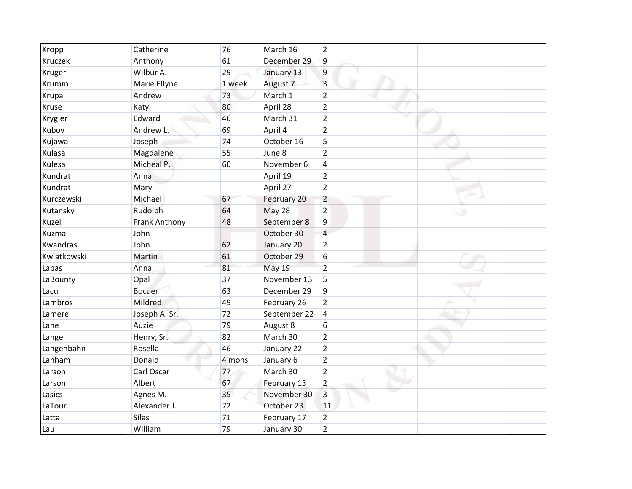| Kropp       | Catherine     | 76     | March 16            | $\overline{2}$      |
|-------------|---------------|--------|---------------------|---------------------|
| Kruczek     | Anthony       | 61     | December 29         | 9                   |
| Kruger      | Wilbur A.     | 29     | January 13          | 9                   |
| Krumm       | Marie Ellyne  | 1 week | August <sub>7</sub> | 3                   |
| Krupa       | Andrew        | 73     | March 1             | $\overline{2}$      |
| Kruse       | Katy          | 80     | April 28            | $\overline{2}$      |
| Krygier     | Edward        | 46     | March 31            | $\overline{2}$      |
| Kubov       | Andrew L.     | 69     | April 4             | $\overline{2}$      |
| Kujawa      | Joseph        | 74     | October 16          | 5                   |
| Kulasa      | Magdalene     | 55     | June 8              | $\overline{2}$      |
| Kulesa      | Micheal P.    | 60     | November 6          | 4                   |
| Kundrat     | Anna          |        | April 19            | $\overline{2}$      |
| Kundrat     | Mary          |        | April 27            | $\overline{2}$      |
| Kurczewski  | Michael       | 67     | February 20         | $\overline{2}$      |
| Kutansky    | Rudolph       | 64     | May 28              | $\overline{2}$<br>٠ |
| Kuzel       | Frank Anthony | 48     | September 8         | 9                   |
| Kuzma       | John          |        | October 30          | $\overline{4}$      |
| Kwandras    | John          | 62     | January 20          | $\overline{2}$      |
| Kwiatkowski | Martin        | 61     | October 29          | 6                   |
| Labas       | Anna          | 81     | May 19              | $\overline{2}$      |
| LaBounty    | Opal          | 37     | November 13         | 5                   |
| Lacu        | <b>Bocuer</b> | 63     | December 29         | 9                   |
| Lambros     | Mildred       | 49     | February 26         | $\overline{2}$      |
| Lamere      | Joseph A. Sr. | 72     | September 22        | $\overline{4}$      |
| Lane        | Auzie         | 79     | August 8            | 6                   |
| Lange       | Henry, Sr.    | 82     | March 30            | $\overline{2}$      |
| Langenbahn  | Rosella       | 46     | January 22          | $\overline{2}$      |
| Lanham      | Donald        | 4 mons | January 6           | $\overline{2}$      |
| Larson      | Carl Oscar    | 77     | March 30            | $\overline{2}$      |
| Larson      | Albert        | 67     | February 13         | $\overline{2}$      |
| Lasics      | Agnes M.      | 35     | November 30         | 3                   |
| LaTour      | Alexander J.  | 72     | October 23          | 11                  |
| Latta       | Silas         | 71     | February 17         | $\overline{2}$      |
| Lau         | William       | 79     | January 30          | $\overline{2}$      |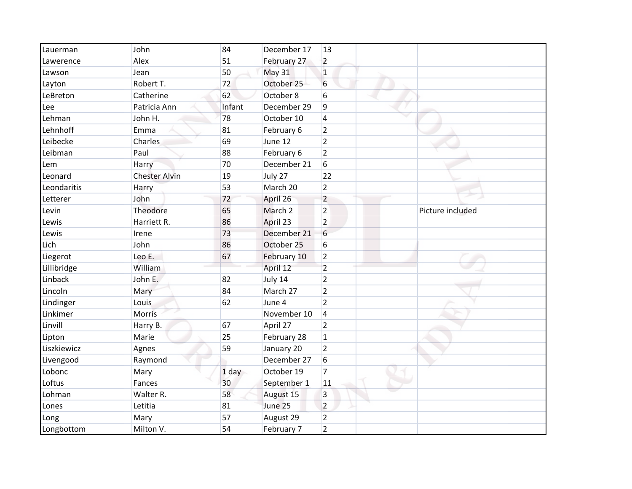| Lauerman    | John                 | 84     | December 17 | <b>13</b>      |                  |
|-------------|----------------------|--------|-------------|----------------|------------------|
| Lawerence   | Alex                 | 51     | February 27 | $\overline{2}$ |                  |
| Lawson      | Jean                 | 50     | May 31      | $\mathbf{1}$   |                  |
| Layton      | Robert T.            | 72     | October 25  | 6              |                  |
| LeBreton    | Catherine            | 62     | October 8   | 6              |                  |
| Lee         | Patricia Ann         | Infant | December 29 | 9              |                  |
| Lehman      | John H.              | 78     | October 10  | 4              |                  |
| Lehnhoff    | Emma                 | 81     | February 6  | $\overline{2}$ |                  |
| Leibecke    | Charles              | 69     | June 12     | $\overline{2}$ |                  |
| Leibman     | Paul                 | 88     | February 6  | $\overline{2}$ |                  |
| Lem         | Harry                | 70     | December 21 | 6              |                  |
| Leonard     | <b>Chester Alvin</b> | 19     | July 27     | 22             |                  |
| Leondaritis | Harry                | 53     | March 20    | $\overline{2}$ |                  |
| Letterer    | John                 | 72     | April 26    | $\overline{2}$ |                  |
| Levin       | Theodore             | 65     | March 2     | $\overline{2}$ | Picture included |
| Lewis       | Harriett R.          | 86     | April 23    | $\overline{2}$ |                  |
| Lewis       | Irene                | 73     | December 21 | 6              |                  |
| Lich        | John                 | 86     | October 25  | 6              |                  |
| Liegerot    | Leo E.               | 67     | February 10 | $\overline{2}$ |                  |
| Lillibridge | William              |        | April 12    | $\overline{2}$ |                  |
| Linback     | John E.              | 82     | July 14     | $\overline{2}$ |                  |
| Lincoln     | Mary                 | 84     | March 27    | $\overline{2}$ |                  |
| Lindinger   | Louis                | 62     | June 4      | $\overline{2}$ |                  |
| Linkimer    | Morris               |        | November 10 | 4              |                  |
| Linvill     | Harry B.             | 67     | April 27    | $\overline{2}$ |                  |
| Lipton      | Marie                | 25     | February 28 | $\mathbf{1}$   |                  |
| Liszkiewicz | Agnes                | 59     | January 20  | $\overline{2}$ |                  |
| Livengood   | Raymond              |        | December 27 | 6              |                  |
| Lobonc      | Mary                 | 1 day  | October 19  | $\overline{7}$ |                  |
| Loftus      | Fances               | 30     | September 1 | 11             |                  |
| Lohman      | Walter R.            | 58     | August 15   | 3              |                  |
| Lones       | Letitia              | 81     | June 25     | $\overline{2}$ |                  |
| Long        | Mary                 | 57     | August 29   | $\overline{2}$ |                  |
| Longbottom  | Milton V.            | 54     | February 7  | $\overline{2}$ |                  |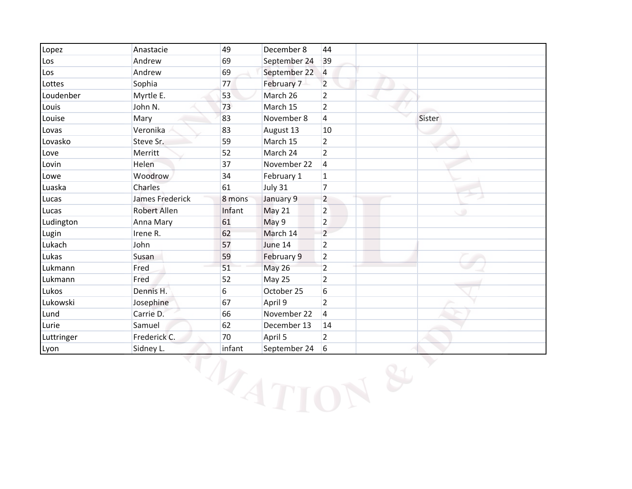| Lopez      | Anastacie              | 49     | December 8    | 44             |        |
|------------|------------------------|--------|---------------|----------------|--------|
| Los        | Andrew                 | 69     | September 24  | 39             |        |
| Los        | Andrew                 | 69     | September 22  | $\overline{a}$ |        |
| Lottes     | Sophia                 | 77     | February 7    | $\overline{2}$ |        |
| Loudenber  | Myrtle E.              | 53     | March 26      | $\overline{2}$ |        |
| Louis      | John N.                | 73     | March 15      | $\overline{2}$ |        |
| Louise     | Mary                   | 83     | November 8    | 4              | Sister |
| Lovas      | Veronika               | 83     | August 13     | 10             |        |
| Lovasko    | Steve Sr.              | 59     | March 15      | $\overline{2}$ |        |
| Love       | Merritt                | 52     | March 24      | $\overline{2}$ |        |
| Lovin      | Helen                  | 37     | November 22   | 4              |        |
| Lowe       | <b>Woodrow</b>         | 34     | February 1    | $\mathbf{1}$   |        |
| Luaska     | Charles                | 61     | July 31       | $\overline{7}$ |        |
| Lucas      | <b>James Frederick</b> | 8 mons | January 9     | $\overline{2}$ |        |
| Lucas      | <b>Robert Allen</b>    | Infant | May 21        | $\overline{2}$ |        |
| Ludington  | Anna Mary              | 61     | May 9         | $\overline{2}$ |        |
| Lugin      | Irene R.               | 62     | March 14      | $\overline{2}$ |        |
| Lukach     | John                   | 57     | June 14       | $\overline{2}$ |        |
| Lukas      | Susan                  | 59     | February 9    | $\overline{2}$ |        |
| Lukmann    | Fred                   | 51     | <b>May 26</b> | $\overline{2}$ |        |
| Lukmann    | Fred                   | 52     | May 25        | $\overline{2}$ |        |
| Lukos      | Dennis H.              | 6      | October 25    | 6              |        |
| Lukowski   | Josephine              | 67     | April 9       | $\overline{2}$ |        |
| Lund       | Carrie D.              | 66     | November 22   | 4              |        |
| Lurie      | Samuel                 | 62     | December 13   | 14             |        |
| Luttringer | Frederick C.           | 70     | April 5       | $\overline{2}$ |        |
| Lyon       | Sidney L.              | infant | September 24  | 6              |        |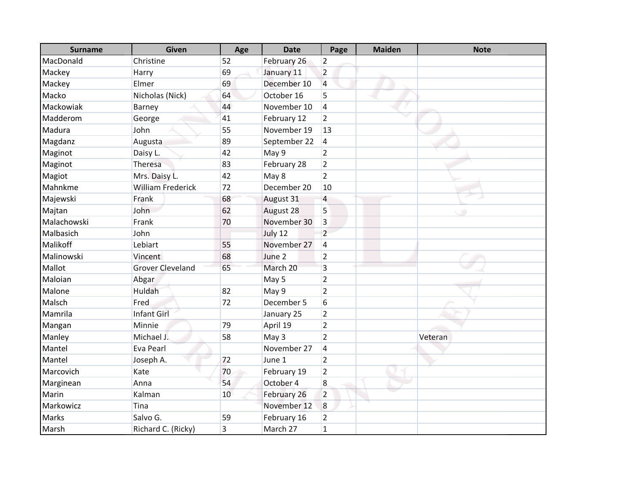| <b>Surname</b> | <b>Given</b>             | Age | <b>Date</b>  | Page           | <b>Maiden</b> | <b>Note</b> |
|----------------|--------------------------|-----|--------------|----------------|---------------|-------------|
| MacDonald      | Christine                | 52  | February 26  | $\overline{2}$ |               |             |
| Mackey         | Harry                    | 69  | January 11   | $\overline{2}$ |               |             |
| Mackey         | Elmer                    | 69  | December 10  | $\overline{4}$ |               |             |
| Macko          | Nicholas (Nick)          | 64  | October 16   | 5              |               |             |
| Mackowiak      | Barney                   | 44  | November 10  | 4              |               |             |
| Madderom       | George                   | 41  | February 12  | $\overline{2}$ |               |             |
| Madura         | John                     | 55  | November 19  | 13             |               |             |
| Magdanz        | Augusta                  | 89  | September 22 | 4              |               |             |
| Maginot        | Daisy L.                 | 42  | May 9        | $\overline{2}$ |               |             |
| Maginot        | Theresa                  | 83  | February 28  | $\overline{2}$ |               |             |
| Magiot         | Mrs. Daisy L.            | 42  | May 8        | $\overline{2}$ |               |             |
| Mahnkme        | <b>William Frederick</b> | 72  | December 20  | 10             |               |             |
| Majewski       | Frank                    | 68  | August 31    | 4              |               |             |
| Majtan         | John                     | 62  | August 28    | 5              |               |             |
| Malachowski    | Frank                    | 70  | November 30  | 3              |               |             |
| Malbasich      | John                     |     | July 12      | $\overline{2}$ |               |             |
| Malikoff       | Lebiart                  | 55  | November 27  | 4              |               |             |
| Malinowski     | Vincent                  | 68  | June 2       | $\overline{2}$ |               |             |
| Mallot         | <b>Grover Cleveland</b>  | 65  | March 20     | 3              |               |             |
| Maloian        | Abgar                    |     | May 5        | $\overline{2}$ |               |             |
| Malone         | Huldah                   | 82  | May 9        | $\overline{2}$ |               |             |
| Malsch         | Fred                     | 72  | December 5   | 6              |               |             |
| Mamrila        | <b>Infant Girl</b>       |     | January 25   | $\overline{2}$ |               |             |
| Mangan         | Minnie                   | 79  | April 19     | $\overline{2}$ |               |             |
| Manley         | Michael J.               | 58  | May 3        | $\overline{2}$ |               | Veteran     |
| Mantel         | Eva Pearl                |     | November 27  | 4              |               |             |
| Mantel         | Joseph A.                | 72  | June 1       | $\overline{2}$ |               |             |
| Marcovich      | Kate                     | 70  | February 19  | $\overline{2}$ |               |             |
| Marginean      | Anna                     | 54  | October 4    | 8              |               |             |
| Marin          | Kalman                   | 10  | February 26  | $\overline{2}$ |               |             |
| Markowicz      | Tina                     |     | November 12  | 8              |               |             |
| <b>Marks</b>   | Salvo G.                 | 59  | February 16  | $\overline{2}$ |               |             |
| Marsh          | Richard C. (Ricky)       | 3   | March 27     | $\mathbf 1$    |               |             |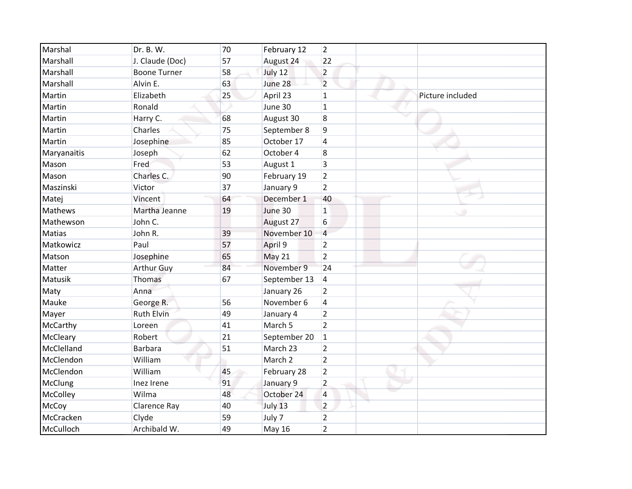| Marshal        | Dr. B. W.           | 70 | February 12   | $\overline{2}$ |                  |
|----------------|---------------------|----|---------------|----------------|------------------|
| Marshall       | J. Claude (Doc)     | 57 | August 24     | 22             |                  |
| Marshall       | <b>Boone Turner</b> | 58 | July 12       | $\overline{2}$ |                  |
| Marshall       | Alvin E.            | 63 | June 28       | $\overline{2}$ |                  |
| Martin         | Elizabeth           | 25 | April 23      | $\mathbf{1}$   | Picture included |
| Martin         | Ronald              |    | June 30       | $\overline{1}$ |                  |
| Martin         | Harry C.            | 68 | August 30     | 8              |                  |
| Martin         | Charles             | 75 | September 8   | 9              |                  |
| Martin         | Josephine           | 85 | October 17    | 4              |                  |
| Maryanaitis    | Joseph              | 62 | October 4     | 8              |                  |
| Mason          | Fred                | 53 | August 1      | 3              |                  |
| Mason          | Charles C.          | 90 | February 19   | $\overline{2}$ |                  |
| Maszinski      | Victor              | 37 | January 9     | $\overline{2}$ |                  |
| Matej          | Vincent             | 64 | December 1    | 40             |                  |
| <b>Mathews</b> | Martha Jeanne       | 19 | June 30       | $\mathbf{1}$   |                  |
| Mathewson      | John C.             |    | August 27     | 6              |                  |
| <b>Matias</b>  | John R.             | 39 | November 10   | $\overline{4}$ |                  |
| Matkowicz      | Paul                | 57 | April 9       | $\overline{2}$ |                  |
| Matson         | Josephine           | 65 | May 21        | $\overline{2}$ |                  |
| Matter         | <b>Arthur Guy</b>   | 84 | November 9    | 24             |                  |
| Matusik        | Thomas              | 67 | September 13  | 4              |                  |
| Maty           | Anna                |    | January 26    | 2              |                  |
| Mauke          | George R.           | 56 | November 6    | 4              |                  |
| Mayer          | <b>Ruth Elvin</b>   | 49 | January 4     | $\overline{2}$ |                  |
| McCarthy       | Loreen              | 41 | March 5       | $\overline{2}$ |                  |
| McCleary       | Robert              | 21 | September 20  | $\mathbf{1}$   |                  |
| McClelland     | <b>Barbara</b>      | 51 | March 23      | $\overline{2}$ |                  |
| McClendon      | William             |    | March 2       | $\overline{2}$ |                  |
| McClendon      | William             | 45 | February 28   | $\overline{2}$ |                  |
| <b>McClung</b> | Inez Irene          | 91 | January 9     | $\overline{2}$ |                  |
| McColley       | Wilma               | 48 | October 24    | 4              |                  |
| McCoy          | <b>Clarence Ray</b> | 40 | July 13       | $\overline{2}$ |                  |
| McCracken      | Clyde               | 59 | July 7        | $\overline{2}$ |                  |
| McCulloch      | Archibald W.        | 49 | <b>May 16</b> | $\overline{2}$ |                  |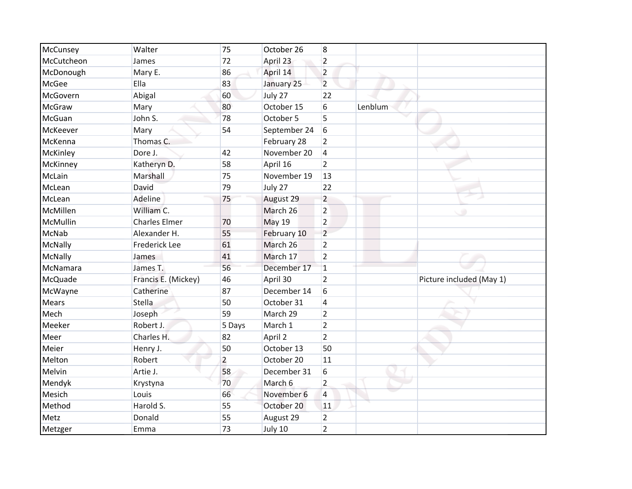| McCunsey     | Walter               | 75             | October 26    | 8              |         |                          |
|--------------|----------------------|----------------|---------------|----------------|---------|--------------------------|
| McCutcheon   | James                | 72             | April 23      | $\overline{2}$ |         |                          |
| McDonough    | Mary E.              | 86             | April 14      | $\overline{2}$ |         |                          |
| McGee        | Ella                 | 83             | January 25    | $\overline{2}$ |         |                          |
| McGovern     | Abigal               | 60             | July 27       | 22             |         |                          |
| McGraw       | Mary                 | 80             | October 15    | $6\,$          | Lenblum |                          |
| McGuan       | John S.              | 78             | October 5     | 5              |         |                          |
| McKeever     | Mary                 | 54             | September 24  | 6              |         |                          |
| McKenna      | Thomas C.            |                | February 28   | $\overline{2}$ |         |                          |
| McKinley     | Dore J.              | 42             | November 20   | $\overline{4}$ |         |                          |
| McKinney     | Katheryn D.          | 58             | April 16      | $\overline{2}$ |         |                          |
| McLain       | Marshall             | 75             | November 19   | 13             |         |                          |
| McLean       | David                | 79             | July 27       | 22             |         |                          |
| McLean       | Adeline              | 75             | August 29     | $\overline{2}$ |         |                          |
| McMillen     | William C.           |                | March 26      | $\overline{2}$ |         |                          |
| McMullin     | <b>Charles Elmer</b> | 70             | <b>May 19</b> | $\overline{2}$ |         |                          |
| McNab        | Alexander H.         | 55             | February 10   | $\overline{2}$ |         |                          |
| McNally      | <b>Frederick Lee</b> | 61             | March 26      | $\overline{2}$ |         |                          |
| McNally      | James                | 41             | March 17      | $\overline{2}$ |         |                          |
| McNamara     | James T.             | 56             | December 17   | $\mathbf{1}$   |         |                          |
| McQuade      | Francis E. (Mickey)  | 46             | April 30      | $\overline{2}$ |         | Picture included (May 1) |
| McWayne      | Catherine            | 87             | December 14   | 6              |         |                          |
| <b>Mears</b> | Stella               | 50             | October 31    | $\overline{4}$ |         |                          |
| Mech         | Joseph               | 59             | March 29      | $\overline{2}$ |         |                          |
| Meeker       | Robert J.            | 5 Days         | March 1       | $\overline{2}$ |         |                          |
| Meer         | Charles H.           | 82             | April 2       | $\overline{2}$ |         |                          |
| Meier        | Henry J.             | 50             | October 13    | 50             |         |                          |
| Melton       | Robert               | $\overline{2}$ | October 20    | 11             |         |                          |
| Melvin       | Artie J.             | 58             | December 31   | 6              |         |                          |
| Mendyk       | Krystyna             | 70             | March 6       | $\overline{2}$ |         |                          |
| Mesich       | Louis                | 66             | November 6    | $\overline{4}$ |         |                          |
| Method       | Harold S.            | 55             | October 20    | 11             |         |                          |
| Metz         | Donald               | 55             | August 29     | $\overline{2}$ |         |                          |
| Metzger      | Emma                 | 73             | July 10       | $\overline{2}$ |         |                          |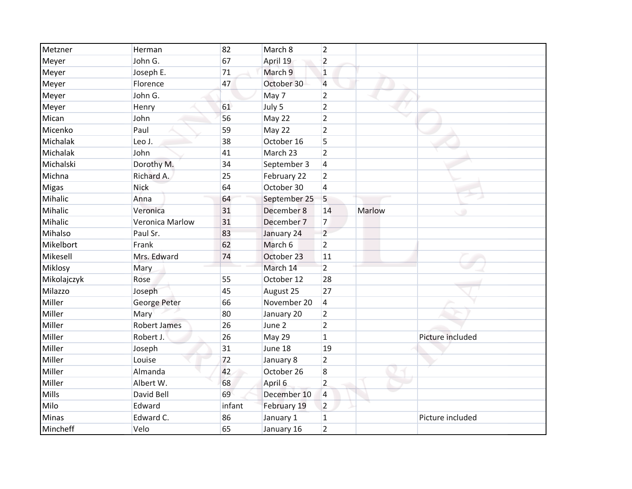| Metzner      | Herman              | 82     | March 8      | $\overline{2}$          |               |                  |
|--------------|---------------------|--------|--------------|-------------------------|---------------|------------------|
| Meyer        | John G.             | 67     | April 19     | $\overline{2}$          |               |                  |
| Meyer        | Joseph E.           | 71     | March 9      | $\mathbf{1}$            |               |                  |
| Meyer        | Florence            | 47     | October 30   | 4                       |               |                  |
| Meyer        | John G.             |        | May 7        | $\overline{2}$          |               |                  |
| Meyer        | Henry               | 61     | July 5       | $\overline{2}$          |               |                  |
| Mican        | John                | 56     | May 22       | $\overline{2}$          |               |                  |
| Micenko      | Paul                | 59     | May 22       | $\overline{2}$          |               |                  |
| Michalak     | Leo J.              | 38     | October 16   | 5                       |               |                  |
| Michalak     | John                | 41     | March 23     | $\overline{2}$          |               |                  |
| Michalski    | Dorothy M.          | 34     | September 3  | $\overline{\mathbf{4}}$ |               |                  |
| Michna       | Richard A.          | 25     | February 22  | $\overline{2}$          |               |                  |
| <b>Migas</b> | Nick                | 64     | October 30   | 4                       |               |                  |
| Mihalic      | Anna                | 64     | September 25 | 5                       |               |                  |
| Mihalic      | Veronica            | 31     | December 8   | 14                      | <b>Marlow</b> | ٠                |
| Mihalic      | Veronica Marlow     | 31     | December 7   | $\overline{7}$          |               |                  |
| Mihalso      | Paul Sr.            | 83     | January 24   | $\overline{2}$          |               |                  |
| Mikelbort    | Frank               | 62     | March 6      | $\overline{2}$          |               |                  |
| Mikesell     | Mrs. Edward         | 74     | October 23   | 11                      |               |                  |
| Miklosy      | Mary                |        | March 14     | $\overline{2}$          |               |                  |
| Mikolajczyk  | Rose                | 55     | October 12   | 28                      |               |                  |
| Milazzo      | Joseph              | 45     | August 25    | 27                      |               |                  |
| Miller       | George Peter        | 66     | November 20  | 4                       |               |                  |
| Miller       | Mary                | 80     | January 20   | $\overline{2}$          |               |                  |
| Miller       | <b>Robert James</b> | 26     | June 2       | $\overline{2}$          |               |                  |
| Miller       | Robert J.           | 26     | May 29       | $\mathbf{1}$            |               | Picture included |
| Miller       | Joseph              | 31     | June 18      | 19                      |               |                  |
| Miller       | Louise              | 72     | January 8    | $\overline{2}$          |               |                  |
| Miller       | Almanda             | 42     | October 26   | 8                       |               |                  |
| Miller       | Albert W.           | 68     | April 6      | $\overline{2}$          |               |                  |
| Mills        | David Bell          | 69     | December 10  | 4                       |               |                  |
| Milo         | Edward              | infant | February 19  | $\overline{2}$          |               |                  |
| <b>Minas</b> | Edward C.           | 86     | January 1    | $\mathbf 1$             |               | Picture included |
| Mincheff     | Velo                | 65     | January 16   | $\overline{2}$          |               |                  |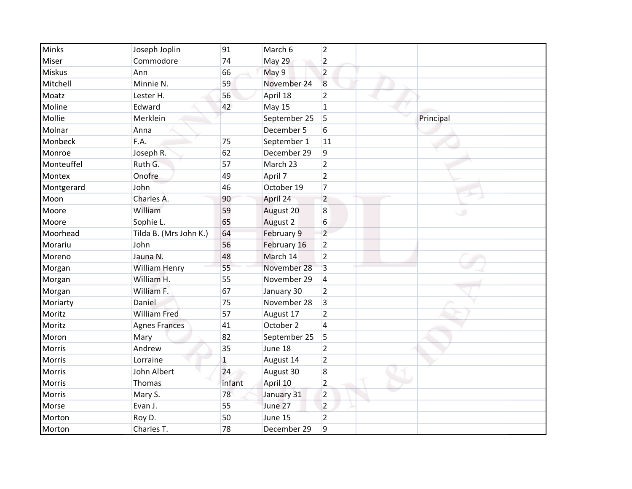| <b>Minks</b>  | Joseph Joplin          | 91           | March 6       | $\overline{2}$ |           |
|---------------|------------------------|--------------|---------------|----------------|-----------|
| Miser         | Commodore              | 74           | May 29        | $\overline{2}$ |           |
| <b>Miskus</b> | Ann                    | 66           | May 9         | $\overline{2}$ |           |
| Mitchell      | Minnie N.              | 59           | November 24   | 8              |           |
| Moatz         | Lester H.              | 56           | April 18      | $\overline{2}$ |           |
| Moline        | Edward                 | 42           | <b>May 15</b> | $\mathbf{1}$   |           |
| Mollie        | Merklein               |              | September 25  | 5              | Principal |
| Molnar        | Anna                   |              | December 5    | 6              |           |
| Monbeck       | F.A.                   | 75           | September 1   | 11             |           |
| Monroe        | Joseph R.              | 62           | December 29   | 9              |           |
| Monteuffel    | Ruth G.                | 57           | March 23      | $\overline{2}$ |           |
| Montex        | Onofre                 | 49           | April 7       | $\overline{2}$ |           |
| Montgerard    | John                   | 46           | October 19    | $\overline{7}$ |           |
| Moon          | Charles A.             | 90           | April 24      | $\overline{2}$ |           |
| Moore         | William                | 59           | August 20     | 8              |           |
| Moore         | Sophie L.              | 65           | August 2      | 6              |           |
| Moorhead      | Tilda B. (Mrs John K.) | 64           | February 9    | $\overline{2}$ |           |
| Morariu       | John                   | 56           | February 16   | $\overline{2}$ |           |
| Moreno        | Jauna N.               | 48           | March 14      | 2              |           |
| Morgan        | William Henry          | 55           | November 28   | 3              |           |
| Morgan        | William H.             | 55           | November 29   | $\overline{4}$ |           |
| Morgan        | William F.             | 67           | January 30    | 2              |           |
| Moriarty      | Daniel                 | 75           | November 28   | 3              |           |
| Moritz        | <b>William Fred</b>    | 57           | August 17     | $\overline{2}$ |           |
| Moritz        | <b>Agnes Frances</b>   | 41           | October 2     | $\overline{4}$ |           |
| Moron         | Mary                   | 82           | September 25  | 5              |           |
| Morris        | Andrew                 | 35           | June 18       | $\overline{2}$ |           |
| Morris        | Lorraine               | $\mathbf{1}$ | August 14     | $\overline{2}$ |           |
| Morris        | John Albert            | 24           | August 30     | 8              |           |
| Morris        | Thomas                 | infant       | April 10      | $\overline{2}$ |           |
| Morris        | Mary S.                | 78           | January 31    | $\overline{2}$ |           |
| Morse         | Evan J.                | 55           | June 27       | $\overline{2}$ |           |
| Morton        | Roy D.                 | 50           | June 15       | $\overline{2}$ |           |
| Morton        | Charles T.             | 78           | December 29   | 9              |           |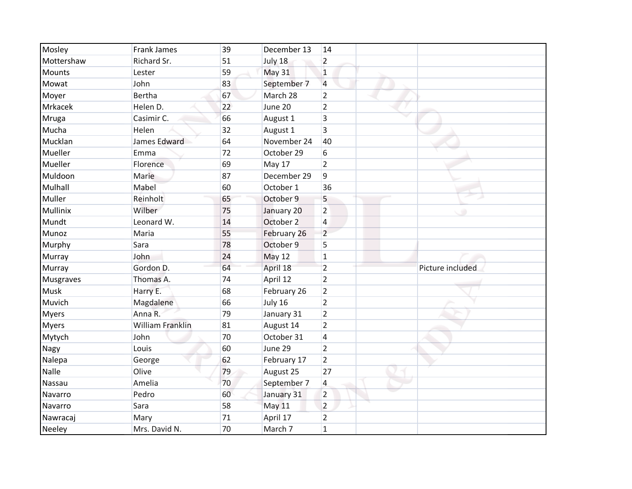| Mosley           | <b>Frank James</b>      | 39 | December 13   | 14                       |                  |
|------------------|-------------------------|----|---------------|--------------------------|------------------|
| Mottershaw       | Richard Sr.             | 51 | July 18       | $\overline{2}$           |                  |
| <b>Mounts</b>    | Lester                  | 59 | <b>May 31</b> | $\mathbf{1}$             |                  |
| Mowat            | John                    | 83 | September 7   | $\overline{4}$           |                  |
| Moyer            | <b>Bertha</b>           | 67 | March 28      | $\overline{2}$           |                  |
| Mrkacek          | Helen D.                | 22 | June 20       | $\overline{2}$           |                  |
| Mruga            | Casimir C.              | 66 | August 1      | 3                        |                  |
| Mucha            | Helen                   | 32 | August 1      | 3                        |                  |
| Mucklan          | James Edward            | 64 | November 24   | 40                       |                  |
| Mueller          | Emma                    | 72 | October 29    | 6                        |                  |
| Mueller          | Florence                | 69 | May 17        | $\overline{2}$           |                  |
| Muldoon          | Marie                   | 87 | December 29   | 9                        |                  |
| Mulhall          | Mabel                   | 60 | October 1     | 36                       |                  |
| Muller           | Reinholt                | 65 | October 9     | 5                        |                  |
| Mullinix         | Wilber                  | 75 | January 20    | $\overline{2}$           | ٠                |
| Mundt            | Leonard W.              | 14 | October 2     | $\overline{\mathcal{L}}$ |                  |
| Munoz            | Maria                   | 55 | February 26   | $\overline{2}$           |                  |
| Murphy           | Sara                    | 78 | October 9     | 5                        |                  |
| Murray           | John                    | 24 | May 12        | $\mathbf{1}$             |                  |
| Murray           | Gordon D.               | 64 | April 18      | $\overline{2}$           | Picture included |
| <b>Musgraves</b> | Thomas A.               | 74 | April 12      | $\overline{2}$           |                  |
| <b>Musk</b>      | Harry E.                | 68 | February 26   | $\overline{2}$           |                  |
| Muvich           | Magdalene               | 66 | July 16       | $\overline{2}$           |                  |
| <b>Myers</b>     | Anna R.                 | 79 | January 31    | $\overline{2}$           |                  |
| <b>Myers</b>     | <b>William Franklin</b> | 81 | August 14     | $\overline{2}$           |                  |
| Mytych           | John                    | 70 | October 31    | 4                        |                  |
| <b>Nagy</b>      | Louis                   | 60 | June 29       | $\overline{2}$           |                  |
| Nalepa           | George                  | 62 | February 17   | $\overline{2}$           |                  |
| Nalle            | Olive                   | 79 | August 25     | 27                       |                  |
| Nassau           | Amelia                  | 70 | September 7   | 4                        |                  |
| Navarro          | Pedro                   | 60 | January 31    | $\overline{2}$           |                  |
| Navarro          | Sara                    | 58 | <b>May 11</b> | $\overline{2}$           |                  |
| Nawracaj         | Mary                    | 71 | April 17      | $\overline{2}$           |                  |
| <b>Neeley</b>    | Mrs. David N.           | 70 | March 7       | $\mathbf{1}$             |                  |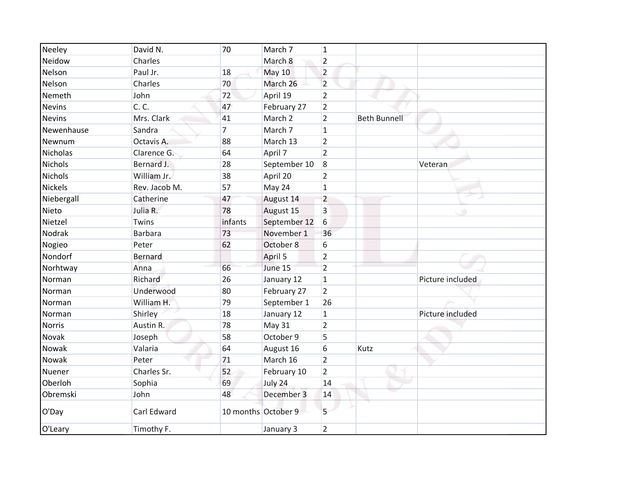| Neeley         | David N.      | 70                  | March 7       | $\mathbf{1}$   |                     |                  |
|----------------|---------------|---------------------|---------------|----------------|---------------------|------------------|
| Neidow         | Charles       |                     | March 8       | $\overline{2}$ |                     |                  |
| Nelson         | Paul Jr.      | 18                  | <b>May 10</b> | $\overline{2}$ |                     |                  |
| Nelson         | Charles       | 70                  | March 26      | $\overline{2}$ |                     |                  |
| Nemeth         | John          | 72                  | April 19      | $\overline{2}$ |                     |                  |
| <b>Nevins</b>  | C. C.         | 47                  | February 27   | $\overline{2}$ |                     |                  |
| <b>Nevins</b>  | Mrs. Clark    | 41                  | March 2       | $\overline{2}$ | <b>Beth Bunnell</b> |                  |
| Newenhause     | Sandra        | $\overline{7}$      | March 7       | $\mathbf{1}$   |                     |                  |
| Newnum         | Octavis A.    | 88                  | March 13      | $\overline{2}$ |                     |                  |
| Nicholas       | Clarence G.   | 64                  | April 7       | $\overline{2}$ |                     |                  |
| <b>Nichols</b> | Bernard J.    | 28                  | September 10  | $\overline{8}$ |                     | Veteran          |
| <b>Nichols</b> | William Jr.   | 38                  | April 20      | $\overline{2}$ |                     |                  |
| <b>Nickels</b> | Rev. Jacob M. | 57                  | May 24        | $\mathbf{1}$   |                     |                  |
| Niebergall     | Catherine     | 47                  | August 14     | $\overline{2}$ |                     |                  |
| Nieto          | Julia R.      | 78                  | August 15     | 3              |                     |                  |
| Nietzel        | Twins         | infants             | September 12  | 6              |                     |                  |
| Nodrak         | Barbara       | 73                  | November 1    | 36             |                     |                  |
| Nogieo         | Peter         | 62                  | October 8     | 6              |                     |                  |
| Nondorf        | Bernard       |                     | April 5       | $\overline{2}$ |                     |                  |
| Norhtway       | Anna          | 66                  | June 15       | $\overline{2}$ |                     |                  |
| Norman         | Richard       | 26                  | January 12    | $\mathbf{1}$   |                     | Picture included |
| Norman         | Underwood     | 80                  | February 27   | $\overline{2}$ |                     |                  |
| Norman         | William H.    | 79                  | September 1   | 26             |                     |                  |
| Norman         | Shirley       | 18                  | January 12    | $\mathbf{1}$   |                     | Picture included |
| <b>Norris</b>  | Austin R.     | 78                  | May 31        | $\overline{2}$ |                     |                  |
| Novak          | Joseph        | 58                  | October 9     | 5              |                     |                  |
| Nowak          | Valaria       | 64                  | August 16     | 6              | Kutz                |                  |
| Nowak          | Peter         | 71                  | March 16      | $\overline{2}$ |                     |                  |
| Nuener         | Charles Sr.   | 52                  | February 10   | $\overline{2}$ |                     |                  |
| Oberloh        | Sophia        | 69                  | July 24       | 14             |                     |                  |
| Obremski       | John          | 48                  | December 3    | 14             |                     |                  |
| O'Day          | Carl Edward   | 10 months October 9 |               | 5              |                     |                  |
| O'Leary        | Timothy F.    |                     | January 3     | $\overline{2}$ |                     |                  |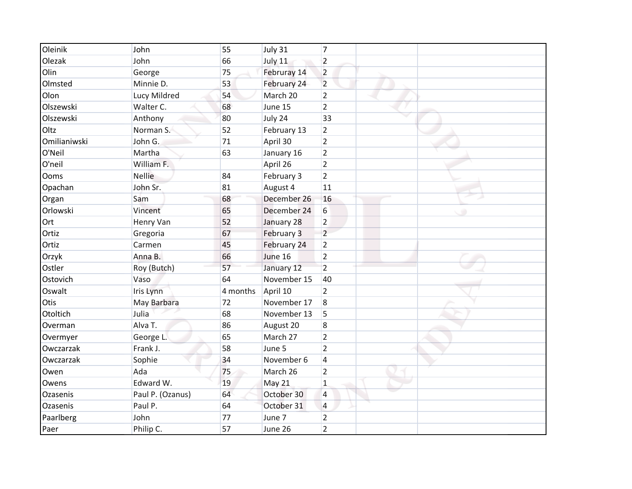| Oleinik      | John             | 55       | July 31     | $\overline{7}$          |
|--------------|------------------|----------|-------------|-------------------------|
| Olezak       | John             | 66       | July 11     | $\overline{2}$          |
| Olin         | George           | 75       | Februray 14 | $\overline{2}$          |
| Olmsted      | Minnie D.        | 53       | February 24 | $\overline{2}$          |
| Olon         | Lucy Mildred     | 54       | March 20    | $\overline{2}$          |
| Olszewski    | Walter C.        | 68       | June 15     | $\overline{2}$          |
| Olszewski    | Anthony          | 80       | July 24     | 33                      |
| Oltz         | Norman S.        | 52       | February 13 | $\overline{2}$          |
| Omilianiwski | John G.          | 71       | April 30    | $\overline{2}$          |
| O'Neil       | Martha           | 63       | January 16  | $\overline{2}$          |
| O'neil       | William F.       |          | April 26    | $\overline{2}$          |
| Ooms         | <b>Nellie</b>    | 84       | February 3  | $\overline{2}$          |
| Opachan      | John Sr.         | 81       | August 4    | 11                      |
| Organ        | Sam              | 68       | December 26 | 16                      |
| Orlowski     | Vincent          | 65       | December 24 | 6<br>٠                  |
| Ort          | Henry Van        | 52       | January 28  | $\overline{2}$          |
| Ortiz        | Gregoria         | 67       | February 3  | $\overline{2}$          |
| Ortiz        | Carmen           | 45       | February 24 | $\overline{2}$          |
| Orzyk        | Anna B.          | 66       | June 16     | $\overline{2}$          |
| Ostler       | Roy (Butch)      | 57       | January 12  | $\overline{2}$          |
| Ostovich     | Vaso             | 64       | November 15 | 40                      |
| Oswalt       | Iris Lynn        | 4 months | April 10    | $\overline{2}$          |
| Otis         | May Barbara      | 72       | November 17 | $\boldsymbol{8}$        |
| Otoltich     | Julia            | 68       | November 13 | 5                       |
| Overman      | Alva T.          | 86       | August 20   | 8                       |
| Overmyer     | George L.        | 65       | March 27    | $\overline{2}$          |
| Owczarzak    | Frank J.         | 58       | June 5      | $\overline{2}$          |
| Owczarzak    | Sophie           | 34       | November 6  | $\overline{\mathbf{4}}$ |
| Owen         | Ada              | 75       | March 26    | $\overline{2}$          |
| Owens        | Edward W.        | 19       | May 21      | $\mathbf{1}$            |
| Ozasenis     | Paul P. (Ozanus) | 64       | October 30  | 4                       |
| Ozasenis     | Paul P.          | 64       | October 31  | 4                       |
| Paarlberg    | John             | 77       | June 7      | $\overline{2}$          |
| Paer         | Philip C.        | 57       | June 26     | $\overline{2}$          |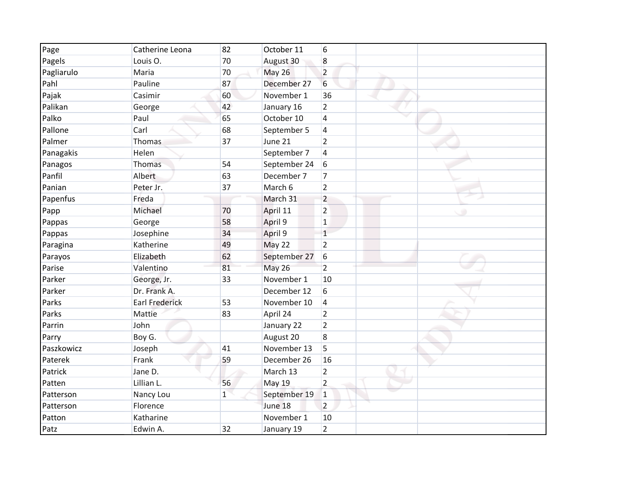| Page       | Catherine Leona       | 82           | October 11    | 6              |  |
|------------|-----------------------|--------------|---------------|----------------|--|
| Pagels     | Louis O.              | 70           | August 30     | 8              |  |
| Pagliarulo | Maria                 | 70           | <b>May 26</b> | $\overline{2}$ |  |
| Pahl       | Pauline               | 87           | December 27   | 6              |  |
| Pajak      | Casimir               | 60           | November 1    | 36             |  |
| Palikan    | George                | 42           | January 16    | $\overline{2}$ |  |
| Palko      | Paul                  | 65           | October 10    | $\overline{4}$ |  |
| Pallone    | Carl                  | 68           | September 5   | 4              |  |
| Palmer     | Thomas                | 37           | June 21       | $\overline{2}$ |  |
| Panagakis  | Helen                 |              | September 7   | 4              |  |
| Panagos    | Thomas                | 54           | September 24  | 6              |  |
| Panfil     | Albert                | 63           | December 7    | $\overline{7}$ |  |
| Panian     | Peter Jr.             | 37           | March 6       | $\overline{2}$ |  |
| Papenfus   | Freda                 |              | March 31      | $\overline{2}$ |  |
| Papp       | Michael               | 70           | April 11      | $\overline{2}$ |  |
| Pappas     | George                | 58           | April 9       | $\mathbf 1$    |  |
| Pappas     | Josephine             | 34           | April 9       | $\overline{1}$ |  |
| Paragina   | Katherine             | 49           | May 22        | $\overline{2}$ |  |
| Parayos    | Elizabeth             | 62           | September 27  | 6              |  |
| Parise     | Valentino             | 81           | <b>May 26</b> | $\overline{2}$ |  |
| Parker     | George, Jr.           | 33           | November 1    | 10             |  |
| Parker     | Dr. Frank A.          |              | December 12   | 6              |  |
| Parks      | <b>Earl Frederick</b> | 53           | November 10   | 4              |  |
| Parks      | Mattie                | 83           | April 24      | $\overline{2}$ |  |
| Parrin     | John                  |              | January 22    | $\overline{2}$ |  |
| Parry      | Boy G.                |              | August 20     | 8              |  |
| Paszkowicz | Joseph                | 41           | November 13   | 5              |  |
| Paterek    | Frank                 | 59           | December 26   | 16             |  |
| Patrick    | Jane D.               |              | March 13      | $\overline{2}$ |  |
| Patten     | Lillian L.            | 56           | May 19        | $\overline{2}$ |  |
| Patterson  | Nancy Lou             | $\mathbf{1}$ | September 19  | $\mathbf{1}$   |  |
| Patterson  | Florence              |              | June 18       | $\overline{2}$ |  |
| Patton     | Katharine             |              | November 1    | 10             |  |
| Patz       | Edwin A.              | 32           | January 19    | $\overline{2}$ |  |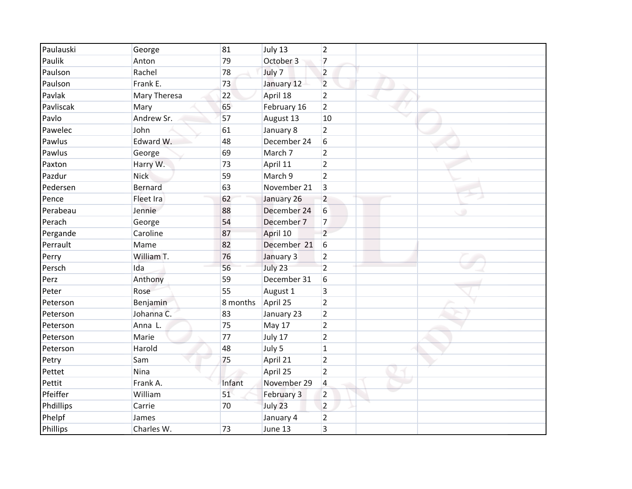| Paulauski | George       | 81       | July 13     | $\overline{2}$ |  |  |
|-----------|--------------|----------|-------------|----------------|--|--|
| Paulik    | Anton        | 79       | October 3   | $\overline{7}$ |  |  |
| Paulson   | Rachel       | 78       | July 7      | $\overline{2}$ |  |  |
| Paulson   | Frank E.     | 73       | January 12  | $\overline{2}$ |  |  |
| Pavlak    | Mary Theresa | 22       | April 18    | $\overline{2}$ |  |  |
| Pavliscak | Mary         | 65       | February 16 | $\overline{2}$ |  |  |
| Pavlo     | Andrew Sr.   | 57       | August 13   | 10             |  |  |
| Pawelec   | John         | 61       | January 8   | $\overline{2}$ |  |  |
| Pawlus    | Edward W.    | 48       | December 24 | 6              |  |  |
| Pawlus    | George       | 69       | March 7     | $\overline{2}$ |  |  |
| Paxton    | Harry W.     | 73       | April 11    | $\overline{2}$ |  |  |
| Pazdur    | <b>Nick</b>  | 59       | March 9     | $\overline{2}$ |  |  |
| Pedersen  | Bernard      | 63       | November 21 | 3              |  |  |
| Pence     | Fleet Ira    | 62       | January 26  | $\overline{2}$ |  |  |
| Perabeau  | Jennie       | 88       | December 24 | 6              |  |  |
| Perach    | George       | 54       | December 7  | $\overline{7}$ |  |  |
| Pergande  | Caroline     | 87       | April 10    | $\overline{2}$ |  |  |
| Perrault  | Mame         | 82       | December 21 | 6              |  |  |
| Perry     | William T.   | 76       | January 3   | $\overline{2}$ |  |  |
| Persch    | Ida          | 56       | July 23     | $\overline{2}$ |  |  |
| Perz      | Anthony      | 59       | December 31 | 6              |  |  |
| Peter     | Rose         | 55       | August 1    | 3              |  |  |
| Peterson  | Benjamin     | 8 months | April 25    | $\overline{2}$ |  |  |
| Peterson  | Johanna C.   | 83       | January 23  | $\overline{2}$ |  |  |
| Peterson  | Anna L.      | 75       | May 17      | $\overline{2}$ |  |  |
| Peterson  | Marie        | 77       | July 17     | $\overline{2}$ |  |  |
| Peterson  | Harold       | 48       | July 5      | $\mathbf{1}$   |  |  |
| Petry     | Sam          | 75       | April 21    | $\overline{2}$ |  |  |
| Pettet    | Nina         |          | April 25    | $\overline{2}$ |  |  |
| Pettit    | Frank A.     | Infant   | November 29 | 4              |  |  |
| Pfeiffer  | William      | 51       | February 3  | $\overline{2}$ |  |  |
| Phdillips | Carrie       | 70       | July 23     | $\overline{2}$ |  |  |
| Phelpf    | James        |          | January 4   | $\overline{2}$ |  |  |
| Phillips  | Charles W.   | 73       | June 13     | 3              |  |  |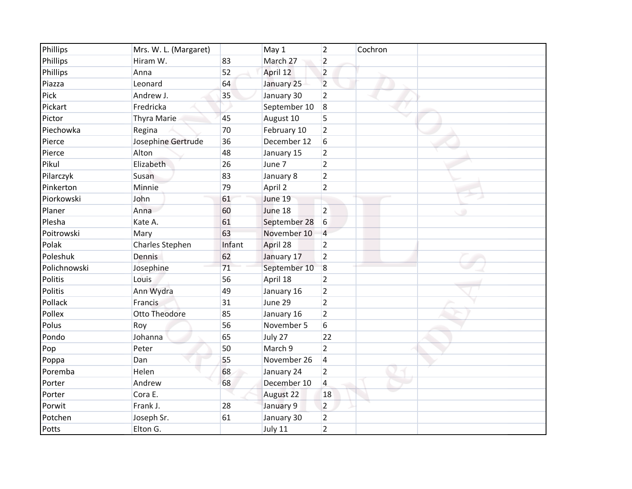| Phillips     | Mrs. W. L. (Margaret) |        | May 1        | $\overline{2}$          | Cochron |
|--------------|-----------------------|--------|--------------|-------------------------|---------|
| Phillips     | Hiram W.              | 83     | March 27     | $\overline{2}$          |         |
| Phillips     | Anna                  | 52     | April 12     | $\overline{2}$          |         |
| Piazza       | Leonard               | 64     | January 25   | $\overline{2}$          |         |
| Pick         | Andrew J.             | 35     | January 30   | $\overline{2}$          |         |
| Pickart      | Fredricka             |        | September 10 | 8                       |         |
| Pictor       | Thyra Marie           | 45     | August 10    | 5                       |         |
| Piechowka    | Regina                | 70     | February 10  | $\overline{2}$          |         |
| Pierce       | Josephine Gertrude    | 36     | December 12  | 6                       |         |
| Pierce       | Alton                 | 48     | January 15   | $\overline{2}$          |         |
| Pikul        | Elizabeth             | 26     | June 7       | $\overline{2}$          |         |
| Pilarczyk    | Susan                 | 83     | January 8    | $\overline{2}$          |         |
| Pinkerton    | Minnie                | 79     | April 2      | $\overline{2}$          |         |
| Piorkowski   | John                  | 61     | June 19      |                         |         |
| Planer       | Anna                  | 60     | June 18      | $\overline{2}$          |         |
| Plesha       | Kate A.               | 61     | September 28 | $6\,$                   |         |
| Poitrowski   | Mary                  | 63     | November 10  | $\overline{4}$          |         |
| Polak        | Charles Stephen       | Infant | April 28     | $\overline{2}$          |         |
| Poleshuk     | Dennis                | 62     | January 17   | $\overline{2}$          |         |
| Polichnowski | Josephine             | 71     | September 10 | 8                       |         |
| Politis      | Louis                 | 56     | April 18     | $\overline{2}$          |         |
| Politis      | Ann Wydra             | 49     | January 16   | $\overline{2}$          |         |
| Pollack      | Francis               | 31     | June 29      | $\overline{2}$          |         |
| Pollex       | <b>Otto Theodore</b>  | 85     | January 16   | $\overline{2}$          |         |
| Polus        | Roy                   | 56     | November 5   | 6                       |         |
| Pondo        | Johanna               | 65     | July 27      | 22                      |         |
| Pop          | Peter                 | 50     | March 9      | $\overline{2}$          |         |
| Poppa        | Dan                   | 55     | November 26  | $\overline{4}$          |         |
| Poremba      | Helen                 | 68     | January 24   | $\overline{2}$          |         |
| Porter       | Andrew                | 68     | December 10  | $\overline{\mathbf{4}}$ |         |
| Porter       | Cora E.               |        | August 22    | 18                      |         |
| Porwit       | Frank J.              | 28     | January 9    | $\overline{2}$          |         |
| Potchen      | Joseph Sr.            | 61     | January 30   | $\overline{2}$          |         |
| Potts        | Elton G.              |        | July 11      | $\overline{2}$          |         |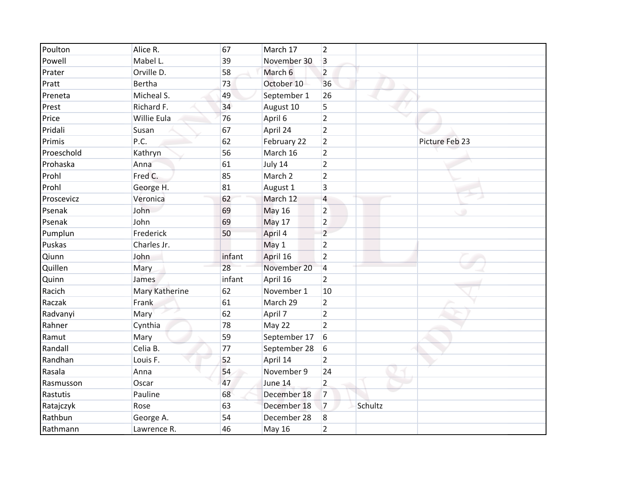| Poulton    | Alice R.       | 67     | March 17      | $\overline{2}$ |         |                |
|------------|----------------|--------|---------------|----------------|---------|----------------|
| Powell     | Mabel L.       | 39     | November 30   | 3              |         |                |
| Prater     | Orville D.     | 58     | March 6       | $\overline{2}$ |         |                |
| Pratt      | Bertha         | 73     | October 10    | 36             |         |                |
| Preneta    | Micheal S.     | 49     | September 1   | 26             |         |                |
| Prest      | Richard F.     | 34     | August 10     | 5              |         |                |
| Price      | Willie Eula    | 76     | April 6       | $\overline{2}$ |         |                |
| Pridali    | Susan          | 67     | April 24      | $\overline{2}$ |         |                |
| Primis     | P.C.           | 62     | February 22   | $\overline{2}$ |         | Picture Feb 23 |
| Proeschold | Kathryn        | 56     | March 16      | $\overline{2}$ |         |                |
| Prohaska   | Anna           | 61     | July 14       | $\overline{2}$ |         |                |
| Prohl      | Fred C.        | 85     | March 2       | $\overline{2}$ |         |                |
| Prohl      | George H.      | 81     | August 1      | $\mathsf 3$    |         |                |
| Proscevicz | Veronica       | 62     | March 12      | $\overline{4}$ |         |                |
| Psenak     | John           | 69     | <b>May 16</b> | $\overline{2}$ |         | ۰              |
| Psenak     | John           | 69     | May 17        | $\overline{2}$ |         |                |
| Pumplun    | Frederick      | 50     | April 4       | $\overline{2}$ |         |                |
| Puskas     | Charles Jr.    |        | May 1         | $\overline{2}$ |         |                |
| Qiunn      | John           | infant | April 16      | $\overline{2}$ |         |                |
| Quillen    | Mary           | 28     | November 20   | $\overline{4}$ |         |                |
| Quinn      | James          | infant | April 16      | $\overline{2}$ |         |                |
| Racich     | Mary Katherine | 62     | November 1    | 10             |         |                |
| Raczak     | Frank          | 61     | March 29      | $\overline{2}$ |         |                |
| Radvanyi   | Mary           | 62     | April 7       | $\overline{2}$ |         |                |
| Rahner     | Cynthia        | 78     | May 22        | $\overline{2}$ |         |                |
| Ramut      | Mary           | 59     | September 17  | 6              |         |                |
| Randall    | Celia B.       | 77     | September 28  | 6              |         |                |
| Randhan    | Louis F.       | 52     | April 14      | $\overline{2}$ |         |                |
| Rasala     | Anna           | 54     | November 9    | 24             |         |                |
| Rasmusson  | Oscar          | 47     | June 14       | $\overline{2}$ |         |                |
| Rastutis   | Pauline        | 68     | December 18   | $\overline{7}$ |         |                |
| Ratajczyk  | Rose           | 63     | December 18   | $\overline{7}$ | Schultz |                |
| Rathbun    | George A.      | 54     | December 28   | 8              |         |                |
| Rathmann   | Lawrence R.    | 46     | <b>May 16</b> | $\overline{2}$ |         |                |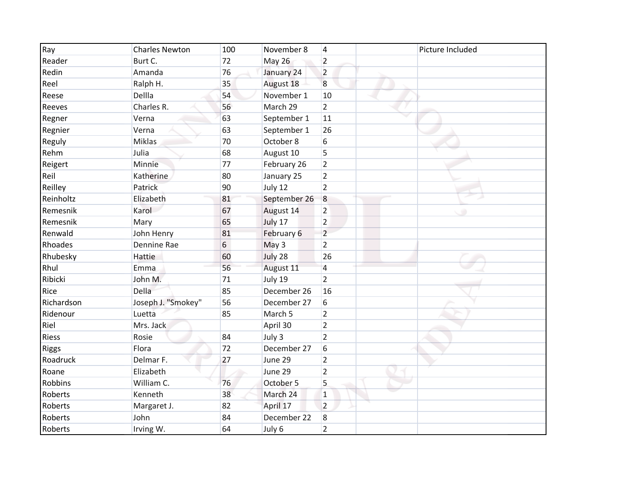| Ray          | <b>Charles Newton</b> | 100 | November 8   | $\overline{4}$ | Picture Included |
|--------------|-----------------------|-----|--------------|----------------|------------------|
| Reader       | Burt C.               | 72  | May 26       | $\overline{2}$ |                  |
| Redin        | Amanda                | 76  | January 24   | $\overline{2}$ |                  |
| Reel         | Ralph H.              | 35  | August 18    | 8              |                  |
| Reese        | Dellla                | 54  | November 1   | 10             |                  |
| Reeves       | Charles R.            | 56  | March 29     | $\overline{2}$ |                  |
| Regner       | Verna                 | 63  | September 1  | 11             |                  |
| Regnier      | Verna                 | 63  | September 1  | 26             |                  |
| Reguly       | Miklas                | 70  | October 8    | 6              |                  |
| Rehm         | Julia                 | 68  | August 10    | 5              |                  |
| Reigert      | Minnie                | 77  | February 26  | $\overline{2}$ |                  |
| Reil         | Katherine             | 80  | January 25   | $\overline{2}$ |                  |
| Reilley      | Patrick               | 90  | July 12      | $\overline{2}$ |                  |
| Reinholtz    | Elizabeth             | 81  | September 26 | $\overline{8}$ |                  |
| Remesnik     | Karol                 | 67  | August 14    | $\overline{2}$ | ٠                |
| Remesnik     | Mary                  | 65  | July 17      | $\overline{2}$ |                  |
| Renwald      | John Henry            | 81  | February 6   | $\overline{2}$ |                  |
| Rhoades      | Dennine Rae           | 6   | May 3        | $\overline{2}$ |                  |
| Rhubesky     | Hattie                | 60  | July 28      | 26             |                  |
| Rhul         | Emma                  | 56  | August 11    | 4              |                  |
| Ribicki      | John M.               | 71  | July 19      | $\overline{2}$ |                  |
| Rice         | Della                 | 85  | December 26  | 16             |                  |
| Richardson   | Joseph J. "Smokey"    | 56  | December 27  | 6              |                  |
| Ridenour     | Luetta                | 85  | March 5      | $\overline{2}$ |                  |
| Riel         | Mrs. Jack             |     | April 30     | $\overline{2}$ |                  |
| <b>Riess</b> | Rosie                 | 84  | July 3       | $\overline{2}$ |                  |
| <b>Riggs</b> | Flora                 | 72  | December 27  | 6              |                  |
| Roadruck     | Delmar F.             | 27  | June 29      | $\overline{2}$ |                  |
| Roane        | Elizabeth             |     | June 29      | $\overline{2}$ |                  |
| Robbins      | William C.            | 76  | October 5    | 5              |                  |
| Roberts      | Kenneth               | 38  | March 24     | $\mathbf{1}$   |                  |
| Roberts      | Margaret J.           | 82  | April 17     | $\overline{2}$ |                  |
| Roberts      | John                  | 84  | December 22  | 8              |                  |
| Roberts      | Irving W.             | 64  | July 6       | $\overline{2}$ |                  |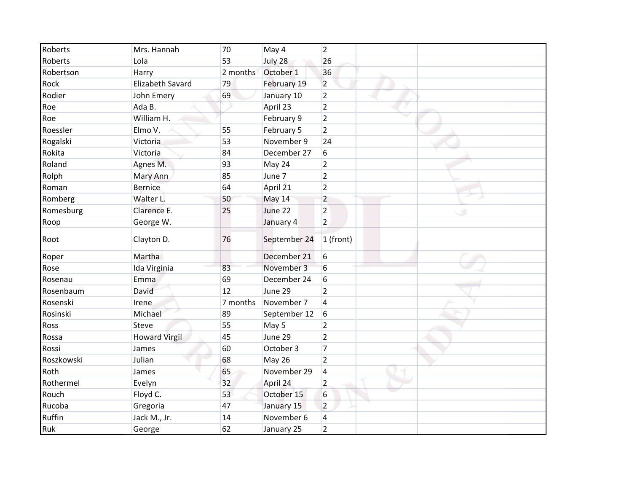| Roberts    | Mrs. Hannah          | 70       | May 4         | $\overline{2}$ |
|------------|----------------------|----------|---------------|----------------|
| Roberts    | Lola                 | 53       | July 28       | 26             |
| Robertson  | Harry                | 2 months | October 1     | 36             |
| Rock       | Elizabeth Savard     | 79       | February 19   | $\overline{2}$ |
| Rodier     | John Emery           | 69       | January 10    | $\overline{2}$ |
| Roe        | Ada B.               |          | April 23      | $\overline{2}$ |
| Roe        | William H.           |          | February 9    | $\overline{2}$ |
| Roessler   | Elmo V.              | 55       | February 5    | $\overline{2}$ |
| Rogalski   | Victoria             | 53       | November 9    | 24             |
| Rokita     | Victoria             | 84       | December 27   | 6              |
| Roland     | Agnes M.             | 93       | May 24        | $\overline{2}$ |
| Rolph      | Mary Ann             | 85       | June 7        | $\overline{2}$ |
| Roman      | <b>Bernice</b>       | 64       | April 21      | $\overline{2}$ |
| Romberg    | Walter L.            | 50       | May 14        | $\overline{2}$ |
| Romesburg  | Clarence E.          | 25       | June 22       | $\overline{2}$ |
| Roop       | George W.            |          | January 4     | $\overline{2}$ |
| Root       | Clayton D.           | 76       | September 24  | 1 (front)      |
| Roper      | Martha               |          | December 21   | 6              |
| Rose       | Ida Virginia         | 83       | November 3    | 6              |
| Rosenau    | Emma                 | 69       | December 24   | 6              |
| Rosenbaum  | David                | 12       | June 29       | $\overline{2}$ |
| Rosenski   | Irene                | 7 months | November 7    | 4              |
| Rosinski   | Michael              | 89       | September 12  | 6              |
| Ross       | <b>Steve</b>         | 55       | May 5         | $\overline{2}$ |
| Rossa      | <b>Howard Virgil</b> | 45       | June 29       | $\overline{2}$ |
| Rossi      | James                | 60       | October 3     | $\overline{7}$ |
| Roszkowski | Julian               | 68       | <b>May 26</b> | $\overline{2}$ |
| Roth       | James                | 65       | November 29   | 4              |
| Rothermel  | Evelyn               | 32       | April 24      | $\overline{2}$ |
| Rouch      | Floyd C.             | 53       | October 15    | 6              |
| Rucoba     | Gregoria             | 47       | January 15    | $\overline{2}$ |
| Ruffin     | Jack M., Jr.         | 14       | November 6    | 4              |
| Ruk        | George               | 62       | January 25    | $\overline{2}$ |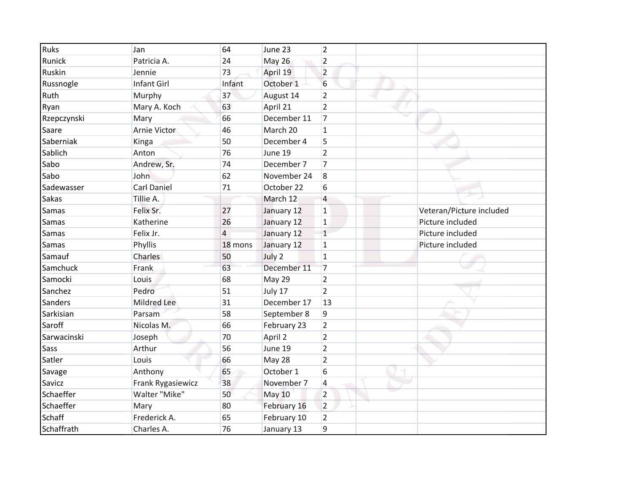| <b>Ruks</b> | Jan                | 64             | June 23       | $\overline{2}$          |                          |
|-------------|--------------------|----------------|---------------|-------------------------|--------------------------|
| Runick      | Patricia A.        | 24             | <b>May 26</b> | $\overline{2}$          |                          |
| Ruskin      | Jennie             | 73             | April 19      | $\overline{2}$          |                          |
| Russnogle   | Infant Girl        | Infant         | October 1     | 6                       |                          |
| Ruth        | Murphy             | 37             | August 14     | $\overline{2}$          |                          |
| Ryan        | Mary A. Koch       | 63             | April 21      | $\overline{2}$          |                          |
| Rzepczynski | Mary               | 66             | December 11   | $\overline{7}$          |                          |
| Saare       | Arnie Victor       | 46             | March 20      | $\mathbf{1}$            |                          |
| Saberniak   | Kinga              | 50             | December 4    | 5                       |                          |
| Sablich     | Anton              | 76             | June 19       | $\overline{2}$          |                          |
| Sabo        | Andrew, Sr.        | 74             | December 7    | $\overline{7}$          |                          |
| Sabo        | John               | 62             | November 24   | 8                       |                          |
| Sadewasser  | <b>Carl Daniel</b> | 71             | October 22    | 6                       |                          |
| Sakas       | Tillie A.          |                | March 12      | $\overline{4}$          |                          |
| Samas       | Felix Sr.          | 27             | January 12    | $\mathbf 1$             | Veteran/Picture included |
| Samas       | Katherine          | 26             | January 12    | $\mathbf{1}$            | Picture included         |
| Samas       | Felix Jr.          | $\overline{4}$ | January 12    | $\mathbf{1}$            | Picture included         |
| Samas       | Phyllis            | 18 mons        | January 12    | $\mathbf{1}$            | Picture included         |
| Samauf      | Charles            | 50             | July 2        | $\mathbf{1}$            |                          |
| Samchuck    | Frank              | 63             | December 11   | 7                       |                          |
| Samocki     | Louis              | 68             | May 29        | $\overline{2}$          |                          |
| Sanchez     | Pedro              | 51             | July 17       | $\overline{2}$          |                          |
| Sanders     | Mildred Lee        | 31             | December 17   | 13                      |                          |
| Sarkisian   | Parsam             | 58             | September 8   | 9                       |                          |
| Saroff      | Nicolas M.         | 66             | February 23   | $\overline{2}$          |                          |
| Sarwacinski | Joseph             | 70             | April 2       | $\overline{2}$          |                          |
| Sass        | Arthur             | 56             | June 19       | $\overline{2}$          |                          |
| Satler      | Louis              | 66             | May 28        | $\overline{2}$          |                          |
| Savage      | Anthony            | 65             | October 1     | 6                       |                          |
| Savicz      | Frank Rygasiewicz  | 38             | November 7    | $\overline{\mathbf{4}}$ |                          |
| Schaeffer   | Walter "Mike"      | 50             | May 10        | $\overline{2}$          |                          |
| Schaeffer   | Mary               | 80             | February 16   | $\overline{2}$          |                          |
| Schaff      | Frederick A.       | 65             | February 10   | $\overline{2}$          |                          |
| Schaffrath  | Charles A.         | 76             | January 13    | 9                       |                          |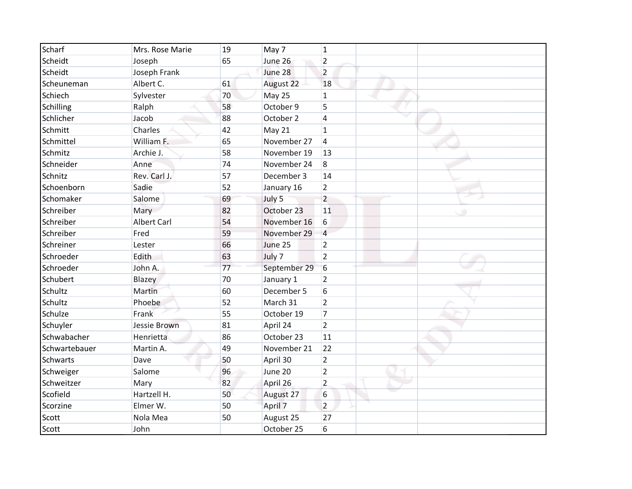| <b>Scharf</b>   | Mrs. Rose Marie    | 19 | May 7        | $\mathbf{1}$   |  |
|-----------------|--------------------|----|--------------|----------------|--|
| Scheidt         | Joseph             | 65 | June 26      | $\overline{2}$ |  |
| Scheidt         | Joseph Frank       |    | June 28      | $\overline{2}$ |  |
| Scheuneman      | Albert C.          | 61 | August 22    | 18             |  |
| Schiech         | Sylvester          | 70 | May 25       | $\mathbf{1}$   |  |
| Schilling       | Ralph              | 58 | October 9    | 5              |  |
| Schlicher       | Jacob              | 88 | October 2    | 4              |  |
| Schmitt         | Charles            | 42 | May 21       | $\mathbf{1}$   |  |
| Schmittel       | William F.         | 65 | November 27  | 4              |  |
| Schmitz         | Archie J.          | 58 | November 19  | 13             |  |
| Schneider       | Anne               | 74 | November 24  | 8              |  |
| Schnitz         | Rev. Carl J.       | 57 | December 3   | 14             |  |
| Schoenborn      | Sadie              | 52 | January 16   | $\overline{2}$ |  |
| Schomaker       | Salome             | 69 | July 5       | $\overline{2}$ |  |
| Schreiber       | Mary               | 82 | October 23   | 11             |  |
| Schreiber       | <b>Albert Carl</b> | 54 | November 16  | 6              |  |
| Schreiber       | Fred               | 59 | November 29  | $\overline{4}$ |  |
| Schreiner       | Lester             | 66 | June 25      | $\overline{2}$ |  |
| Schroeder       | Edith              | 63 | July 7       | $\overline{2}$ |  |
| Schroeder       | John A.            | 77 | September 29 | 6              |  |
| Schubert        | Blazey             | 70 | January 1    | $\overline{2}$ |  |
| Schultz         | Martin             | 60 | December 5   | 6              |  |
| Schultz         | Phoebe             | 52 | March 31     | $\overline{2}$ |  |
| Schulze         | Frank              | 55 | October 19   | $\overline{7}$ |  |
| Schuyler        | Jessie Brown       | 81 | April 24     | $\overline{2}$ |  |
| Schwabacher     | Henrietta          | 86 | October 23   | 11             |  |
| Schwartebauer   | Martin A.          | 49 | November 21  | 22             |  |
| <b>Schwarts</b> | Dave               | 50 | April 30     | $\overline{2}$ |  |
| Schweiger       | Salome             | 96 | June 20      | $\overline{2}$ |  |
| Schweitzer      | Mary               | 82 | April 26     | $\overline{2}$ |  |
| Scofield        | Hartzell H.        | 50 | August 27    | 6              |  |
| Scorzine        | Elmer W.           | 50 | April 7      | $\overline{2}$ |  |
| Scott           | Nola Mea           | 50 | August 25    | 27             |  |
| Scott           | John               |    | October 25   | 6              |  |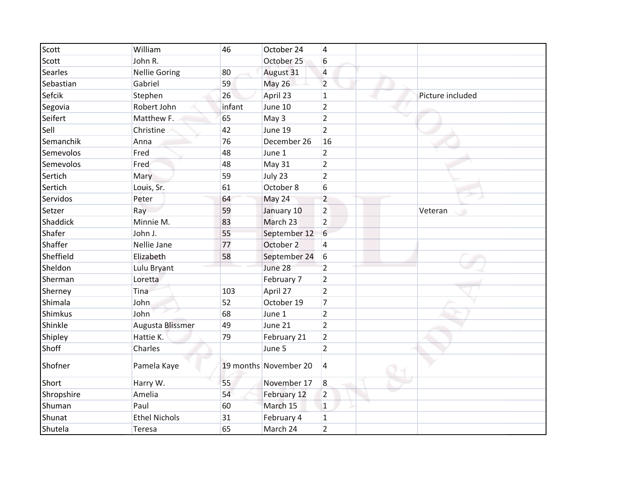| Scott          | William              | 46     | October 24            | $\overline{4}$  |                  |
|----------------|----------------------|--------|-----------------------|-----------------|------------------|
| Scott          | John R.              |        | October 25            | $6\overline{6}$ |                  |
| <b>Searles</b> | <b>Nellie Goring</b> | 80     | August 31             | $\overline{4}$  |                  |
| Sebastian      | Gabriel              | 59     | <b>May 26</b>         | $\overline{2}$  |                  |
| Sefcik         | Stephen              | 26     | April 23              | $\mathbf{1}$    | Picture included |
| Segovia        | Robert John          | infant | June 10               | $\overline{2}$  |                  |
| Seifert        | Matthew F.           | 65     | May 3                 | $\overline{2}$  |                  |
| Sell           | Christine            | 42     | June 19               | $\overline{2}$  |                  |
| Semanchik      | Anna                 | 76     | December 26           | 16              |                  |
| Semevolos      | Fred                 | 48     | June 1                | $\overline{2}$  |                  |
| Semevolos      | Fred                 | 48     | May 31                | $\overline{2}$  |                  |
| Sertich        | Mary                 | 59     | July 23               | $\overline{2}$  |                  |
| Sertich        | Louis, Sr.           | 61     | October 8             | 6               |                  |
| Servidos       | Peter                | 64     | May 24                | $\overline{2}$  |                  |
| Setzer         | Ray                  | 59     | January 10            | $\overline{2}$  | Veteran<br>œ     |
| Shaddick       | Minnie M.            | 83     | March 23              | $\overline{2}$  |                  |
| Shafer         | John J.              | 55     | September 12          | $6\overline{6}$ |                  |
| Shaffer        | Nellie Jane          | 77     | October 2             | $\overline{4}$  |                  |
| Sheffield      | Elizabeth            | 58     | September 24          | 6               |                  |
| Sheldon        | Lulu Bryant          |        | June 28               | $\overline{2}$  |                  |
| Sherman        | Loretta              |        | February 7            | $\overline{2}$  |                  |
| Sherney        | Tina                 | 103    | April 27              | $\overline{2}$  |                  |
| Shimala        | John                 | 52     | October 19            | $\overline{7}$  |                  |
| Shimkus        | John                 | 68     | June 1                | $\overline{2}$  |                  |
| Shinkle        | Augusta Blissmer     | 49     | June 21               | $\overline{2}$  |                  |
| Shipley        | Hattie K.            | 79     | February 21           | $\overline{2}$  |                  |
| Shoff          | Charles              |        | June 5                | $\overline{2}$  |                  |
| Shofner        | Pamela Kaye          |        | 19 months November 20 | $\overline{4}$  |                  |
| Short          | Harry W.             | 55     | November 17           | 8               |                  |
| Shropshire     | Amelia               | 54     | February 12           | $\overline{2}$  |                  |
| Shuman         | Paul                 | 60     | March 15              | $\vert$ 1       |                  |
| Shunat         | <b>Ethel Nichols</b> | 31     | February 4            | $\mathbf{1}$    |                  |
| Shutela        | Teresa               | 65     | March 24              | $\overline{2}$  |                  |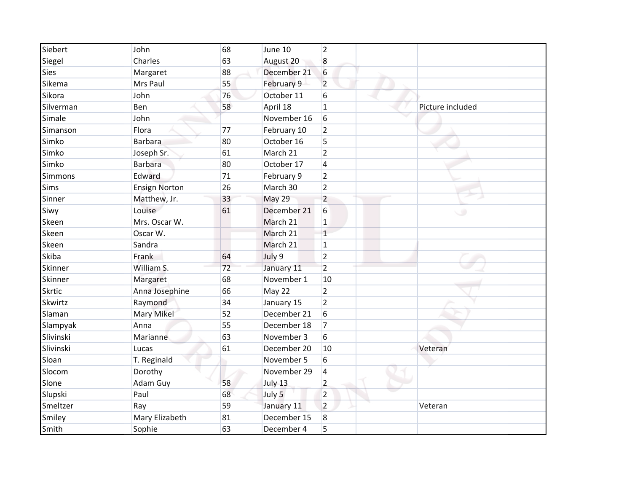| Siebert       | John                 | 68 | June 10     | $\overline{2}$ |                  |
|---------------|----------------------|----|-------------|----------------|------------------|
| Siegel        | Charles              | 63 | August 20   | $\bf 8$        |                  |
| <b>Sies</b>   | Margaret             | 88 | December 21 | 6              |                  |
| Sikema        | Mrs Paul             | 55 | February 9  | $\overline{2}$ |                  |
| Sikora        | John                 | 76 | October 11  | 6              |                  |
| Silverman     | Ben                  | 58 | April 18    | $\mathbf{1}$   | Picture included |
| Simale        | John                 |    | November 16 | 6              |                  |
| Simanson      | Flora                | 77 | February 10 | $\overline{2}$ |                  |
| Simko         | Barbara              | 80 | October 16  | 5              |                  |
| Simko         | Joseph Sr.           | 61 | March 21    | $\overline{2}$ |                  |
| Simko         | <b>Barbara</b>       | 80 | October 17  | 4              |                  |
| Simmons       | Edward               | 71 | February 9  | $\overline{2}$ |                  |
| <b>Sims</b>   | <b>Ensign Norton</b> | 26 | March 30    | $\overline{2}$ |                  |
| Sinner        | Matthew, Jr.         | 33 | May 29      | $\overline{2}$ |                  |
| Siwy          | Louise               | 61 | December 21 | 6              | ٠                |
| Skeen         | Mrs. Oscar W.        |    | March 21    | $\mathbf{1}$   |                  |
| Skeen         | Oscar W.             |    | March 21    | $\mathbf 1$    |                  |
| Skeen         | Sandra               |    | March 21    | $\mathbf{1}$   |                  |
| Skiba         | Frank                | 64 | July 9      | $\overline{2}$ |                  |
| Skinner       | William S.           | 72 | January 11  | $\overline{2}$ |                  |
| Skinner       | Margaret             | 68 | November 1  | 10             |                  |
| <b>Skrtic</b> | Anna Josephine       | 66 | May 22      | $\overline{2}$ |                  |
| Skwirtz       | Raymond              | 34 | January 15  | $\overline{2}$ |                  |
| Slaman        | Mary Mikel           | 52 | December 21 | 6              |                  |
| Slampyak      | Anna                 | 55 | December 18 | $\overline{7}$ |                  |
| Slivinski     | Marianne             | 63 | November 3  | 6              |                  |
| Slivinski     | Lucas                | 61 | December 20 | 10             | Veteran          |
| Sloan         | T. Reginald          |    | November 5  | 6              |                  |
| Slocom        | Dorothy              |    | November 29 | 4              |                  |
| Slone         | Adam Guy             | 58 | July 13     | $\overline{2}$ |                  |
| Slupski       | Paul                 | 68 | July 5      | $\overline{2}$ |                  |
| Smeltzer      | Ray                  | 59 | January 11  | $\overline{2}$ | Veteran          |
| Smiley        | Mary Elizabeth       | 81 | December 15 | 8              |                  |
| Smith         | Sophie               | 63 | December 4  | 5              |                  |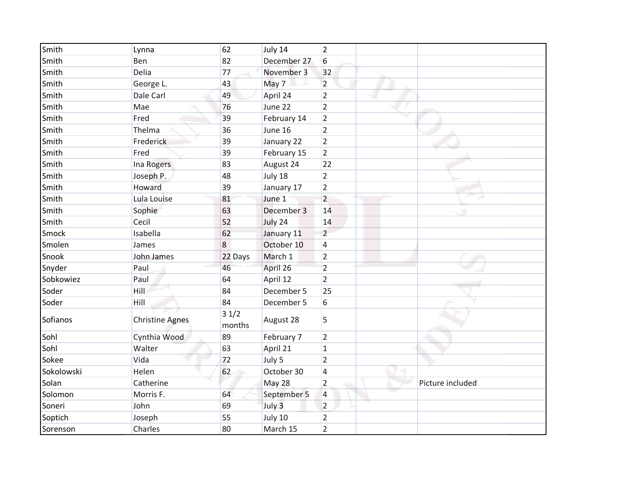| Smith      | Lynna                  | 62             | July 14     | $\overline{2}$ |                  |
|------------|------------------------|----------------|-------------|----------------|------------------|
| Smith      | Ben                    | 82             | December 27 | 6              |                  |
| Smith      | Delia                  | 77             | November 3  | 32             |                  |
| Smith      | George L.              | 43             | May 7       | $\overline{2}$ |                  |
| Smith      | Dale Carl              | 49             | April 24    | $\overline{2}$ |                  |
| Smith      | Mae                    | 76             | June 22     | $\overline{2}$ |                  |
| Smith      | Fred                   | 39             | February 14 | $\overline{2}$ |                  |
| Smith      | Thelma                 | 36             | June 16     | $\overline{2}$ |                  |
| Smith      | Frederick              | 39             | January 22  | $\overline{2}$ |                  |
| Smith      | Fred                   | 39             | February 15 | $\overline{2}$ |                  |
| Smith      | Ina Rogers             | 83             | August 24   | 22             |                  |
| Smith      | Joseph P.              | 48             | July 18     | $\overline{2}$ |                  |
| Smith      | Howard                 | 39             | January 17  | $\overline{2}$ |                  |
| Smith      | Lula Louise            | 81             | June 1      | $\overline{2}$ |                  |
| Smith      | Sophie                 | 63             | December 3  | 14             |                  |
| Smith      | Cecil                  | 52             | July 24     | 14             |                  |
| Smock      | Isabella               | 62             | January 11  | $\overline{2}$ |                  |
| Smolen     | James                  | 8              | October 10  | 4              |                  |
| Snook      | John James             | 22 Days        | March 1     | $\overline{2}$ |                  |
| Snyder     | Paul                   | 46             | April 26    | $\overline{2}$ |                  |
| Sobkowiez  | Paul                   | 64             | April 12    | $\overline{2}$ |                  |
| Soder      | Hill                   | 84             | December 5  | 25             |                  |
| Soder      | Hill                   | 84             | December 5  | 6              |                  |
| Sofianos   | <b>Christine Agnes</b> | 31/2<br>months | August 28   | 5              |                  |
| Sohl       | Cynthia Wood           | 89             | February 7  | $\overline{2}$ |                  |
| Sohl       | Walter                 | 63             | April 21    | $\mathbf{1}$   |                  |
| Sokee      | Vida                   | 72             | July 5      | $\overline{2}$ |                  |
| Sokolowski | Helen                  | 62             | October 30  | 4              |                  |
| Solan      | Catherine              |                | May 28      | $\overline{2}$ | Picture included |
| Solomon    | Morris F.              | 64             | September 5 | 4              |                  |
| Soneri     | John                   | 69             | July 3      | $\overline{2}$ |                  |
| Soptich    | Joseph                 | 55             | July 10     | $\overline{2}$ |                  |
| Sorenson   | Charles                | 80             | March 15    | $\overline{2}$ |                  |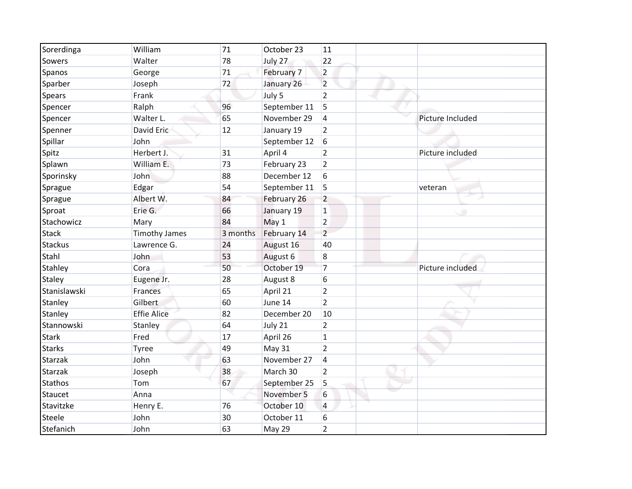| Sorerdinga     | William              | 71       | October 23   | 11             |                  |
|----------------|----------------------|----------|--------------|----------------|------------------|
| Sowers         | Walter               | 78       | July 27      | 22             |                  |
| Spanos         | George               | 71       | February 7   | $\overline{2}$ |                  |
| Sparber        | Joseph               | 72       | January 26   | $\overline{2}$ |                  |
| <b>Spears</b>  | Frank                |          | July 5       | $\overline{2}$ |                  |
| Spencer        | Ralph                | 96       | September 11 | 5              |                  |
| Spencer        | Walter L.            | 65       | November 29  | $\overline{4}$ | Picture Included |
| Spenner        | David Eric           | 12       | January 19   | $\overline{2}$ |                  |
| Spillar        | John                 |          | September 12 | 6              |                  |
| Spitz          | Herbert J.           | 31       | April 4      | $\overline{2}$ | Picture included |
| Splawn         | William E.           | 73       | February 23  | $\overline{2}$ |                  |
| Sporinsky      | John                 | 88       | December 12  | 6              |                  |
| Sprague        | Edgar                | 54       | September 11 | 5              | veteran          |
| Sprague        | Albert W.            | 84       | February 26  | $\overline{2}$ |                  |
| Sproat         | Erie G.              | 66       | January 19   | $\mathbf{1}$   |                  |
| Stachowicz     | Mary                 | 84       | May 1        | $\overline{2}$ |                  |
| <b>Stack</b>   | <b>Timothy James</b> | 3 months | February 14  | $\overline{2}$ |                  |
| <b>Stackus</b> | Lawrence G.          | 24       | August 16    | 40             |                  |
| Stahl          | John                 | 53       | August 6     | 8              |                  |
| Stahley        | Cora                 | 50       | October 19   | 7              | Picture included |
| <b>Staley</b>  | Eugene Jr.           | 28       | August 8     | 6              |                  |
| Stanislawski   | Frances              | 65       | April 21     | $\overline{2}$ |                  |
| Stanley        | Gilbert              | 60       | June 14      | $\overline{2}$ |                  |
| Stanley        | <b>Effie Alice</b>   | 82       | December 20  | 10             |                  |
| Stannowski     | Stanley              | 64       | July 21      | $\overline{2}$ |                  |
| <b>Stark</b>   | Fred                 | 17       | April 26     | $\mathbf{1}$   |                  |
| <b>Starks</b>  | Tyree                | 49       | May 31       | $\overline{2}$ |                  |
| <b>Starzak</b> | John                 | 63       | November 27  | $\overline{4}$ |                  |
| <b>Starzak</b> | Joseph               | 38       | March 30     | $\overline{2}$ |                  |
| <b>Stathos</b> | Tom                  | 67       | September 25 | 5              |                  |
| Staucet        | Anna                 |          | November 5   | 6              |                  |
| Stavitzke      | Henry E.             | 76       | October 10   | 4              |                  |
| Steele         | John                 | 30       | October 11   | 6              |                  |
| Stefanich      | John                 | 63       | May 29       | $\overline{2}$ |                  |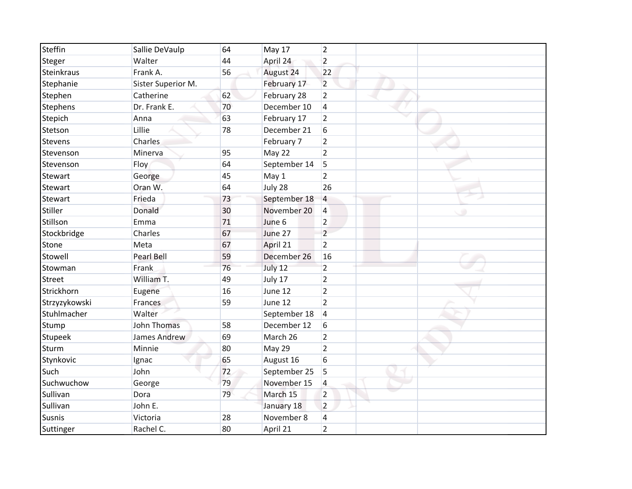| Steffin        | Sallie DeVaulp     | 64 | May 17       | $\overline{2}$ |
|----------------|--------------------|----|--------------|----------------|
| Steger         | Walter             | 44 | April 24     | $\overline{2}$ |
| Steinkraus     | Frank A.           | 56 | August 24    | 22             |
| Stephanie      | Sister Superior M. |    | February 17  | $\overline{2}$ |
| Stephen        | Catherine          | 62 | February 28  | $\overline{2}$ |
| Stephens       | Dr. Frank E.       | 70 | December 10  | 4              |
| Stepich        | Anna               | 63 | February 17  | $\overline{2}$ |
| Stetson        | Lillie             | 78 | December 21  | 6              |
| <b>Stevens</b> | Charles            |    | February 7   | $\overline{2}$ |
| Stevenson      | Minerva            | 95 | May 22       | $\overline{2}$ |
| Stevenson      | Floy               | 64 | September 14 | 5              |
| Stewart        | George             | 45 | May 1        | $\overline{2}$ |
| Stewart        | Oran W.            | 64 | July 28      | 26             |
| Stewart        | Frieda             | 73 | September 18 | 4              |
| Stiller        | Donald             | 30 | November 20  | 4              |
| Stillson       | Emma               | 71 | June 6       | $\overline{2}$ |
| Stockbridge    | Charles            | 67 | June 27      | $\overline{2}$ |
| Stone          | Meta               | 67 | April 21     | $\overline{2}$ |
| Stowell        | <b>Pearl Bell</b>  | 59 | December 26  | 16             |
| Stowman        | Frank              | 76 | July 12      | $\overline{2}$ |
| <b>Street</b>  | William T.         | 49 | July 17      | $\overline{2}$ |
| Strickhorn     | Eugene             | 16 | June 12      | $\overline{2}$ |
| Strzyzykowski  | Frances            | 59 | June 12      | $\overline{2}$ |
| Stuhlmacher    | Walter             |    | September 18 | 4              |
| Stump          | <b>John Thomas</b> | 58 | December 12  | 6              |
| Stupeek        | James Andrew       | 69 | March 26     | $\overline{2}$ |
| Sturm          | Minnie             | 80 | May 29       | $\overline{2}$ |
| Stynkovic      | Ignac              | 65 | August 16    | 6              |
| Such           | John               | 72 | September 25 | 5              |
| Suchwuchow     | George             | 79 | November 15  | 4              |
| Sullivan       | Dora               | 79 | March 15     | $\overline{2}$ |
| Sullivan       | John E.            |    | January 18   | $\overline{2}$ |
| <b>Susnis</b>  | Victoria           | 28 | November 8   | 4              |
| Suttinger      | Rachel C.          | 80 | April 21     | $\overline{2}$ |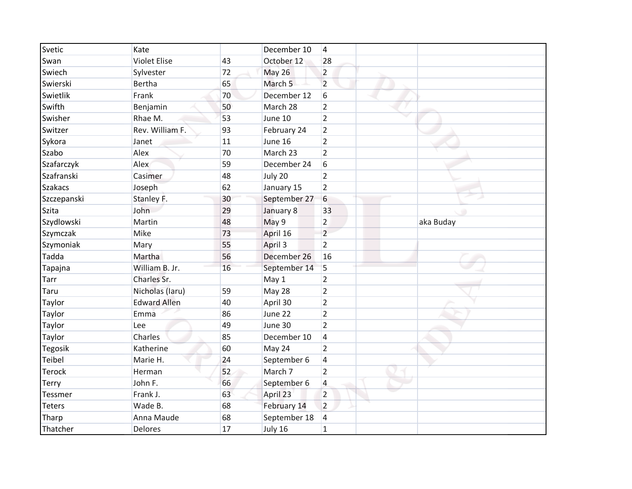| Svetic         | Kate                |    | December 10        | $\vert$ 4               |           |
|----------------|---------------------|----|--------------------|-------------------------|-----------|
| Swan           | <b>Violet Elise</b> | 43 | October 12         | 28                      |           |
| Swiech         | Sylvester           | 72 | <b>May 26</b>      | $\overline{2}$          |           |
| Swierski       | <b>Bertha</b>       | 65 | March <sub>5</sub> | $\overline{2}$          |           |
| Swietlik       | Frank               | 70 | December 12        | 6                       |           |
| Swifth         | Benjamin            | 50 | March 28           | $\overline{2}$          |           |
| Swisher        | Rhae M.             | 53 | June 10            | $\overline{2}$          |           |
| Switzer        | Rev. William F.     | 93 | February 24        | $\overline{2}$          |           |
| Sykora         | Janet               | 11 | June 16            | $\overline{2}$          |           |
| Szabo          | Alex                | 70 | March 23           | $\overline{2}$          |           |
| Szafarczyk     | Alex                | 59 | December 24        | 6                       |           |
| Szafranski     | Casimer             | 48 | July 20            | $\overline{2}$          |           |
| <b>Szakacs</b> | Joseph              | 62 | January 15         | $\overline{2}$          |           |
| Szczepanski    | Stanley F.          | 30 | September 27       | 6                       |           |
| Szita          | John                | 29 | January 8          | 33                      | . O       |
| Szydlowski     | Martin              | 48 | May 9              | $\overline{2}$          | aka Buday |
| Szymczak       | Mike                | 73 | April 16           | $\overline{2}$          |           |
| Szymoniak      | Mary                | 55 | April 3            | $\overline{2}$          |           |
| Tadda          | Martha              | 56 | December 26        | 16                      |           |
| Tapajna        | William B. Jr.      | 16 | September 14       | 5                       |           |
| Tarr           | Charles Sr.         |    | May 1              | $\overline{2}$          |           |
| Taru           | Nicholas (Iaru)     | 59 | May 28             | $\overline{2}$          |           |
| Taylor         | <b>Edward Allen</b> | 40 | April 30           | $\overline{2}$          |           |
| Taylor         | Emma                | 86 | June 22            | $\overline{2}$          |           |
| Taylor         | Lee                 | 49 | June 30            | $\overline{2}$          |           |
| Taylor         | Charles             | 85 | December 10        | 4                       |           |
| <b>Tegosik</b> | Katherine           | 60 | May 24             | $\overline{2}$          |           |
| Teibel         | Marie H.            | 24 | September 6        | $\overline{\mathbf{4}}$ |           |
| <b>Terock</b>  | Herman              | 52 | March 7            | $\overline{2}$          |           |
| Terry          | John F.             | 66 | September 6        | 4                       |           |
| Tessmer        | Frank J.            | 63 | April 23           | $\overline{2}$          |           |
| <b>Teters</b>  | Wade B.             | 68 | February 14        | $\overline{2}$          |           |
| Tharp          | Anna Maude          | 68 | September 18       | 4                       |           |
| Thatcher       | Delores             | 17 | July 16            | $\mathbf{1}$            |           |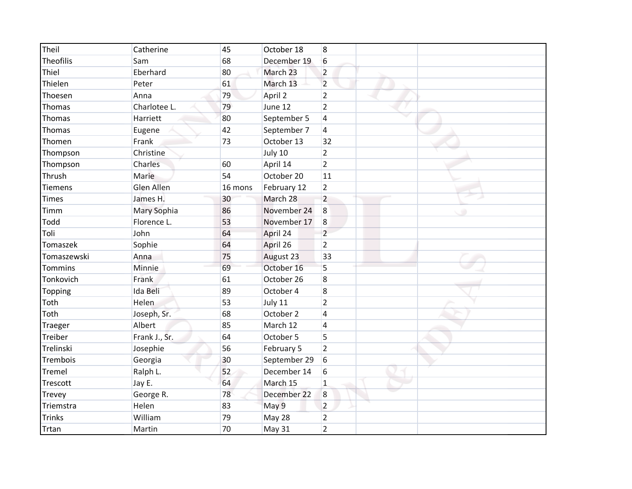| Theil            | Catherine     | 45      | October 18   | $\overline{8}$ |
|------------------|---------------|---------|--------------|----------------|
| <b>Theofilis</b> | Sam           | 68      | December 19  | 6              |
| Thiel            | Eberhard      | 80      | March 23     | $\overline{2}$ |
| Thielen          | Peter         | 61      | March 13     | $\overline{2}$ |
| Thoesen          | Anna          | 79      | April 2      | $\overline{2}$ |
| Thomas           | Charlotee L.  | 79      | June 12      | $\overline{2}$ |
| Thomas           | Harriett      | 80      | September 5  | 4              |
| Thomas           | Eugene        | 42      | September 7  | 4              |
| Thomen           | Frank         | 73      | October 13   | 32             |
| Thompson         | Christine     |         | July 10      | $\overline{2}$ |
| Thompson         | Charles       | 60      | April 14     | $\overline{2}$ |
| Thrush           | Marie         | 54      | October 20   | 11             |
| <b>Tiemens</b>   | Glen Allen    | 16 mons | February 12  | $\overline{2}$ |
| <b>Times</b>     | James H.      | 30      | March 28     | $\overline{2}$ |
| Timm             | Mary Sophia   | 86      | November 24  | $\,8$          |
| Todd             | Florence L.   | 53      | November 17  | 8              |
| Toli             | John          | 64      | April 24     | $\overline{2}$ |
| Tomaszek         | Sophie        | 64      | April 26     | $\overline{2}$ |
| Tomaszewski      | Anna          | 75      | August 23    | 33             |
| Tommins          | Minnie        | 69      | October 16   | 5              |
| Tonkovich        | Frank         | 61      | October 26   | 8              |
| <b>Topping</b>   | Ida Beli      | 89      | October 4    | 8              |
| Toth             | Helen         | 53      | July 11      | $\overline{2}$ |
| Toth             | Joseph, Sr.   | 68      | October 2    | $\overline{4}$ |
| Traeger          | Albert        | 85      | March 12     | 4              |
| Treiber          | Frank J., Sr. | 64      | October 5    | 5              |
| Trelinski        | Josephie      | 56      | February 5   | $\overline{2}$ |
| Trembois         | Georgia       | 30      | September 29 | 6              |
| Tremel           | Ralph L.      | 52      | December 14  | 6              |
| Trescott         | Jay E.        | 64      | March 15     | $\mathbf{1}$   |
| Trevey           | George R.     | 78      | December 22  | 8              |
| Triemstra        | Helen         | 83      | May 9        | $\overline{2}$ |
| <b>Trinks</b>    | William       | 79      | May 28       | $\overline{2}$ |
| Trtan            | Martin        | 70      | May 31       | $\overline{2}$ |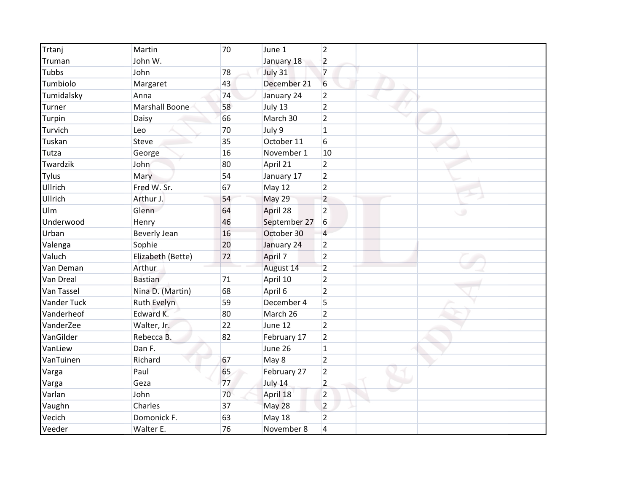| Trtanj             | Martin                | 70 | June 1       | $\overline{2}$ |  |  |
|--------------------|-----------------------|----|--------------|----------------|--|--|
| Truman             | John W.               |    | January 18   | $\overline{2}$ |  |  |
| <b>Tubbs</b>       | John                  | 78 | July 31      | $\overline{7}$ |  |  |
| Tumbiolo           | Margaret              | 43 | December 21  | 6              |  |  |
| Tumidalsky         | Anna                  | 74 | January 24   | $\overline{2}$ |  |  |
| Turner             | <b>Marshall Boone</b> | 58 | July 13      | $\overline{2}$ |  |  |
| Turpin             | Daisy                 | 66 | March 30     | $\overline{2}$ |  |  |
| Turvich            | Leo                   | 70 | July 9       | $\mathbf{1}$   |  |  |
| Tuskan             | Steve                 | 35 | October 11   | 6              |  |  |
| Tutza              | George                | 16 | November 1   | 10             |  |  |
| Twardzik           | John                  | 80 | April 21     | $\overline{2}$ |  |  |
| <b>Tylus</b>       | Mary                  | 54 | January 17   | $\overline{2}$ |  |  |
| Ullrich            | Fred W. Sr.           | 67 | May 12       | $\overline{2}$ |  |  |
| Ullrich            | Arthur J.             | 54 | May 29       | $\overline{2}$ |  |  |
| Ulm                | Glenn                 | 64 | April 28     | $\overline{2}$ |  |  |
| Underwood          | Henry                 | 46 | September 27 | 6              |  |  |
| Urban              | <b>Beverly Jean</b>   | 16 | October 30   | $\overline{a}$ |  |  |
| Valenga            | Sophie                | 20 | January 24   | $\overline{2}$ |  |  |
| Valuch             | Elizabeth (Bette)     | 72 | April 7      | $\overline{2}$ |  |  |
| Van Deman          | Arthur                |    | August 14    | $\overline{2}$ |  |  |
| Van Dreal          | <b>Bastian</b>        | 71 | April 10     | $\overline{2}$ |  |  |
| Van Tassel         | Nina D. (Martin)      | 68 | April 6      | $\overline{2}$ |  |  |
| <b>Vander Tuck</b> | Ruth Evelyn           | 59 | December 4   | 5              |  |  |
| Vanderheof         | Edward K.             | 80 | March 26     | $\overline{2}$ |  |  |
| VanderZee          | Walter, Jr.           | 22 | June 12      | $\overline{2}$ |  |  |
| VanGilder          | Rebecca B.            | 82 | February 17  | $\overline{2}$ |  |  |
| VanLiew            | Dan F.                |    | June 26      | $\mathbf{1}$   |  |  |
| VanTuinen          | Richard               | 67 | May 8        | $\overline{2}$ |  |  |
| Varga              | Paul                  | 65 | February 27  | $\overline{2}$ |  |  |
| Varga              | Geza                  | 77 | July 14      | $\overline{2}$ |  |  |
| Varlan             | John                  | 70 | April 18     | $\overline{2}$ |  |  |
| Vaughn             | Charles               | 37 | May 28       | $\overline{2}$ |  |  |
| Vecich             | Domonick F.           | 63 | May 18       | $\overline{2}$ |  |  |
| Veeder             | Walter E.             | 76 | November 8   | $\overline{4}$ |  |  |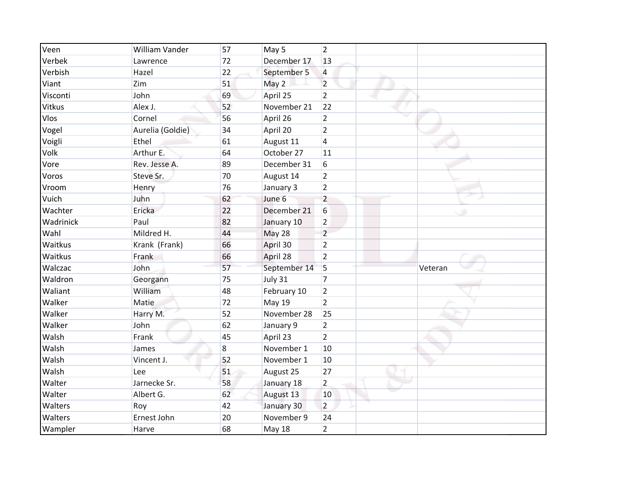| Veen      | William Vander   | 57 | May 5         | $\overline{2}$ |         |
|-----------|------------------|----|---------------|----------------|---------|
| Verbek    | Lawrence         | 72 | December 17   | 13             |         |
| Verbish   | Hazel            | 22 | September 5   | 4              |         |
| Viant     | Zim              | 51 | May 2         | $\overline{2}$ |         |
| Visconti  | John             | 69 | April 25      | $\overline{2}$ |         |
| Vitkus    | Alex J.          | 52 | November 21   | 22             |         |
| Vlos      | Cornel           | 56 | April 26      | $\overline{2}$ |         |
| Vogel     | Aurelia (Goldie) | 34 | April 20      | $\overline{2}$ |         |
| Voigli    | Ethel            | 61 | August 11     | 4              |         |
| Volk      | Arthur E.        | 64 | October 27    | 11             |         |
| Vore      | Rev. Jesse A.    | 89 | December 31   | 6              |         |
| Voros     | Steve Sr.        | 70 | August 14     | $\overline{2}$ |         |
| Vroom     | Henry            | 76 | January 3     | $\overline{2}$ |         |
| Vuich     | Juhn             | 62 | June 6        | $\overline{2}$ |         |
| Wachter   | Ericka           | 22 | December 21   | 6              |         |
| Wadrinick | Paul             | 82 | January 10    | $\overline{2}$ |         |
| Wahl      | Mildred H.       | 44 | May 28        | $\overline{2}$ |         |
| Waitkus   | Krank (Frank)    | 66 | April 30      | $\overline{2}$ |         |
| Waitkus   | Frank            | 66 | April 28      | $\overline{2}$ |         |
| Walczac   | John             | 57 | September 14  | 5              | Veteran |
| Waldron   | Georgann         | 75 | July 31       | $\overline{7}$ |         |
| Waliant   | William          | 48 | February 10   | $\overline{2}$ |         |
| Walker    | Matie            | 72 | <b>May 19</b> | $\overline{2}$ |         |
| Walker    | Harry M.         | 52 | November 28   | 25             |         |
| Walker    | John             | 62 | January 9     | $\overline{2}$ |         |
| Walsh     | Frank            | 45 | April 23      | $\overline{2}$ |         |
| Walsh     | James            | 8  | November 1    | 10             |         |
| Walsh     | Vincent J.       | 52 | November 1    | 10             |         |
| Walsh     | Lee              | 51 | August 25     | 27             |         |
| Walter    | Jarnecke Sr.     | 58 | January 18    | $\overline{2}$ |         |
| Walter    | Albert G.        | 62 | August 13     | 10             |         |
| Walters   | Roy              | 42 | January 30    | $\overline{2}$ |         |
| Walters   | Ernest John      | 20 | November 9    | 24             |         |
| Wampler   | Harve            | 68 | <b>May 18</b> | $\overline{2}$ |         |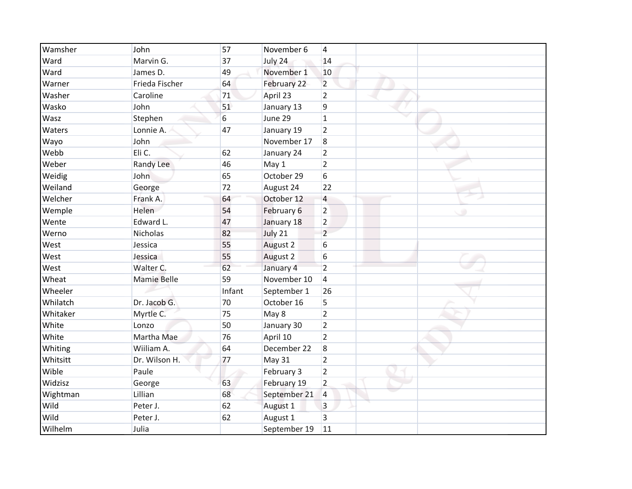| Wamsher  | John               | 57         | November 6   | $\overline{4}$ |   |
|----------|--------------------|------------|--------------|----------------|---|
| Ward     | Marvin G.          | 37         | July 24      | 14             |   |
| Ward     | James D.           | 49         | November 1   | 10             |   |
| Warner   | Frieda Fischer     | 64         | February 22  | $\overline{2}$ |   |
| Washer   | Caroline           | 71         | April 23     | $\overline{2}$ |   |
| Wasko    | John               | 51         | January 13   | 9              |   |
| Wasz     | Stephen            | $\sqrt{6}$ | June 29      | $\mathbf{1}$   |   |
| Waters   | Lonnie A.          | 47         | January 19   | $\overline{2}$ |   |
| Wayo     | John               |            | November 17  | 8              |   |
| Webb     | Eli C.             | 62         | January 24   | $\overline{2}$ |   |
| Weber    | Randy Lee          | 46         | May 1        | $\overline{2}$ |   |
| Weidig   | John               | 65         | October 29   | 6              |   |
| Weiland  | George             | 72         | August 24    | 22             |   |
| Welcher  | Frank A.           | 64         | October 12   | 4              |   |
| Wemple   | Helen              | 54         | February 6   | $\overline{2}$ | œ |
| Wente    | Edward L.          | 47         | January 18   | $\overline{2}$ |   |
| Werno    | Nicholas           | 82         | July 21      | $\overline{2}$ |   |
| West     | Jessica            | 55         | August 2     | 6              |   |
| West     | Jessica            | 55         | August 2     | 6              |   |
| West     | Walter C.          | 62         | January 4    | $\overline{2}$ |   |
| Wheat    | <b>Mamie Belle</b> | 59         | November 10  | $\overline{4}$ |   |
| Wheeler  |                    | Infant     | September 1  | 26             |   |
| Whilatch | Dr. Jacob G.       | 70         | October 16   | 5              |   |
| Whitaker | Myrtle C.          | 75         | May 8        | $\overline{2}$ |   |
| White    | Lonzo              | 50         | January 30   | $\overline{2}$ |   |
| White    | Martha Mae         | 76         | April 10     | $\overline{2}$ |   |
| Whiting  | Wiiliam A.         | 64         | December 22  | 8              |   |
| Whitsitt | Dr. Wilson H.      | 77         | May 31       | $\overline{2}$ |   |
| Wible    | Paule              |            | February 3   | $\overline{2}$ |   |
| Widzisz  | George             | 63         | February 19  | $\overline{2}$ |   |
| Wightman | Lillian            | 68         | September 21 | 4              |   |
| Wild     | Peter J.           | 62         | August 1     | 3              |   |
| Wild     | Peter J.           | 62         | August 1     | 3              |   |
| Wilhelm  | Julia              |            | September 19 | 11             |   |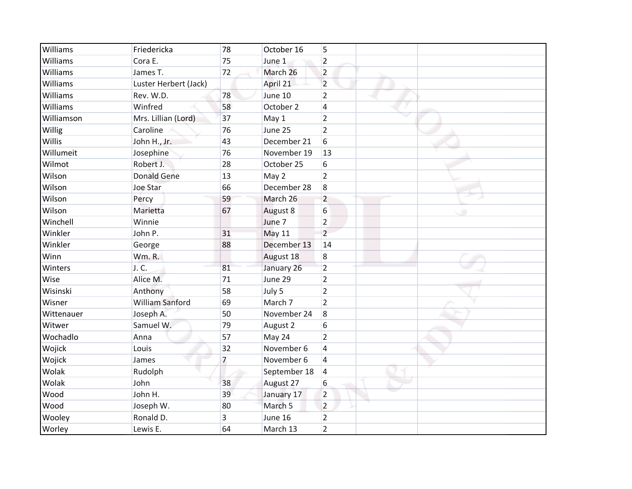| Williams   | Friedericka           | 78             | October 16    | 5                       |
|------------|-----------------------|----------------|---------------|-------------------------|
| Williams   | Cora E.               | 75             | June 1        | $\overline{2}$          |
| Williams   | James T.              | 72             | March 26      | $\overline{2}$          |
| Williams   | Luster Herbert (Jack) |                | April 21      | $\overline{2}$          |
| Williams   | Rev. W.D.             | 78             | June 10       | $\overline{2}$          |
| Williams   | Winfred               | 58             | October 2     | 4                       |
| Williamson | Mrs. Lillian (Lord)   | 37             | May 1         | $\overline{2}$          |
| Willig     | Caroline              | 76             | June 25       | $\overline{2}$          |
| Willis     | John H., Jr.          | 43             | December 21   | 6                       |
| Willumeit  | Josephine             | 76             | November 19   | 13                      |
| Wilmot     | Robert J.             | 28             | October 25    | 6                       |
| Wilson     | <b>Donald Gene</b>    | 13             | May 2         | $\overline{2}$          |
| Wilson     | Joe Star              | 66             | December 28   | 8                       |
| Wilson     | Percy                 | 59             | March 26      | $\overline{2}$          |
| Wilson     | Marietta              | 67             | August 8      | 6                       |
| Winchell   | Winnie                |                | June 7        | $\overline{2}$          |
| Winkler    | John P.               | 31             | <b>May 11</b> | $\overline{2}$          |
| Winkler    | George                | 88             | December 13   | 14                      |
| Winn       | <b>Wm.R.</b>          |                | August 18     | 8                       |
| Winters    | J.C.                  | 81             | January 26    | $\overline{2}$          |
| Wise       | Alice M.              | 71             | June 29       | $\overline{2}$          |
| Wisinski   | Anthony               | 58             | July 5        | $\overline{2}$          |
| Wisner     | William Sanford       | 69             | March 7       | $\overline{2}$          |
| Wittenauer | Joseph A.             | 50             | November 24   | $\boldsymbol{8}$        |
| Witwer     | Samuel W.             | 79             | August 2      | 6                       |
| Wochadlo   | Anna                  | 57             | May 24        | $\overline{2}$          |
| Wojick     | Louis                 | 32             | November 6    | $\overline{\mathbf{4}}$ |
| Wojick     | James                 | $\overline{7}$ | November 6    | $\overline{4}$          |
| Wolak      | Rudolph               |                | September 18  | 4                       |
| Wolak      | John                  | 38             | August 27     | 6                       |
| Wood       | John H.               | 39             | January 17    | $\overline{2}$          |
| Wood       | Joseph W.             | 80             | March 5       | $\overline{2}$          |
| Wooley     | Ronald D.             | 3              | June 16       | $\overline{2}$          |
| Worley     | Lewis E.              | 64             | March 13      | $\overline{2}$          |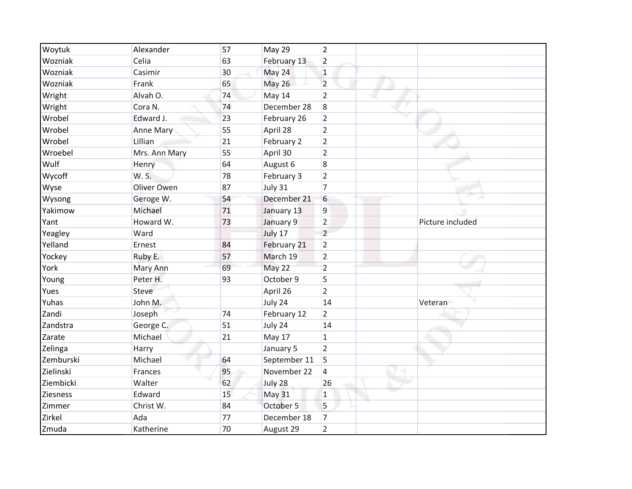| Woytuk          | Alexander     | 57 | May 29        | 2              |                  |
|-----------------|---------------|----|---------------|----------------|------------------|
| Wozniak         | Celia         | 63 | February 13   | $\overline{2}$ |                  |
| Wozniak         | Casimir       | 30 | May 24        | $\mathbf{1}$   |                  |
| Wozniak         | Frank         | 65 | <b>May 26</b> | $\overline{2}$ |                  |
| Wright          | Alvah O.      | 74 | May 14        | $\overline{2}$ |                  |
| Wright          | Cora N.       | 74 | December 28   | 8              |                  |
| Wrobel          | Edward J.     | 23 | February 26   | $\overline{2}$ |                  |
| Wrobel          | Anne Mary     | 55 | April 28      | $\overline{2}$ |                  |
| Wrobel          | Lillian       | 21 | February 2    | $\overline{2}$ |                  |
| Wroebel         | Mrs. Ann Mary | 55 | April 30      | $\overline{2}$ |                  |
| Wulf            | Henry         | 64 | August 6      | 8              |                  |
| Wycoff          | W. S.         | 78 | February 3    | $\overline{2}$ |                  |
| Wyse            | Oliver Owen   | 87 | July 31       | $\overline{7}$ |                  |
| Wysong          | Geroge W.     | 54 | December 21   | 6              |                  |
| Yakimow         | Michael       | 71 | January 13    | 9              |                  |
| Yant            | Howard W.     | 73 | January 9     | $\overline{2}$ | Picture included |
| Yeagley         | Ward          |    | July 17       | $\overline{2}$ |                  |
| Yelland         | Ernest        | 84 | February 21   | $\overline{2}$ |                  |
| Yockey          | Ruby E.       | 57 | March 19      | $\overline{2}$ |                  |
| York            | Mary Ann      | 69 | May 22        | $\overline{2}$ |                  |
| Young           | Peter H.      | 93 | October 9     | 5              |                  |
| Yues            | Steve         |    | April 26      | $\overline{2}$ |                  |
| Yuhas           | John M.       |    | July 24       | 14             | Veteran          |
| Zandi           | Joseph        | 74 | February 12   | $\overline{2}$ |                  |
| Zandstra        | George C.     | 51 | July 24       | 14             |                  |
| Zarate          | Michael       | 21 | May 17        | $\mathbf{1}$   |                  |
| Zelinga         | Harry         |    | January 5     | $\overline{2}$ |                  |
| Zemburski       | Michael       | 64 | September 11  | 5              |                  |
| Zielinski       | Frances       | 95 | November 22   | 4              |                  |
| Ziembicki       | Walter        | 62 | July 28       | 26             |                  |
| <b>Ziesness</b> | Edward        | 15 | <b>May 31</b> | $\mathbf{1}$   |                  |
| Zimmer          | Christ W.     | 84 | October 5     | 5              |                  |
| Zirkel          | Ada           | 77 | December 18   | $\overline{7}$ |                  |
| Zmuda           | Katherine     | 70 | August 29     | $\overline{2}$ |                  |